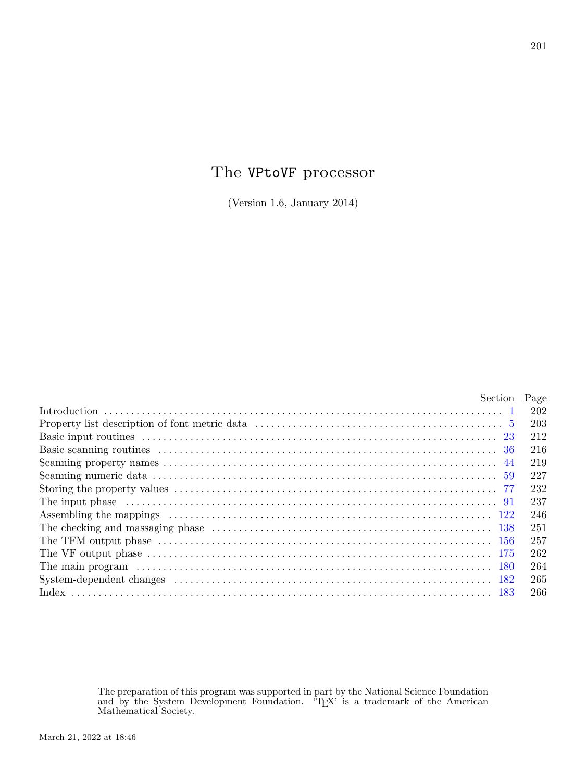## The VPtoVF processor

(Version 1.6, January 2014)

|  | Section Page |
|--|--------------|
|  | 202          |
|  | 203          |
|  | 212          |
|  | 216          |
|  | 219          |
|  | 227          |
|  | 232          |
|  | 237          |
|  | 246          |
|  | 251          |
|  | 257          |
|  | 262          |
|  | 264          |
|  | 265          |
|  | 266          |

The preparation of this program was supported in part by the National Science Foundation and by the System Development Foundation. 'T<sub>E</sub>X' is a trademark of the American Mathematical Society.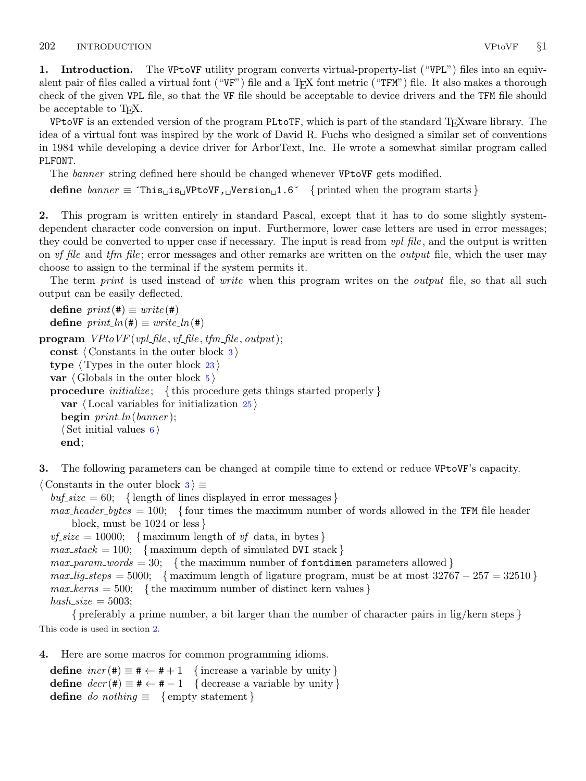<span id="page-1-0"></span>1. Introduction. The VPtoVF utility program converts virtual-property-list ("VPL") files into an equivalent pair of files called a virtual font ("VF") file and a T<sub>E</sub>X font metric ("TFM") file. It also makes a thorough check of the given VPL file, so that the VF file should be acceptable to device drivers and the TFM file should be acceptable to T<sub>F</sub>X.

VPtoVF is an extended version of the program PLtoTF, which is part of the standard TEXware library. The idea of a virtual font was inspired by the work of David R. Fuchs who designed a similar set of conventions in 1984 while developing a device driver for ArborText, Inc. He wrote a somewhat similar program called PLFONT.

The banner string defined here should be changed whenever VPtoVF gets modified.

define  $\text{banner} \equiv \text{`This} \sqcup \text{is} \sqcup \text{VProVF}, \sqcup \text{Version} \sqcup \text{1.6'}$  { printed when the program starts }

2. This program is written entirely in standard Pascal, except that it has to do some slightly systemdependent character code conversion on input. Furthermore, lower case letters are used in error messages; they could be converted to upper case if necessary. The input is read from *vpl\_file*, and the output is written on *vf* file and tfm file; error messages and other remarks are written on the *output* file, which the user may choose to assign to the terminal if the system permits it.

The term *print* is used instead of *write* when this program writes on the *output* file, so that all such output can be easily deflected.

define  $print(\textbf{\#}) \equiv write(\textbf{\#})$ define  $print\_ln(F) \equiv write\_ln(F)$ **program**  $VP$ *to*  $VF$  (*vpl\_file*, *vf\_file*, *tfm\_file*, *output*); const  $\langle$  Constants in the outer block 3 $\rangle$ type  $\langle$  Types in the outer block [23](#page-11-0)  $\rangle$ var  $\langle$  Globals in the outer block [5](#page-2-0) $\rangle$ **procedure** *initialize*; {this procedure gets things started properly } var  $\langle$  Local variables for initialization [25](#page-11-0)  $\rangle$  $begin{bmatrix} print\_ln(banner); \end{bmatrix}$  $\langle$  Set initial values [6](#page-2-0)  $\rangle$ end;

3. The following parameters can be changed at compile time to extend or reduce VPtoVF's capacity.

 $\langle$  Constants in the outer block 3  $\rangle \equiv$ 

 $\text{buf\_size} = 60; \text{ {length of lines displayed in error messages }}$  $max-header bytes = 100;$  { four times the maximum number of words allowed in the TFM file header block, must be 1024 or less }

 $vfsize = 10000; \{$  maximum length of vf data, in bytes  $max\_stack = 100;$  {maximum depth of simulated DVI stack}  $max\_param\_words = 30;$  {the maximum number of fontdimen parameters allowed}  $max\_lig\_steps = 5000;$  { maximum length of ligature program, must be at most  $32767 - 257 = 32510$  }  $max\_kerns = 500;$  {the maximum number of distinct kern values}  $hash\_size = 5003;$ 

{ preferably a prime number, a bit larger than the number of character pairs in lig/kern steps } This code is used in section 2.

4. Here are some macros for common programming idioms.

define  $incr(\texttt{\#}) \equiv \texttt{\#} \leftarrow \texttt{\#} + 1$  {increase a variable by unity } define  $decr(\texttt{\#}) \equiv \texttt{\#} \leftarrow \texttt{\#} - 1$  { decrease a variable by unity } define  $do\_nothing \equiv \{$  empty statement  $\}$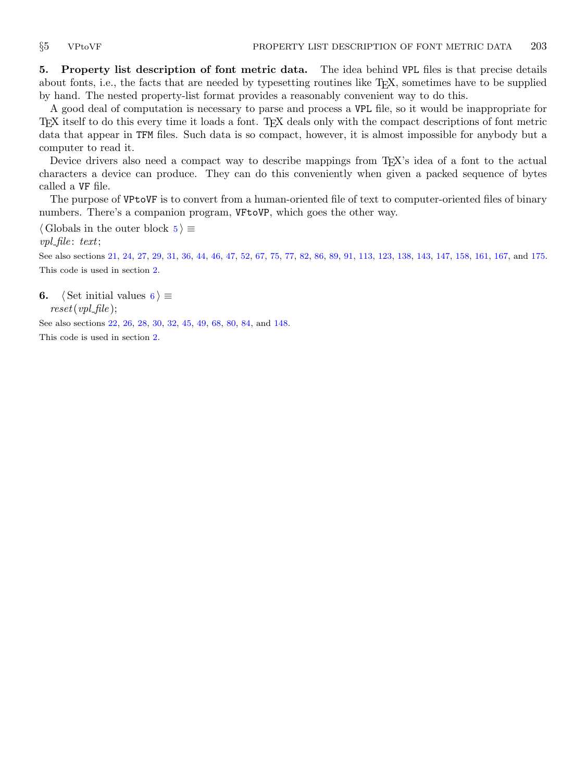<span id="page-2-0"></span>5. Property list description of font metric data. The idea behind VPL files is that precise details about fonts, i.e., the facts that are needed by typesetting routines like TEX, sometimes have to be supplied by hand. The nested property-list format provides a reasonably convenient way to do this.

A good deal of computation is necessary to parse and process a VPL file, so it would be inappropriate for TEX itself to do this every time it loads a font. TEX deals only with the compact descriptions of font metric data that appear in TFM files. Such data is so compact, however, it is almost impossible for anybody but a computer to read it.

Device drivers also need a compact way to describe mappings from T<sub>E</sub>X's idea of a font to the actual characters a device can produce. They can do this conveniently when given a packed sequence of bytes called a VF file.

The purpose of VPtoVF is to convert from a human-oriented file of text to computer-oriented files of binary numbers. There's a companion program, VFtoVP, which goes the other way.

 $\langle$  Globals in the outer block  $5 \rangle \equiv$  $vpl$ -file: text;

See also sections [21,](#page-10-0) [24,](#page-11-0) [27](#page-12-0), [29,](#page-12-0) [31](#page-12-0), [36,](#page-15-0) [44,](#page-18-0) [46](#page-18-0), [47,](#page-18-0) [52](#page-20-0), [67,](#page-28-0) [75](#page-29-0), [77](#page-31-0), [82,](#page-32-0) [86](#page-34-0), [89,](#page-34-0) [91](#page-36-0), [113](#page-42-0), [123](#page-45-0), [138,](#page-50-0) [143,](#page-51-0) [147,](#page-52-0) [158](#page-56-0), [161](#page-57-0), [167](#page-58-0), and [175](#page-61-0). This code is used in section [2](#page-1-0).

6. (Set initial values 6)  $\equiv$  $reset(vpl$ -file);

See also sections [22](#page-10-0), [26,](#page-11-0) [28](#page-12-0), [30](#page-12-0), [32,](#page-12-0) [45](#page-18-0), [49,](#page-18-0) [68,](#page-28-0) [80](#page-32-0), [84,](#page-33-0) and [148](#page-52-0). This code is used in section [2](#page-1-0).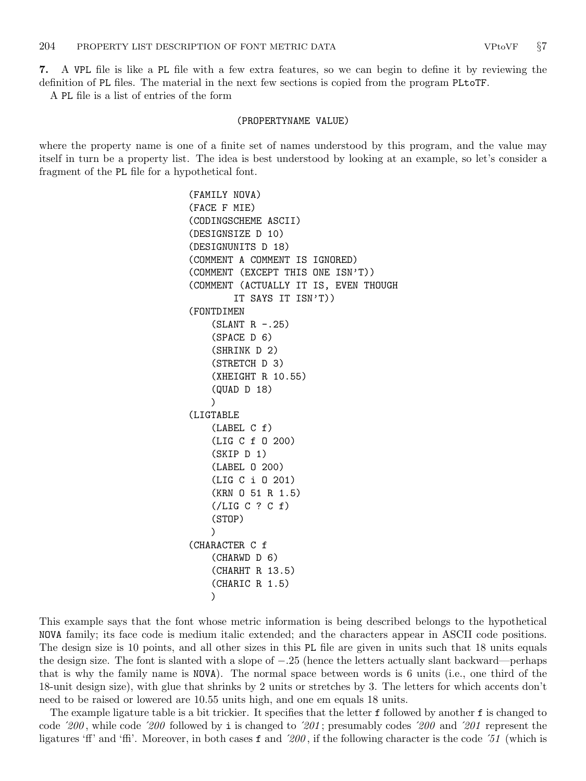7. A VPL file is like a PL file with a few extra features, so we can begin to define it by reviewing the definition of PL files. The material in the next few sections is copied from the program PLtoTF.

A PL file is a list of entries of the form

## (PROPERTYNAME VALUE)

where the property name is one of a finite set of names understood by this program, and the value may itself in turn be a property list. The idea is best understood by looking at an example, so let's consider a fragment of the PL file for a hypothetical font.

> (FAMILY NOVA) (FACE F MIE) (CODINGSCHEME ASCII) (DESIGNSIZE D 10) (DESIGNUNITS D 18) (COMMENT A COMMENT IS IGNORED) (COMMENT (EXCEPT THIS ONE ISN'T)) (COMMENT (ACTUALLY IT IS, EVEN THOUGH IT SAYS IT ISN'T)) (FONTDIMEN (SLANT R −.25) (SPACE D 6) (SHRINK D 2) (STRETCH D 3) (XHEIGHT R 10.55) (QUAD D 18) ) (LIGTABLE (LABEL C f) (LIG C f O 200) (SKIP D 1) (LABEL O 200) (LIG C i O 201) (KRN O 51 R 1.5) (/LIG C ? C f) (STOP) ) (CHARACTER C f (CHARWD D 6) (CHARHT R 13.5) (CHARIC R 1.5) )

This example says that the font whose metric information is being described belongs to the hypothetical NOVA family; its face code is medium italic extended; and the characters appear in ASCII code positions. The design size is 10 points, and all other sizes in this PL file are given in units such that 18 units equals the design size. The font is slanted with a slope of −.25 (hence the letters actually slant backward—perhaps that is why the family name is NOVA). The normal space between words is 6 units (i.e., one third of the 18-unit design size), with glue that shrinks by 2 units or stretches by 3. The letters for which accents don't need to be raised or lowered are 10.55 units high, and one em equals 18 units.

The example ligature table is a bit trickier. It specifies that the letter f followed by another f is changed to code  $200$ , while code  $200$  followed by i is changed to  $201$ ; presumably codes  $200$  and  $201$  represent the ligatures 'ff' and 'ffi'. Moreover, in both cases f and '200, if the following character is the code '51 (which is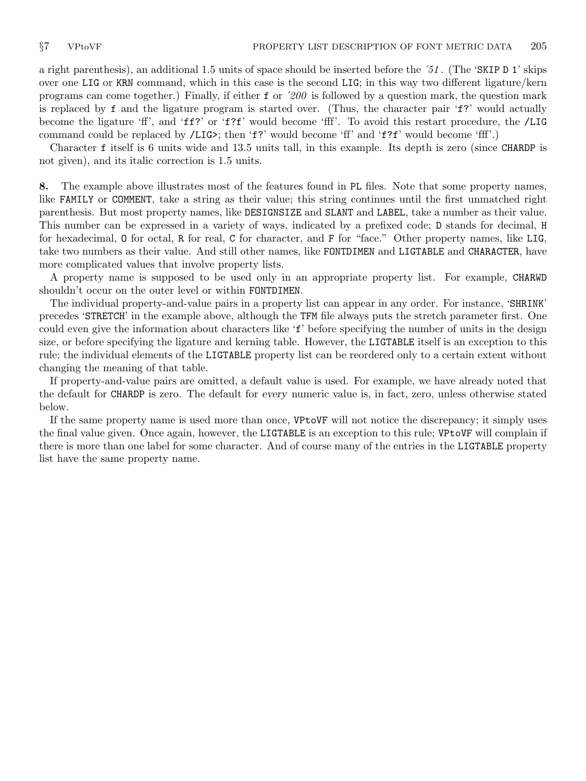a right parenthesis), an additional 1.5 units of space should be inserted before the ´51 . (The 'SKIP D 1' skips over one LIG or KRN command, which in this case is the second LIG; in this way two different ligature/kern programs can come together.) Finally, if either f or ´200 is followed by a question mark, the question mark is replaced by f and the ligature program is started over. (Thus, the character pair 'f?' would actually become the ligature 'ff', and 'ff?' or 'f?f' would become 'fff'. To avoid this restart procedure, the /LIG command could be replaced by /LIG>; then 'f?' would become 'ff' and 'f?f' would become 'fff'.)

Character f itself is 6 units wide and 13.5 units tall, in this example. Its depth is zero (since CHARDP is not given), and its italic correction is 1.5 units.

8. The example above illustrates most of the features found in PL files. Note that some property names, like FAMILY or COMMENT, take a string as their value; this string continues until the first unmatched right parenthesis. But most property names, like DESIGNSIZE and SLANT and LABEL, take a number as their value. This number can be expressed in a variety of ways, indicated by a prefixed code; D stands for decimal, H for hexadecimal, O for octal, R for real, C for character, and F for "face." Other property names, like LIG, take two numbers as their value. And still other names, like FONTDIMEN and LIGTABLE and CHARACTER, have more complicated values that involve property lists.

A property name is supposed to be used only in an appropriate property list. For example, CHARWD shouldn't occur on the outer level or within FONTDIMEN.

The individual property-and-value pairs in a property list can appear in any order. For instance, 'SHRINK' precedes 'STRETCH' in the example above, although the TFM file always puts the stretch parameter first. One could even give the information about characters like 'f' before specifying the number of units in the design size, or before specifying the ligature and kerning table. However, the LIGTABLE itself is an exception to this rule; the individual elements of the LIGTABLE property list can be reordered only to a certain extent without changing the meaning of that table.

If property-and-value pairs are omitted, a default value is used. For example, we have already noted that the default for CHARDP is zero. The default for every numeric value is, in fact, zero, unless otherwise stated below.

If the same property name is used more than once, VPtoVF will not notice the discrepancy; it simply uses the final value given. Once again, however, the LIGTABLE is an exception to this rule; VPtoVF will complain if there is more than one label for some character. And of course many of the entries in the LIGTABLE property list have the same property name.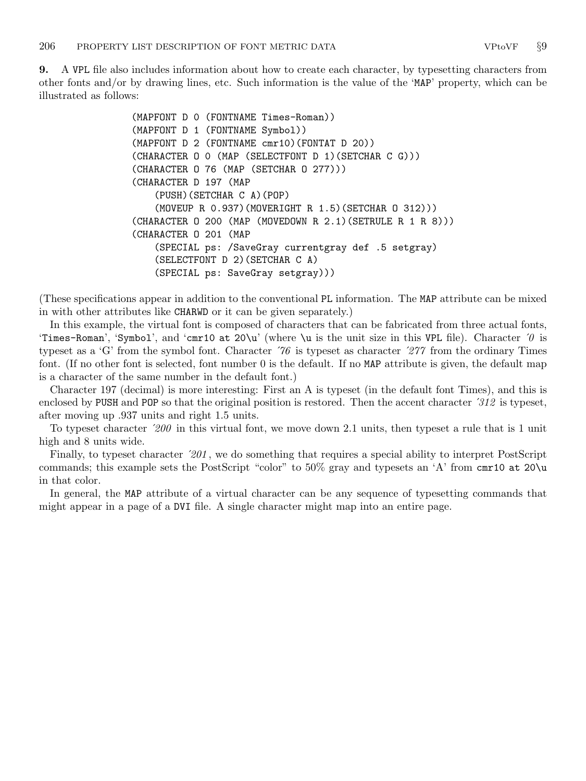9. A VPL file also includes information about how to create each character, by typesetting characters from other fonts and/or by drawing lines, etc. Such information is the value of the 'MAP' property, which can be illustrated as follows:

```
(MAPFONT D 0 (FONTNAME Times−Roman))
(MAPFONT D 1 (FONTNAME Symbol))
(MAPFONT D 2 (FONTNAME cmr10)(FONTAT D 20))
(CHARACTER O 0 (MAP (SELECTFONT D 1)(SETCHAR C G)))
(CHARACTER O 76 (MAP (SETCHAR O 277)))
(CHARACTER D 197 (MAP
    (PUSH)(SETCHAR C A)(POP)
    (MOVEUP R 0.937)(MOVERIGHT R 1.5)(SETCHAR O 312)))
(CHARACTER O 200 (MAP (MOVEDOWN R 2.1)(SETRULE R 1 R 8)))
(CHARACTER O 201 (MAP
    (SPECIAL ps: /SaveGray currentgray def .5 setgray)
    (SELECTFONT D 2)(SETCHAR C A)
    (SPECIAL ps: SaveGray setgray)))
```
(These specifications appear in addition to the conventional PL information. The MAP attribute can be mixed in with other attributes like CHARWD or it can be given separately.)

In this example, the virtual font is composed of characters that can be fabricated from three actual fonts, 'Times−Roman', 'Symbol', and 'cmr10 at 20\u' (where \u is the unit size in this VPL file). Character ´0 is typeset as a 'G' from the symbol font. Character  $\hat{76}$  is typeset as character  $\hat{777}$  from the ordinary Times font. (If no other font is selected, font number 0 is the default. If no MAP attribute is given, the default map is a character of the same number in the default font.)

Character 197 (decimal) is more interesting: First an A is typeset (in the default font Times), and this is enclosed by PUSH and POP so that the original position is restored. Then the accent character  $312$  is typeset, after moving up .937 units and right 1.5 units.

To typeset character ´200 in this virtual font, we move down 2.1 units, then typeset a rule that is 1 unit high and 8 units wide.

Finally, to typeset character  $201$ , we do something that requires a special ability to interpret PostScript commands; this example sets the PostScript "color" to 50% gray and typesets an 'A' from cmr10 at 20\u in that color.

In general, the MAP attribute of a virtual character can be any sequence of typesetting commands that might appear in a page of a DVI file. A single character might map into an entire page.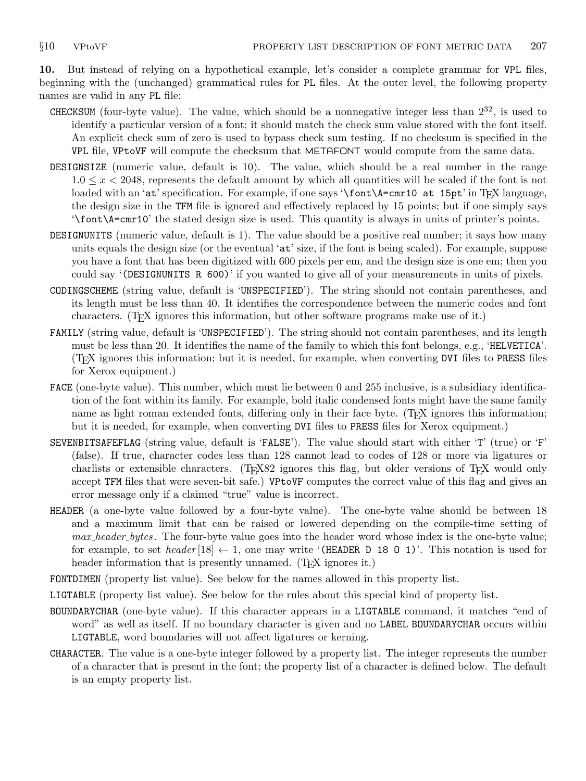10. But instead of relying on a hypothetical example, let's consider a complete grammar for VPL files, beginning with the (unchanged) grammatical rules for PL files. At the outer level, the following property names are valid in any PL file:

- CHECKSUM (four-byte value). The value, which should be a nonnegative integer less than  $2^{32}$ , is used to identify a particular version of a font; it should match the check sum value stored with the font itself. An explicit check sum of zero is used to bypass check sum testing. If no checksum is specified in the VPL file, VPtoVF will compute the checksum that METAFONT would compute from the same data.
- DESIGNSIZE (numeric value, default is 10). The value, which should be a real number in the range  $1.0 \leq x \leq 2048$ , represents the default amount by which all quantities will be scaled if the font is not loaded with an 'at' specification. For example, if one says '\font\A=cmr10 at 15pt' in T<sub>E</sub>X language, the design size in the TFM file is ignored and effectively replaced by 15 points; but if one simply says '\font\A=cmr10' the stated design size is used. This quantity is always in units of printer's points.
- DESIGNUNITS (numeric value, default is 1). The value should be a positive real number; it says how many units equals the design size (or the eventual 'at' size, if the font is being scaled). For example, suppose you have a font that has been digitized with 600 pixels per em, and the design size is one em; then you could say '(DESIGNUNITS R 600)' if you wanted to give all of your measurements in units of pixels.
- CODINGSCHEME (string value, default is 'UNSPECIFIED'). The string should not contain parentheses, and its length must be less than 40. It identifies the correspondence between the numeric codes and font characters. (TEX ignores this information, but other software programs make use of it.)
- FAMILY (string value, default is 'UNSPECIFIED'). The string should not contain parentheses, and its length must be less than 20. It identifies the name of the family to which this font belongs, e.g., 'HELVETICA'. (TEX ignores this information; but it is needed, for example, when converting DVI files to PRESS files for Xerox equipment.)
- FACE (one-byte value). This number, which must lie between 0 and 255 inclusive, is a subsidiary identification of the font within its family. For example, bold italic condensed fonts might have the same family name as light roman extended fonts, differing only in their face byte. (T<sub>E</sub>X ignores this information; but it is needed, for example, when converting DVI files to PRESS files for Xerox equipment.)
- SEVENBITSAFEFLAG (string value, default is 'FALSE'). The value should start with either 'T' (true) or 'F' (false). If true, character codes less than 128 cannot lead to codes of 128 or more via ligatures or charlists or extensible characters. (T<sub>E</sub>X82 ignores this flag, but older versions of T<sub>E</sub>X would only accept TFM files that were seven-bit safe.) VPtoVF computes the correct value of this flag and gives an error message only if a claimed "true" value is incorrect.
- HEADER (a one-byte value followed by a four-byte value). The one-byte value should be between 18 and a maximum limit that can be raised or lowered depending on the compile-time setting of max header bytes. The four-byte value goes into the header word whose index is the one-byte value; for example, to set header  $[18] \leftarrow 1$ , one may write '(HEADER D 18 0 1)'. This notation is used for header information that is presently unnamed. (T<sub>E</sub>X ignores it.)
- FONTDIMEN (property list value). See below for the names allowed in this property list.
- LIGTABLE (property list value). See below for the rules about this special kind of property list.
- BOUNDARYCHAR (one-byte value). If this character appears in a LIGTABLE command, it matches "end of word" as well as itself. If no boundary character is given and no LABEL BOUNDARYCHAR occurs within LIGTABLE, word boundaries will not affect ligatures or kerning.
- CHARACTER. The value is a one-byte integer followed by a property list. The integer represents the number of a character that is present in the font; the property list of a character is defined below. The default is an empty property list.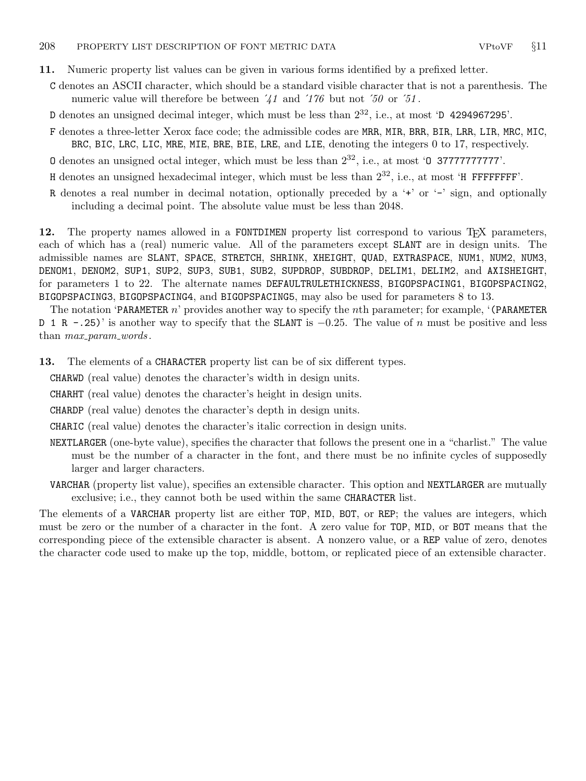- 11. Numeric property list values can be given in various forms identified by a prefixed letter.
	- C denotes an ASCII character, which should be a standard visible character that is not a parenthesis. The numeric value will therefore be between  $\angle 41$  and  $\angle 176$  but not  $\angle 50$  or  $\angle 51$ .
	- D denotes an unsigned decimal integer, which must be less than  $2^{32}$ , i.e., at most 'D 4294967295'.
	- F denotes a three-letter Xerox face code; the admissible codes are MRR, MIR, BRR, BIR, LRR, LIR, MRC, MIC, BRC, BIC, LRC, LIC, MRE, MIE, BRE, BIE, LRE, and LIE, denoting the integers 0 to 17, respectively.
	- O denotes an unsigned octal integer, which must be less than 232, i.e., at most 'O 37777777777'.
	- H denotes an unsigned hexadecimal integer, which must be less than  $2^{32}$ , i.e., at most 'H FFFFFFFF'.
	- R denotes a real number in decimal notation, optionally preceded by a '+' or '−' sign, and optionally including a decimal point. The absolute value must be less than 2048.

12. The property names allowed in a FONTDIMEN property list correspond to various TFX parameters, each of which has a (real) numeric value. All of the parameters except SLANT are in design units. The admissible names are SLANT, SPACE, STRETCH, SHRINK, XHEIGHT, QUAD, EXTRASPACE, NUM1, NUM2, NUM3, DENOM1, DENOM2, SUP1, SUP2, SUP3, SUB1, SUB2, SUPDROP, SUBDROP, DELIM1, DELIM2, and AXISHEIGHT, for parameters 1 to 22. The alternate names DEFAULTRULETHICKNESS, BIGOPSPACING1, BIGOPSPACING2, BIGOPSPACING3, BIGOPSPACING4, and BIGOPSPACING5, may also be used for parameters 8 to 13.

The notation 'PARAMETER  $n$ ' provides another way to specify the nth parameter; for example, '(PARAMETER D 1 R −.25)' is another way to specify that the SLANT is  $-0.25$ . The value of n must be positive and less than *max\_param\_words*.

13. The elements of a CHARACTER property list can be of six different types.

CHARWD (real value) denotes the character's width in design units.

CHARHT (real value) denotes the character's height in design units.

CHARDP (real value) denotes the character's depth in design units.

CHARIC (real value) denotes the character's italic correction in design units.

- NEXTLARGER (one-byte value), specifies the character that follows the present one in a "charlist." The value must be the number of a character in the font, and there must be no infinite cycles of supposedly larger and larger characters.
- VARCHAR (property list value), specifies an extensible character. This option and NEXTLARGER are mutually exclusive; i.e., they cannot both be used within the same CHARACTER list.

The elements of a VARCHAR property list are either TOP, MID, BOT, or REP; the values are integers, which must be zero or the number of a character in the font. A zero value for TOP, MID, or BOT means that the corresponding piece of the extensible character is absent. A nonzero value, or a REP value of zero, denotes the character code used to make up the top, middle, bottom, or replicated piece of an extensible character.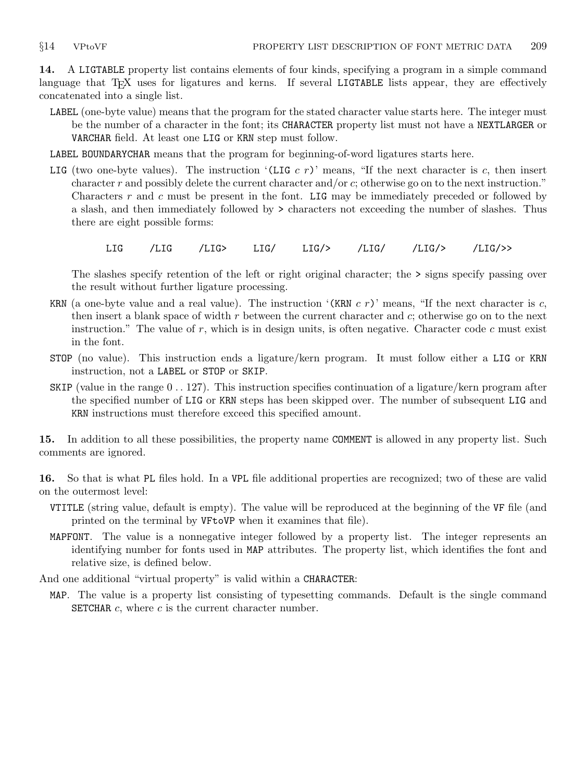14. A LIGTABLE property list contains elements of four kinds, specifying a program in a simple command language that T<sub>EX</sub> uses for ligatures and kerns. If several LIGTABLE lists appear, they are effectively concatenated into a single list.

LABEL (one-byte value) means that the program for the stated character value starts here. The integer must be the number of a character in the font; its CHARACTER property list must not have a NEXTLARGER or VARCHAR field. At least one LIG or KRN step must follow.

LABEL BOUNDARYCHAR means that the program for beginning-of-word ligatures starts here.

LIG (two one-byte values). The instruction '(LIG  $c\ r$ )' means, "If the next character is c, then insert character r and possibly delete the current character and/or  $c$ ; otherwise go on to the next instruction." Characters  $r$  and  $c$  must be present in the font. LIG may be immediately preceded or followed by a slash, and then immediately followed by > characters not exceeding the number of slashes. Thus there are eight possible forms:

LIG /LIG /LIG> LIG/ LIG/> /LIG/ /LIG/> /LIG/>>

The slashes specify retention of the left or right original character; the > signs specify passing over the result without further ligature processing.

- KRN (a one-byte value and a real value). The instruction '(KRN  $c r$ )' means, "If the next character is c, then insert a blank space of width  $r$  between the current character and  $c$ ; otherwise go on to the next instruction." The value of  $r$ , which is in design units, is often negative. Character code  $c$  must exist in the font.
- STOP (no value). This instruction ends a ligature/kern program. It must follow either a LIG or KRN instruction, not a LABEL or STOP or SKIP.
- SKIP (value in the range 0 . . 127). This instruction specifies continuation of a ligature/kern program after the specified number of LIG or KRN steps has been skipped over. The number of subsequent LIG and KRN instructions must therefore exceed this specified amount.

15. In addition to all these possibilities, the property name COMMENT is allowed in any property list. Such comments are ignored.

16. So that is what PL files hold. In a VPL file additional properties are recognized; two of these are valid on the outermost level:

- VTITLE (string value, default is empty). The value will be reproduced at the beginning of the VF file (and printed on the terminal by VFtoVP when it examines that file).
- MAPFONT. The value is a nonnegative integer followed by a property list. The integer represents an identifying number for fonts used in MAP attributes. The property list, which identifies the font and relative size, is defined below.

And one additional "virtual property" is valid within a CHARACTER:

MAP. The value is a property list consisting of typesetting commands. Default is the single command SETCHAR  $c$ , where  $c$  is the current character number.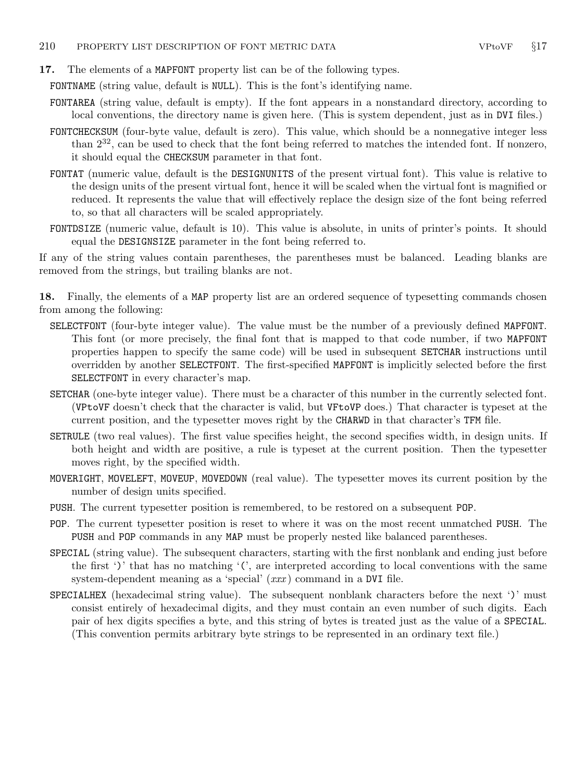17. The elements of a MAPFONT property list can be of the following types.

FONTNAME (string value, default is NULL). This is the font's identifying name.

- FONTAREA (string value, default is empty). If the font appears in a nonstandard directory, according to local conventions, the directory name is given here. (This is system dependent, just as in DVI files.)
- FONTCHECKSUM (four-byte value, default is zero). This value, which should be a nonnegative integer less than  $2^{32}$ , can be used to check that the font being referred to matches the intended font. If nonzero, it should equal the CHECKSUM parameter in that font.
- FONTAT (numeric value, default is the DESIGNUNITS of the present virtual font). This value is relative to the design units of the present virtual font, hence it will be scaled when the virtual font is magnified or reduced. It represents the value that will effectively replace the design size of the font being referred to, so that all characters will be scaled appropriately.
- FONTDSIZE (numeric value, default is 10). This value is absolute, in units of printer's points. It should equal the DESIGNSIZE parameter in the font being referred to.

If any of the string values contain parentheses, the parentheses must be balanced. Leading blanks are removed from the strings, but trailing blanks are not.

18. Finally, the elements of a MAP property list are an ordered sequence of typesetting commands chosen from among the following:

- SELECTFONT (four-byte integer value). The value must be the number of a previously defined MAPFONT. This font (or more precisely, the final font that is mapped to that code number, if two MAPFONT properties happen to specify the same code) will be used in subsequent SETCHAR instructions until overridden by another SELECTFONT. The first-specified MAPFONT is implicitly selected before the first SELECTFONT in every character's map.
- SETCHAR (one-byte integer value). There must be a character of this number in the currently selected font. (VPtoVF doesn't check that the character is valid, but VFtoVP does.) That character is typeset at the current position, and the typesetter moves right by the CHARWD in that character's TFM file.
- SETRULE (two real values). The first value specifies height, the second specifies width, in design units. If both height and width are positive, a rule is typeset at the current position. Then the typesetter moves right, by the specified width.
- MOVERIGHT, MOVELEFT, MOVEUP, MOVEDOWN (real value). The typesetter moves its current position by the number of design units specified.
- PUSH. The current typesetter position is remembered, to be restored on a subsequent POP.
- POP. The current typesetter position is reset to where it was on the most recent unmatched PUSH. The PUSH and POP commands in any MAP must be properly nested like balanced parentheses.
- SPECIAL (string value). The subsequent characters, starting with the first nonblank and ending just before the first ')' that has no matching  $\langle \cdot \rangle$ , are interpreted according to local conventions with the same system-dependent meaning as a 'special'  $(xx)$  command in a DVI file.
- SPECIALHEX (hexadecimal string value). The subsequent nonblank characters before the next ')' must consist entirely of hexadecimal digits, and they must contain an even number of such digits. Each pair of hex digits specifies a byte, and this string of bytes is treated just as the value of a SPECIAL. (This convention permits arbitrary byte strings to be represented in an ordinary text file.)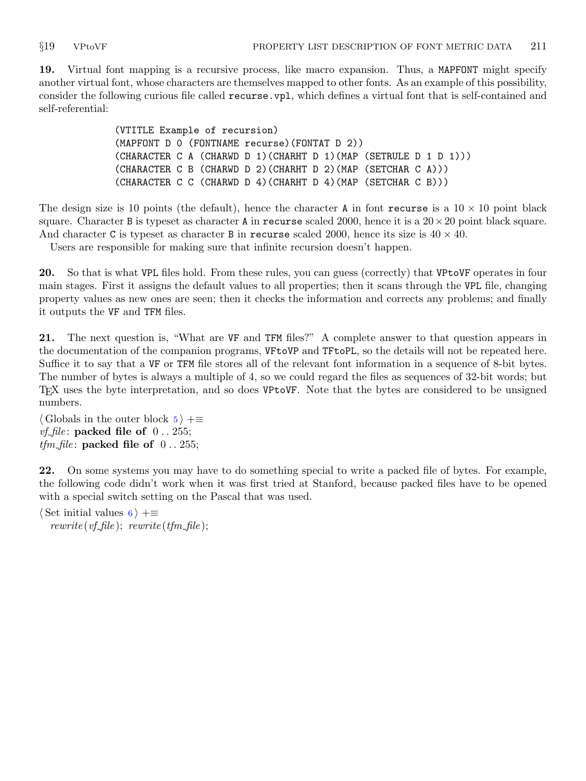<span id="page-10-0"></span>19. Virtual font mapping is a recursive process, like macro expansion. Thus, a MAPFONT might specify another virtual font, whose characters are themselves mapped to other fonts. As an example of this possibility, consider the following curious file called recurse.vpl, which defines a virtual font that is self-contained and self-referential:

> (VTITLE Example of recursion) (MAPFONT D 0 (FONTNAME recurse)(FONTAT D 2)) (CHARACTER C A (CHARWD D 1)(CHARHT D 1)(MAP (SETRULE D 1 D 1))) (CHARACTER C B (CHARWD D 2)(CHARHT D 2)(MAP (SETCHAR C A))) (CHARACTER C C (CHARWD D 4)(CHARHT D 4)(MAP (SETCHAR C B)))

The design size is 10 points (the default), hence the character A in font recurse is a  $10 \times 10$  point black square. Character B is typeset as character A in recurse scaled 2000, hence it is a  $20 \times 20$  point black square. And character C is typeset as character B in recurse scaled 2000, hence its size is  $40 \times 40$ .

Users are responsible for making sure that infinite recursion doesn't happen.

20. So that is what VPL files hold. From these rules, you can guess (correctly) that VPtoVF operates in four main stages. First it assigns the default values to all properties; then it scans through the VPL file, changing property values as new ones are seen; then it checks the information and corrects any problems; and finally it outputs the VF and TFM files.

21. The next question is, "What are VF and TFM files?" A complete answer to that question appears in the documentation of the companion programs, VFtoVP and TFtoPL, so the details will not be repeated here. Suffice it to say that a VF or TFM file stores all of the relevant font information in a sequence of 8-bit bytes. The number of bytes is always a multiple of 4, so we could regard the files as sequences of 32-bit words; but TEX uses the byte interpretation, and so does VPtoVF. Note that the bytes are considered to be unsigned numbers.

 $\langle$  Globals in the outer block [5](#page-2-0)  $\rangle$  +≡ *vf*<sub>file</sub>: packed file of  $0 \ldots 255$ ;  $t/m$ -file: packed file of  $0 \ldots 255$ ;

22. On some systems you may have to do something special to write a packed file of bytes. For example, the following code didn't work when it was first tried at Stanford, because packed files have to be opened with a special switch setting on the Pascal that was used.

 $\langle$  Set initial values [6](#page-2-0)  $\rangle$  +≡  $rewrite(vf_{\mathcal{I}} file); \ rewrite(tfm_{\mathcal{I}} file);$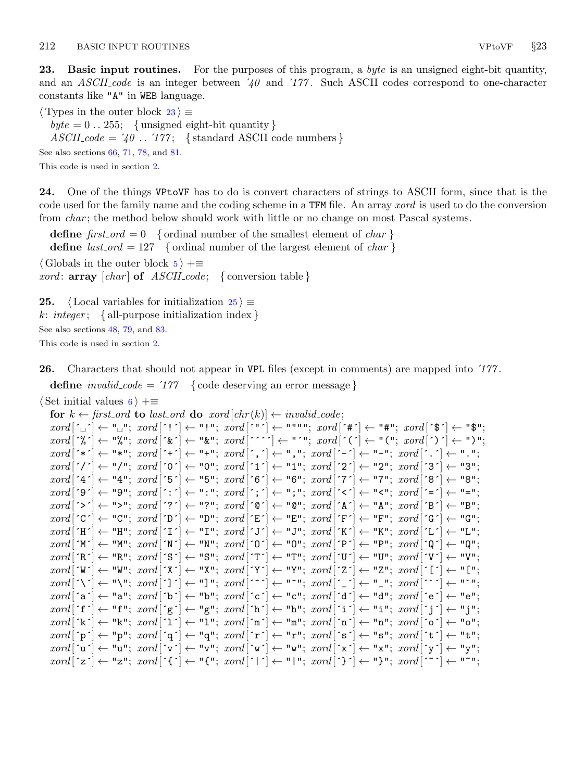<span id="page-11-0"></span>**23.** Basic input routines. For the purposes of this program, a byte is an unsigned eight-bit quantity, and an ASCII code is an integer between  $40$  and  $177$ . Such ASCII codes correspond to one-character constants like "A" in WEB language.

 $\langle$  Types in the outer block 23  $\rangle \equiv$  $byte = 0$ ... 255; {unsigned eight-bit quantity}  $ASCII\_code = 40$ ... '177; { standard ASCII code numbers } See also sections [66](#page-27-0), [71,](#page-29-0) [78](#page-31-0), and [81.](#page-32-0)

This code is used in section [2](#page-1-0).

24. One of the things VPtoVF has to do is convert characters of strings to ASCII form, since that is the code used for the family name and the coding scheme in a TFM file. An array xord is used to do the conversion from *char*; the method below should work with little or no change on most Pascal systems.

**define** first ord = 0 { ordinal number of the smallest element of *char* } define  $last\_ord = 127$  { ordinal number of the largest element of *char* }  $\langle$  Globals in the outer block [5](#page-2-0)  $\rangle$  +≡ *xord*: **array**  $[char]$  **of**  $ASCII_code; \{ conversion table \}$ 

25. (Local variables for initialization  $25$ )  $\equiv$ k: *integer*; { all-purpose initialization index } See also sections [48](#page-18-0), [79,](#page-31-0) and [83.](#page-33-0) This code is used in section [2](#page-1-0).

26. Characters that should not appear in VPL files (except in comments) are mapped into '177.

define *invalid\_code* =  $'177$  { code deserving an error message }

 $\langle$  Set initial values [6](#page-2-0)  $\rangle$  +≡

for  $k \leftarrow$  first\_ord to last\_ord do xord  $[chr(k)] \leftarrow invalid\_code;$ 

| $xord[\ulcorner\!\!\lrcorner\!\!\lrcorner\!\!\lrcorner\!\!\lrcorner\!\!\lrcorner\!\!\lrcorner\!\!\lrcorner\!\!\lrcorner\!\!\lrcorner\!\!\lrcorner\!\!\lrcorner\!\!\lrcorner\!\!\lrcorner\!\!\lrcorner\!\!\lrcorner\!\!\lrcorner\!\!\lrcorner\!\!\lrcorner\!\!\lrcorner\!\!\lrcorner\!\!\lrcorner\!\!\lrcorner\!\!\lrcorner\!\!\lrcorner\!\!\lrcorner\!\!\lrcorner\!\!\lrcorner\!\!\lrcorner\!\!\lrcorner\!\!\lrcorner\!\!\lrc$                                                                          |
|---------------------------------------------------------------------------------------------------------------------------------------------------------------------------------------------------------------------------------------------------------------------------------------------------------------------------------------------------------------------------------------------------------------------------------------------------------------------------------------------------------|
| $xord['\%'] \leftarrow "\$ "; $xord['\&\text{'}] \leftarrow "\&"$ ; $xord['\text{`}'] \leftarrow "\&"$ ; $xord['\text{`}'] \leftarrow "\text{`}']$ ; $xord['\text{`}'] \leftarrow "\text{`}"]$ ; $xord['\text{`}'] \leftarrow "\text{`}"]$                                                                                                                                                                                                                                                              |
| $xord[^{\ast} \ast] \leftarrow "\ast"$ ; $xord[^{\ast} \ast'] \leftarrow "\ast"$ ; $xord[^{\ast}$ , $'] \leftarrow "\ast"$ ; $xord[^{\ast} \ast'] \leftarrow "\ast"$                                                                                                                                                                                                                                                                                                                                    |
| $xord['1'] \leftarrow "\prime"$ ; $xord['0'] \leftarrow "0"$ ; $xord['1'] \leftarrow "1"$ ; $xord['2'] \leftarrow "2"$ ; $xord['3'] \leftarrow "3"$ ;                                                                                                                                                                                                                                                                                                                                                   |
| $xord[74]$ ← "4"; $xord[75']$ ← "5"; $xord[76']$ ← "6"; $xord[77']$ ← "7"; $xord[78']$ ← "8";                                                                                                                                                                                                                                                                                                                                                                                                           |
| $xord[^{^\sim}S^{\sim}] \leftarrow "9"; xord[^{^\sim}C^{\sim}] \leftarrow ";"; xord[^{^\sim}C^{\sim}] \leftarrow ";"; xord[^{^\sim}C^{\sim}] \leftarrow "<"; xord[^{^\sim}C^{\sim}] \leftarrow "=";$                                                                                                                                                                                                                                                                                                    |
| $xord\lceil z\rceil \leftarrow ">$ "; $xord\lceil z\rceil \leftarrow "?"$ ; $xord\lceil \mathcal{C} \rceil \leftarrow "@"$ ; $xord\lceil A\lceil \leftarrow "A"$ ; $xord\lceil B\lceil \leftarrow "B"$ ;                                                                                                                                                                                                                                                                                                |
| $xord[^{\circ}C^{\circ}] \leftarrow "C"; xord[^{\circ}D^{\circ}] \leftarrow "D"; xord[^{\circ}E^{\circ}] \leftarrow "E"; xord[^{\circ}F^{\circ}] \leftarrow "F"; xord[^{\circ}G^{\circ}] \leftarrow "G";$                                                                                                                                                                                                                                                                                               |
| $xord[^{\prime}H^{\prime}] \leftarrow "H"; xord[^{\prime}I^{\prime}] \leftarrow "I"; xord[^{\prime}J^{\prime}] \leftarrow "J"; xord[^{\prime}K^{\prime}] \leftarrow "K"; xord[^{\prime}L^{\prime}] \leftarrow "L";$                                                                                                                                                                                                                                                                                     |
| $xord \, [^\cdot N^{\cdot}] \leftarrow "M"; xord \, [^\cdot N^{\cdot}] \leftarrow "N"; xord \, [^\cdot O^{\cdot}] \leftarrow "O"; xord \, [^\cdot P^{\cdot}] \leftarrow "P"; xord \, [^\cdot Q^{\cdot}] \leftarrow "Q";$                                                                                                                                                                                                                                                                                |
| $xord[^{\dagger}R^{\dagger}] \leftarrow "R"; xord[^{\dagger}S^{\dagger}] \leftarrow "S"; xord[^{\dagger}T^{\dagger}] \leftarrow "T"; xord[^{\dagger}U^{\dagger}] \leftarrow "U"; xord[^{\dagger}V^{\dagger}] \leftarrow "V";$                                                                                                                                                                                                                                                                           |
| $xord[{\lceil \mathbf{W} \rceil} \leftarrow \mathsf{WW}; xord[{\lceil \mathbf{X} \rceil} \leftarrow \mathsf{WX}'; xord[{\lceil \mathbf{Y} \rceil} \leftarrow \mathsf{WY}'; xord[{\lceil \mathbf{Z} \rceil} \leftarrow \mathsf{WZ}'; xord[{\lceil \mathbf{L} \rceil} \leftarrow \mathsf{WZ}'; xord[{\lceil \mathbf{L} \rceil} \leftarrow \mathsf{WZ}'; xord[{\lceil \mathbf{L} \rceil} \leftarrow \mathsf{WZ}'; xord[{\lceil \mathbf{L} \rceil} \leftarrow \mathsf{WZ}'; xord[{\l$                       |
| $xord[\uparrow\uparrow] \leftarrow \ulcorner\uparrow\urcorner; xord[\uparrow\uparrow\uparrow] \leftarrow \ulcorner\urcorner\urcorner; xord[\uparrow\uparrow\uparrow] \leftarrow \ulcorner\urcorner\urcorner; xord[\uparrow\uparrow\downarrow] \leftarrow \ulcorner\urcorner\urcorner; xord[\uparrow\uparrow\uparrow] \leftarrow \ulcorner\urcorner\urcorner; xord[\uparrow\uparrow\uparrow] \leftarrow \ulcorner\urcorner\urcorner\urcorner; xord[\uparrow\uparrow\uparrow] \right)$                    |
| $xord[^{\frown}a^{\frown}] \leftarrow "a"; xord[^{\frown}b^{\frown}] \leftarrow "b"; xord[^{\frown}c^{\frown}] \leftarrow "c"; xord[^{\frown}d^{\frown}] \leftarrow "d"; xord[^{\frown}e^{\frown}] \leftarrow "e";$                                                                                                                                                                                                                                                                                     |
| $xord[$ $f] \leftarrow "f", xord[$ $g'] \leftarrow "g", xord[$ $h'] \leftarrow "h", xord[$ $i] \leftarrow "i", xord[$ $j \leftarrow "j", xord[$                                                                                                                                                                                                                                                                                                                                                         |
| $xord[^{\sim} \kappa] \leftarrow "k"; xord[^{\sim} \kappa] \leftarrow "1"; xord[^{\sim} \kappa] \leftarrow "m"; xord[^{\sim} \kappa] \leftarrow "n"; xord[^{\sim} \kappa] \leftarrow "0";$                                                                                                                                                                                                                                                                                                              |
| $xord[$ $\lceil p' \rceil$ $\leftarrow$ "p"; $xord[$ $\lceil q' \rceil$ $\leftarrow$ "q"; $xord[$ $\lceil r' \rceil$ $\leftarrow$ "r"; $xord[$ $\lceil s' \rceil$ $\leftarrow$ "s"; $xord[$ $\lceil t' \rceil$ $\leftarrow$ "t";                                                                                                                                                                                                                                                                        |
| $\mathit{zord}[\mathit{`u}^{\text{-}}] \leftarrow \texttt{"u}^{\text{-}}; \; \mathit{zord}[\mathit{`v}^{\text{-}}] \leftarrow \texttt{"v}^{\text{-}}; \; \mathit{zord}[\mathit{`w}^{\text{-}}] \leftarrow \texttt{"w}^{\text{-}}; \; \mathit{zord}[\mathit{`x}^{\text{-}}] \leftarrow \texttt{"x}^{\text{-}}; \; \mathit{zord}[\mathit{`y}^{\text{-}}] \leftarrow \texttt{"y}^{\text{-}};$                                                                                                              |
| $xord[^{\sim}z] \leftarrow "z"; xord[^{\sim}z] \leftarrow "f"; xord[^{\sim}z] \leftarrow "l"; xord[^{\sim}z] \leftarrow "r"; xord[^{\sim}z] \leftarrow "r"; xord[^{\sim}z] \leftarrow "r"; xord[^{\sim}z] \leftarrow "r"; xord[^{\sim}z] \leftarrow "r"; xord[^{\sim}z] \leftarrow "r"; xord[^{\sim}z] \leftarrow "r"; xord[^{\sim}z] \leftarrow "r"; xord[^{\sim}z] \leftarrow "r"; xord[^{\sim}z] \leftarrow "r"; xord[^{\sim}z] \leftarrow "r"; xord[^{\sim}z] \leftarrow "r"; xord[^{\sim}z] \left$ |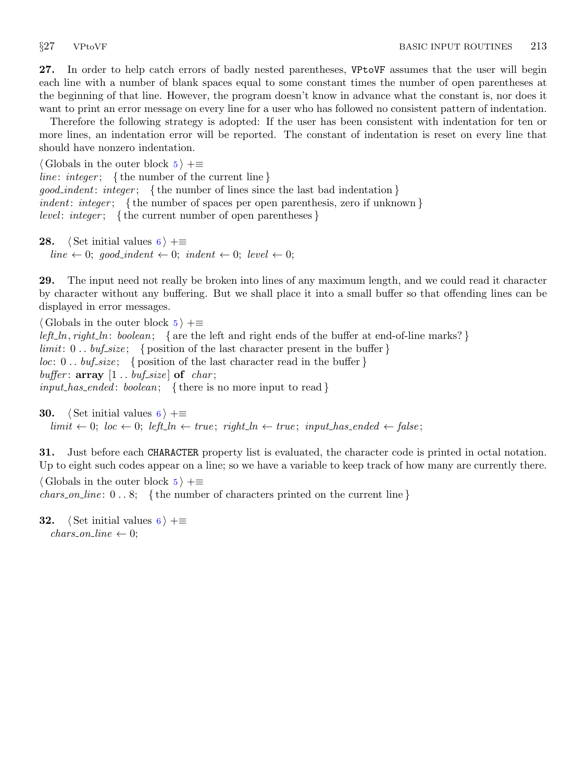<span id="page-12-0"></span>27. In order to help catch errors of badly nested parentheses, VPtoVF assumes that the user will begin each line with a number of blank spaces equal to some constant times the number of open parentheses at the beginning of that line. However, the program doesn't know in advance what the constant is, nor does it want to print an error message on every line for a user who has followed no consistent pattern of indentation.

Therefore the following strategy is adopted: If the user has been consistent with indentation for ten or more lines, an indentation error will be reported. The constant of indentation is reset on every line that should have nonzero indentation.

 $\langle$  Globals in the outer block [5](#page-2-0)  $\rangle$  +≡

*line: integer*; {the number of the current line}  $good\_indent:integer; \{ the number of lines since the last bad indentation \}$ *indent: integer*; {the number of spaces per open parenthesis, zero if unknown } level: integer; {the current number of open parentheses}

28.  $\langle$  Set initial values [6](#page-2-0)  $\rangle$  +≡ line ← 0; good\_indent ← 0; indent ← 0; level ← 0;

29. The input need not really be broken into lines of any maximum length, and we could read it character by character without any buffering. But we shall place it into a small buffer so that offending lines can be displayed in error messages.

 $\langle$  Globals in the outer block [5](#page-2-0)  $\rangle$  +≡ left ln, right ln: boolean; { are the left and right ends of the buffer at end-of-line marks?}  $limit: 0$ ..  $buf\_size: \{ position of the last character present in the buffer \}$  $loc: 0$ ..  $buf\_size$ ; { position of the last character read in the buffer } buffer:  $array [1..$  buf\_size of char;  $input\_has\_ended:boolean; \{ there is no more input to read \}$ 

**30.**  $\langle$  Set initial values [6](#page-2-0)  $\rangle$  +≡  $limit \leftarrow 0; loc \leftarrow 0; left\_ln \leftarrow true; right\_ln \leftarrow true; input\_has\_ended \leftarrow false;$ 

31. Just before each CHARACTER property list is evaluated, the character code is printed in octal notation. Up to eight such codes appear on a line; so we have a variable to keep track of how many are currently there.

 $\langle$  Globals in the outer block [5](#page-2-0)  $\rangle$  +≡

*chars\_on\_line*:  $0 \ldots 8$ ; {the number of characters printed on the current line}

**32.**  $\langle$  Set initial values [6](#page-2-0)  $\rangle$  +≡  $chars\_on\_line \leftarrow 0;$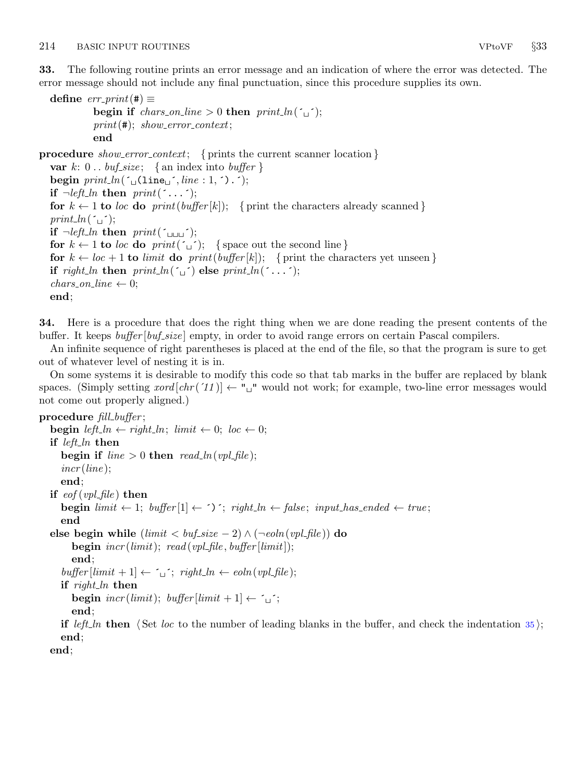<span id="page-13-0"></span>33. The following routine prints an error message and an indication of where the error was detected. The error message should not include any final punctuation, since this procedure supplies its own.

```
define err\_print(#) \equivbegin if chars_on_line > 0 then print\_ln(<sup>'</sup>
              print(\#); \ show\_error\_context;end
procedure show error context; { prints the current scanner location }
  var k: 0.. buf\_size; { an index into buffer}
  begin print\_ln( (\lceil (line \lceil , line : 1, \lceil ). \lceil);
  if \neg left\_ln then print(\hat{\cdot} \dots \hat{\cdot});for k \leftarrow 1 to loc do print(buffer [k]); { print the characters already scanned }
  print\_ln(\ulcorner\lrcorner\urcorner);if \neg left\_ln then print('<sub>\Box \Box</sub>;
  for k \leftarrow 1 to loc do print(\Delta); {space out the second line}
  for k \leftarrow loc + 1 to limit do print (buffer [k]); { print the characters yet unseen }
  if right ln then print\_ln(\tilde{\ } \cup \tilde{\ }) else print\_ln(\tilde{\ } \dots \tilde{\ });
  chars\_on\_line \leftarrow 0;end;
```
34. Here is a procedure that does the right thing when we are done reading the present contents of the buffer. It keeps  $buffer[buf.size]$  empty, in order to avoid range errors on certain Pascal compilers.

An infinite sequence of right parentheses is placed at the end of the file, so that the program is sure to get out of whatever level of nesting it is in.

On some systems it is desirable to modify this code so that tab marks in the buffer are replaced by blank spaces. (Simply setting  $xord|chr(T1)| \leftarrow "^{\Pi}$  would not work; for example, two-line error messages would not come out properly aligned.)

```
procedure fill_buffer;
  begin left_ln \leftarrow right_ln; limit \leftarrow 0; loc \leftarrow 0;
  if left\_ln then
     begin if line > 0 then read_ln(vpl_file);
     \textit{incr}(\textit{line});
     end;
  if \epsilon eof (vpl_file) then
     begin limit \leftarrow 1; buffer [1] \leftarrow \cap; right ln \leftarrow false; input has ended \leftarrow true;
     end
  else begin while (limit < but\_size - 2) \wedge (\neg \text{e}_i \text{e}_i \text{e}_i) do
        begin \text{incr}(limit); \text{read}(vpl\text{-file}, \text{buffer}[limit]);end;
     buffer|limit + 1| \leftarrow \sim \text{`s'}; right\_ln \leftarrow \text{'}= \text{`t} \cdot (vpl\_file);if right\_ln then
        begin \text{incr}(\text{limit}); \text{buffer}[\text{limit} + 1] \leftarrow \text{``} \cup \text{''};end;
     if left ln then \langle35\rangle;
     end;
```
end;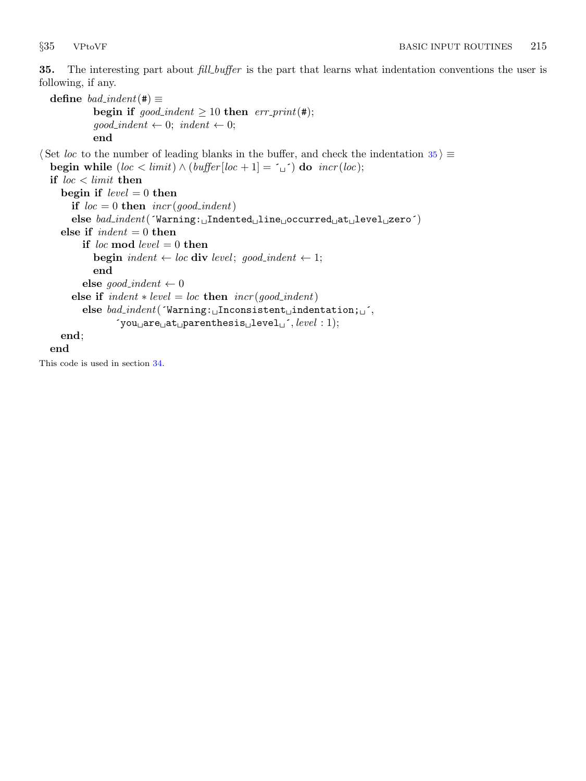<span id="page-14-0"></span>**35.** The interesting part about fill buffer is the part that learns what indentation conventions the user is following, if any.

```
define bad_indent(#) \equivbegin if good_indent \geq 10 then err_print(#);
             qood\_indent \leftarrow 0; \text{indent in} \leftarrow 0;end
\text{Set} loc to the number of leading blanks in the buffer, and check the indentation 35 \equivbegin while (loc < limit) \wedge (buffer[loc + 1] = \neg \wedge) do incr(loc);if loc < limit then
     begin if level = 0 then
       if loc = 0 then incr(good\_indent)else \textit{bad\_indent}('Warning: Indented line occurred at level zero')
     else if indent = 0 then
          if loc mod level = 0 then
             begin indent \leftarrow loc div level; good_indent \leftarrow 1;
             end
          else good_indent \leftarrow 0else if indent * level = loc then incr(good\_indent)else \textit{bad} indent(´Warning: Inconsistent indentation; \textit{if},
                   \text{`you}\_\text{a}re\text{...}at\text{...}parenthesis\text{...}level\text{...}; level:1);
     end;
  end
This code is used in section 34.
```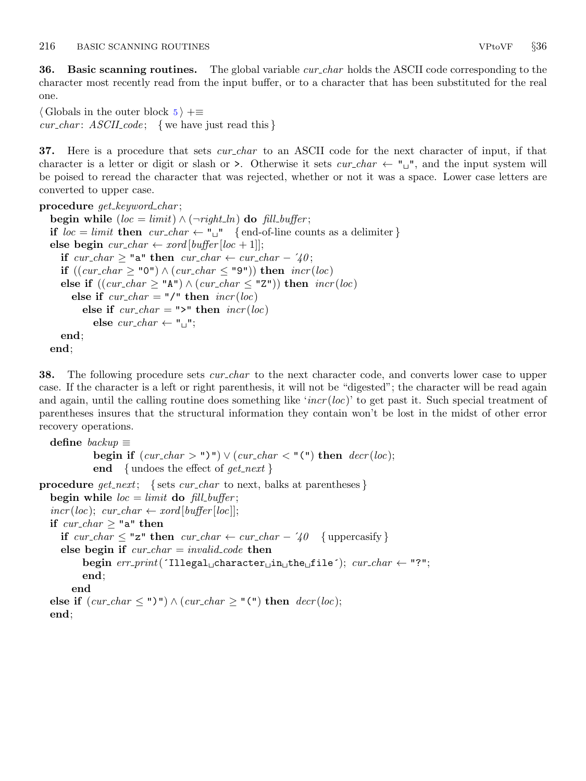<span id="page-15-0"></span>**36.** Basic scanning routines. The global variable *cur char* holds the ASCII code corresponding to the character most recently read from the input buffer, or to a character that has been substituted for the real one.

 $\langle$  Globals in the outer block [5](#page-2-0)  $\rangle$  + $\equiv$ cur\_char:  $ASCH\_{code}$ ; {we have just read this }

37. Here is a procedure that sets *cur\_char* to an ASCII code for the next character of input, if that character is a letter or digit or slash or >. Otherwise it sets  $cur_{char} \leftarrow " \cup",$  and the input system will be poised to reread the character that was rejected, whether or not it was a space. Lower case letters are converted to upper case.

procedure get\_keyword\_char; begin while  $(loc = limit) \wedge (\neg right\_ln)$  do fill\_buffer; if  $loc = limit$  then  $cur\_char \leftarrow " \sqcup"$  {end-of-line counts as a delimiter} else begin  $cur\_char \leftarrow xord[buffer[loc + 1]]$ ; if  $cur\_char \geq "a"$  then  $cur\_char \leftarrow cur\_char - 70;$ if  $((cur\_char \geq "0") \wedge (cur\_char \leq "9")$  then  $incr(loc)$ else if  $((\text{cur\_char} \geq "A") \land (\text{cur\_char} \leq "Z")$ ) then  $\text{incr}(loc)$ else if  $cur\_char = "\prime"$  then  $incr(loc)$ else if  $cur\_char = ">"$  then  $incr(loc)$ else  $cur\_char \leftarrow "$ "; end; end;

**38.** The following procedure sets cur char to the next character code, and converts lower case to upper case. If the character is a left or right parenthesis, it will not be "digested"; the character will be read again and again, until the calling routine does something like 'incr(loc)' to get past it. Such special treatment of parentheses insures that the structural information they contain won't be lost in the midst of other error recovery operations.

```
define backup \equivbegin if (cur\_char > ")\") \vee (cur\_char < "("") then decr(loc);end { undoes the effect of get\_next }
procedure get next; { sets cur char to next, balks at parentheses }
  begin while loc = limit do fill buffer;
  incr(loc); cur\_char \leftarrow xord[buffer[loc]);if cur\_char \geq "a" then
    if cur_char \leq "z" then cur_char \leftarrow cur_char - '40 { uppercasify }
    else begin if cur\_char = invalid\_code then
          begin err\_print( [Illegal<sub>\cup</sub>character\cupin\cupthe\cupfile´); cur char \leftarrow "?";
         end;
       end
  else if (cur\_char \leq ")\") \wedge (cur\_char \geq "(") \ then \ der(loc);end;
```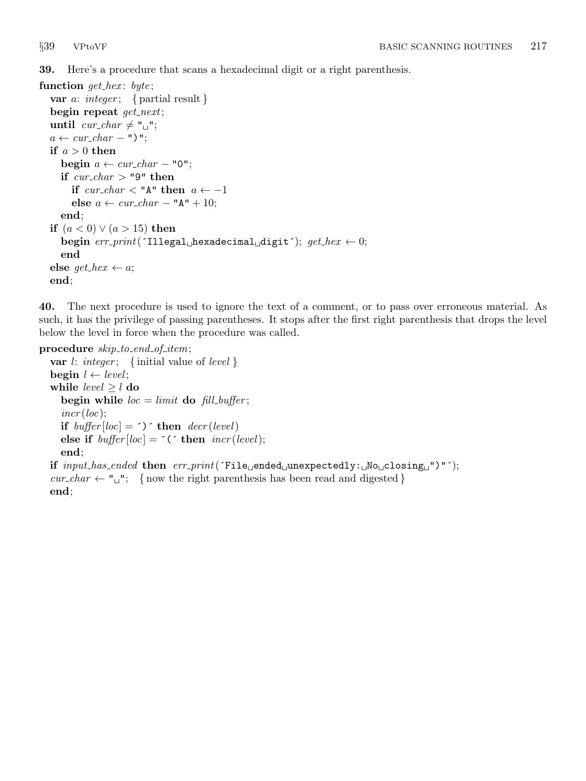39. Here's a procedure that scans a hexadecimal digit or a right parenthesis.

```
function get\_hex: byte;var a: integer; { partial result }
  begin repeat get_next;
  until cur\_char \neq " \sqcup";
  a \leftarrow cur\_char - "";
  if a > 0 then
     begin a \leftarrow cur\_char - "0";if cur\_char > "9" then
       if cur_char < "A" then a \leftarrow -1else a \leftarrow cur\_char – "A" + 10;
     end;
  if (a < 0) \vee (a > 15) then
     begin err\_print('Illegal<sub>u</sub>hexadecimal<sub>u</sub>digit'); get_hex \leftarrow 0;end
  else get\_hex \leftarrow a;end;
```
40. The next procedure is used to ignore the text of a comment, or to pass over erroneous material. As such, it has the privilege of passing parentheses. It stops after the first right parenthesis that drops the level below the level in force when the procedure was called.

procedure  $skip\_to\_end\_of\_item;$ 

**var** l: integer; {initial value of level } begin  $l \leftarrow level;$ while  $level \geq l$  do begin while  $loc = limit$  do fill buffer;  $incr(loc);$ if  $buffer[loc] = \cdot$  then  $decr(level)$ else if  $buffer[loc] = '('then incr(level);$ end;

if input has ended then  $err\_print($   $File$   $\triangle$  ended unexpectedly:  $\triangle$   $No$   $\triangle$   $l$   $No$ <sub> $\triangle$ </sub> $)$  $"$ ;  $cur\_char \leftarrow "u"$ ; { now the right parenthesis has been read and digested } end;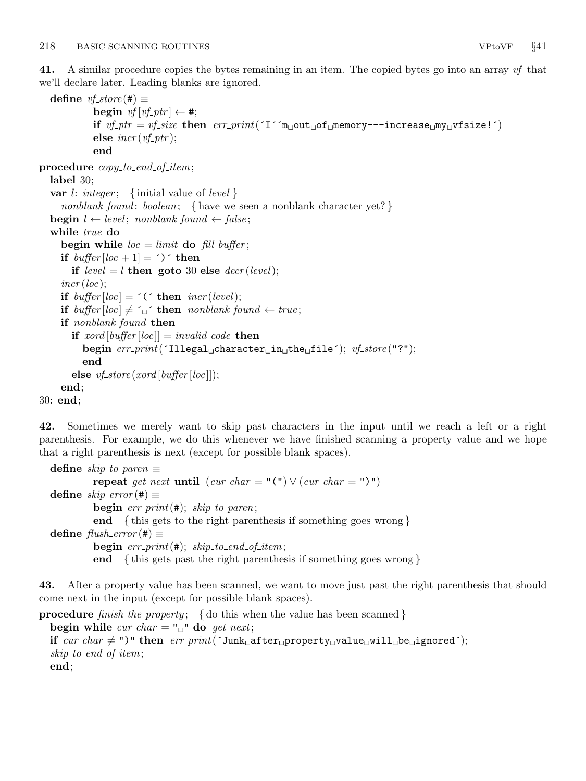41. A similar procedure copies the bytes remaining in an item. The copied bytes go into an array vf that we'll declare later. Leading blanks are ignored.

```
define vf\_store(\#) \equivbegin \mathit{vf}[v_f-ptr] \leftarrow \#;if vf ptr = vf size then err print(´I´´m out of memory−−−increase my vfsize!´)
             else \text{incr}(v_f \text{-} p \text{tr});end
procedure copy_to\_end_of\_item;label 30;
  var l: integer; {initial value of level }
     nonblank_found: boolean; { have we seen a nonblank character yet? }
  begin l \leftarrow level; nonblank_found \leftarrow false;
  while true do
     begin while loc = limit do fill buffer;
     if \text{buffer} [\text{loc} + 1] = \text{`} \text{`} then
        if level = l then goto 30 else decr(level);incr(loc);if buffer[loc] = '('then incr(level));if buffer[loc] \neq \lceil \cdot \rceil then nonblank found \leftarrow true;
     if nonblank found then
       if \text{zord}[buffer][loc]] = invalid\_code then
           begin err\_print('I11egal\_\text{L}character\_in\_\text{L}the\_\text{I}file'); vf\_store("?");end
        else \mathit{vf\_store}(xord[b{\mathit{u}}\mathit{ffer}[loc]]);end;
```
30: end;

42. Sometimes we merely want to skip past characters in the input until we reach a left or a right parenthesis. For example, we do this whenever we have finished scanning a property value and we hope that a right parenthesis is next (except for possible blank spaces).

define  $skip\_to\_parent \equiv$ repeat get\_next until  $(cur\_char = "(") \vee (cur\_char = ")")$ define  $skip\_error(\#) \equiv$ begin  $err\_print(\#); skip\_to\_parent;$ end { this gets to the right parenthesis if something goes wrong } define  $flush_error$  (#)  $\equiv$ **begin**  $err\_print(\#);$   $skip\_to\_end\_of\_item;$ end { this gets past the right parenthesis if something goes wrong }

43. After a property value has been scanned, we want to move just past the right parenthesis that should come next in the input (except for possible blank spaces).

**procedure**  $\text{f}\text{inish\_the\_property};$  { do this when the value has been scanned } begin while  $cur\_char = "u"$  do  $get\_next;$ if  $cur\_char \neq "$ )" then  $err\_print('Junk\_after\_property\_value\_will\_be\_ignore')$ ;  $skip_to$ <sub>-end-of-item</sub>; end;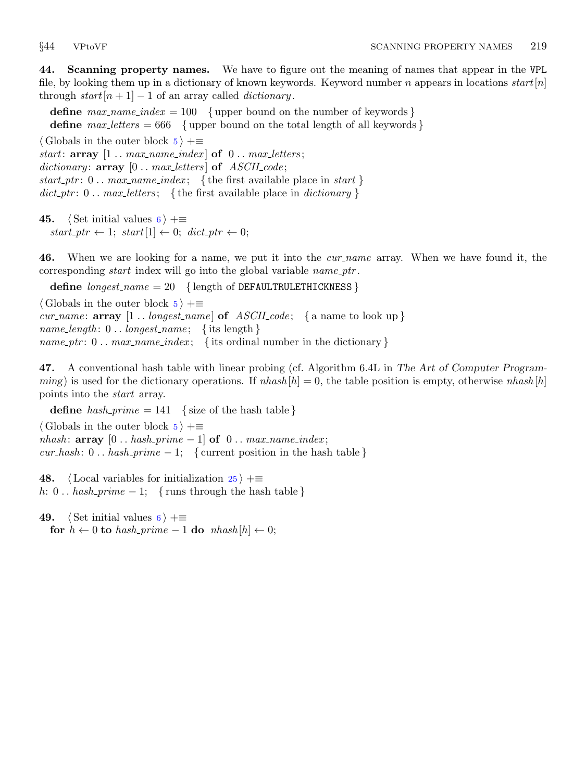<span id="page-18-0"></span>define  $max_name_index = 100$  {upper bound on the number of keywords } define  $max\_letters = 666$  {upper bound on the total length of all keywords }

 $\langle$  Globals in the outer block [5](#page-2-0)  $\rangle$  +=

start:  $array \t[1 \dots max_name_index]$  of  $0 \dots max-letters$ ;

dictionary:  $array \t [0.. max letters]$  of  $ASCII\_code;$ 

start ptr:  $0 \ldots max_name_index;$  {the first available place in start}

 $dict\_ptr: 0...max\_letters; \{ the first available place in dictionary \}$ 

45.  $\langle$  Set initial values [6](#page-2-0)  $\rangle$  +≡  $start\_ptr \leftarrow 1; start[1] \leftarrow 0; dict\_ptr \leftarrow 0;$ 

46. When we are looking for a name, we put it into the *cur-name* array. When we have found it, the corresponding *start* index will go into the global variable *name\_ptr*.

define  $longest_name = 20$  {length of DEFAULTRULETHICKNESS}

 $\langle$  Globals in the outer block [5](#page-2-0)  $\rangle$  += cur name:  $array [1]$ . longest name of ASCII code; { a name to look up } name\_length:  $0$ .. longest\_name; {its length} name\_ptr:  $0 \ldots max_name_index;$  {its ordinal number in the dictionary }

47. A conventional hash table with linear probing (cf. Algorithm 6.4L in The Art of Computer Programming) is used for the dictionary operations. If  $nhash|h| = 0$ , the table position is empty, otherwise  $nhash|h|$ points into the start array.

**define** hash prime  $= 141$  { size of the hash table }  $\langle$  Globals in the outer block [5](#page-2-0)  $\rangle$  + $\equiv$ nhash:  $array \; [0..hash\_prime -1]$  of  $0..max_name_index;$  $cur\_hash: 0 \dots hash\_prime - 1; \{ current position in the hash table \}$ 

48. (Local variables for initialization  $25$ ) +≡ h: 0.. hash\_prime  $-1$ ; { runs through the hash table }

49.  $\langle$  Set initial values [6](#page-2-0)  $\rangle$  +≡ for  $h \leftarrow 0$  to hash\_prime  $-1$  do nhash  $[h] \leftarrow 0$ ;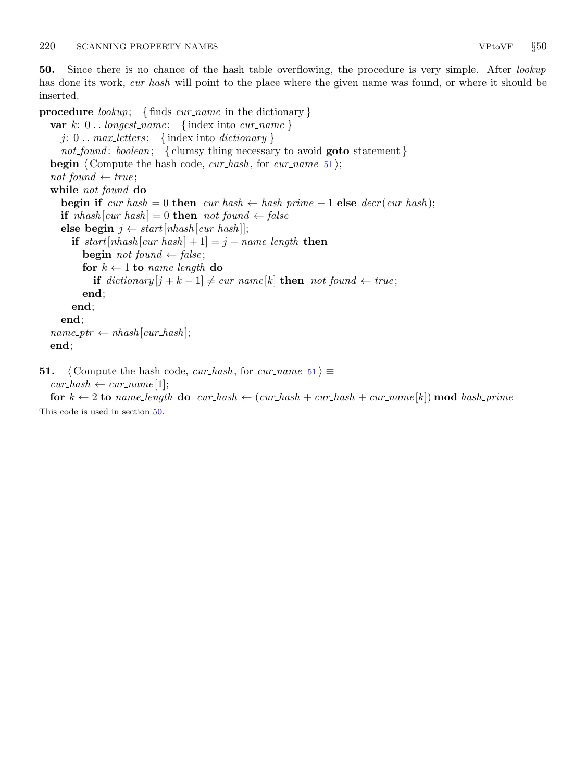50. Since there is no chance of the hash table overflowing, the procedure is very simple. After *lookup* has done its work, *cur* hash will point to the place where the given name was found, or where it should be inserted.

procedure  $lookup$ ; {finds *cur\_name* in the dictionary } var  $k: 0$ ... longest\_name; {index into cur\_name} j: 0 . . max-letters; { index into dictionary } not\_found: boolean; { clumsy thing necessary to avoid **goto** statement } **begin**  $\langle$  Compute the hash code, *cur\_hash*, for *cur\_name* 51 $\rangle$ ;  $not_{found} \leftarrow true;$ while *not\_found* do begin if  $cur\_hash = 0$  then  $cur\_hash \leftarrow hash\_prime - 1$  else  $decr(cur\_hash)$ ; if  $nhash[cur\_hash] = 0$  then  $not\_found \leftarrow false$ else begin  $j \leftarrow start[{\text{nhash}}[{\text{cur\_hash}}]$ ; if  $start[nhash[cur\_hash] + 1] = j + name\_length$  then begin not\_found  $\leftarrow$  false; for  $k \leftarrow 1$  to name\_length do if dictionary  $[j + k - 1] \neq cur_name[k]$  then not found  $\leftarrow true$ ; end; end; end;  $name\_ptr \leftarrow nhash[cur\_hash];$ end;

**51.**  $\langle$  Compute the hash code, *cur\_hash*, for *cur\_name*  $51$   $\equiv$  $cur\_hash \leftarrow cur\_name[1];$ 

for  $k \leftarrow 2$  to name\_length do cur\_hash  $\leftarrow$  (cur\_hash + cur\_hash + cur\_name [k]) mod hash\_prime This code is used in section 50.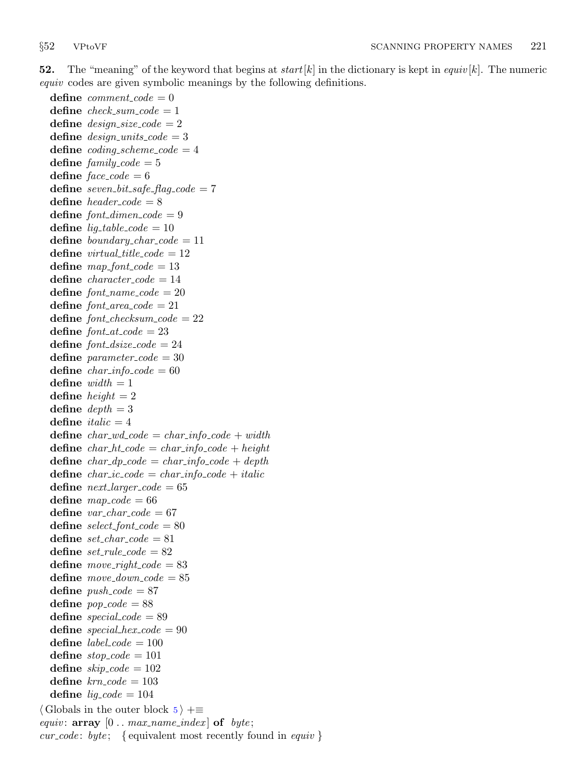<span id="page-20-0"></span>52. The "meaning" of the keyword that begins at start[k] in the dictionary is kept in equiv[k]. The numeric equiv codes are given symbolic meanings by the following definitions.

define  $comment\_code = 0$ define  $check\_sum\_code = 1$ define  $design\_size\_code = 2$ define  $design\_units\_code = 3$ define  $coding\_scheme\_code = 4$ define  $family\_code = 5$ define  $face\_code = 6$ define  $seven\_bit\_safe\_flag\_code = 7$ define  $header\_code = 8$ define  $font\_dimensione = 9$ define  $liq\_table\_code = 10$ define boundary\_char\_code =  $11$ define *virtual\_title\_code* =  $12$ define  $map\_font\_code = 13$ define  $character\_code = 14$ define  $font_name\_code = 20$ define  $font\_area\_code = 21$ define  $font\_checksum\_code = 22$ define  $font\_at\_code = 23$ define  $font\_disize\_code = 24$ define  $parameter\_code = 30$ define  $char\_info\_code = 60$ define  $width = 1$ define  $height = 2$ define  $depth = 3$ define *italic*  $= 4$ define  $char_wd\_code = char\_info\_code + width$ define  $char_-ht\_code = char\_info\_code + height$ define  $char\_dp\_code = char\_info\_code + depth$ define  $char\_ic\_code = char\_info\_code + italic$ define  $next\_larger\_code = 65$ define  $map\_code = 66$ define  $var\_char\_code = 67$ define  $select\_font\_code = 80$ define  $set\_char\_code = 81$ define  $set_{rule}code = 82$ define  $move\_right\_code = 83$ define  $move\_down\_code = 85$ define  $push\_code = 87$ define  $pop\_code = 88$ define  $specialcode = 89$ define  $special\_hex\_code = 90$ define  $label\_code = 100$ define  $stop\_code = 101$ define  $skip\_code = 102$ define  $km\_code = 103$ define  $lig\_code = 104$  $\langle$  Globals in the outer block  $5 \rangle + \equiv$  $5 \rangle + \equiv$ equiv:  $array \; [0.. \; max_name_index]$  of byte;  $cur\_code: byte; \{ equivalent most recently found in equiv\}$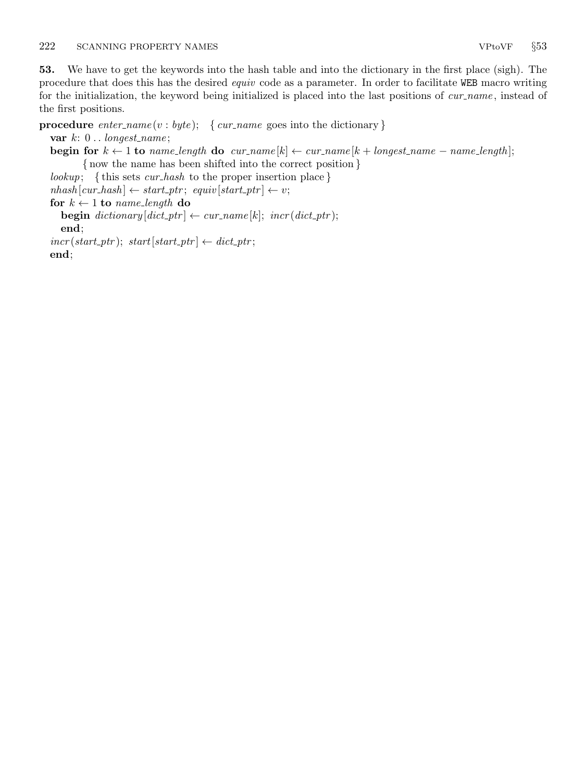53. We have to get the keywords into the hash table and into the dictionary in the first place (sigh). The procedure that does this has the desired equiv code as a parameter. In order to facilitate WEB macro writing for the initialization, the keyword being initialized is placed into the last positions of *cur name*, instead of the first positions.

**procedure** enter\_name(v: byte); { cur\_name goes into the dictionary }

var  $k: 0$ ... longest\_name;

begin for  $k \leftarrow 1$  to name\_length do cur\_name  $[k] \leftarrow cur_name[k] + longest_name - name_length];$ { now the name has been shifted into the correct position }

lookup; {this sets *cur\_hash* to the proper insertion place }  $nhash[cur\_hash] \leftarrow start\_ptr; \; \textit{equiv[start\_ptr]} \leftarrow v;$ for  $k \leftarrow 1$  to name\_length do **begin** dictionary  $[dict\_ptr] \leftarrow cur_name[k];$  incr(dict\_ptr); end;  $incr(start\_ptr); start[start\_ptr] \leftarrow dict\_ptr;$ 

end;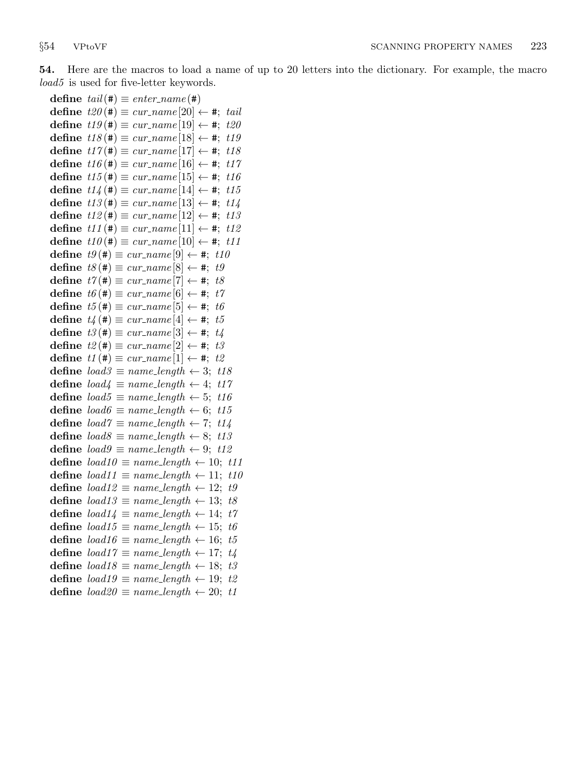54. Here are the macros to load a name of up to 20 letters into the dictionary. For example, the macro load5 is used for five-letter keywords.

```
define tail(\#) \equiv enter_name(\#)define t20 (\#) \equiv \text{cur_name}[20] \leftarrow *, \text{tail}define t19 (\#) \equiv \text{cur_name} [19] \leftarrow *, \; t20define t18 (\#) \equiv \text{cur_name} [18] \leftarrow *, t19define t17(\texttt{#}) \equiv \textit{cur_name}[17] \leftarrow \texttt{#}; \; t18define t16 (\#) \equiv \text{cur_name} [16] \leftarrow 4; t17define t15 (\#) \equiv \text{cur_name}[15] \leftarrow 4; t16define t14 \text{ } (\#) \equiv \text{cur_name}[14] \leftarrow \#; t15define t13(\texttt{#}) \equiv \textit{cur_name}[13] \leftarrow \texttt{#}; \; t14define t12 (\#) \equiv \text{cur_name}[12] \leftarrow \#; t13define t11 (#) \equiv cur_name[11] \leftarrow #; t12
define t10 (\#) \equiv \text{cur_name} [10] \leftarrow \#; t11define t\theta(\textbf{m}) \equiv cur\_name[9] \leftarrow \textbf{m}; t10define t8 (\#) \equiv \text{cur_name}[8] \leftarrow 4; t9define t\mathcal{T}(\#) \equiv \text{cur_name}[7] \leftarrow \#; t\mathcal{S}define t6 (\#) \equiv \text{cur_name}[6] \leftarrow \#; t7define t5 (\#) \equiv \text{cur_name}[5] \leftarrow \#; t6define t/4 (#) \equiv cur_name[4] \leftarrow #; t5
define t3(\texttt{\#}) \equiv \textit{cur_name}[3] \leftarrow \texttt{\#}; t4define t2(\textbf{\#}) \equiv \text{cur_name}[2] \leftarrow \textbf{\#}; \; t3define t1 (\#) \equiv \text{cur_name}[1] \leftarrow \#; t2define load3 \equiv name\_length \leftarrow 3; t18
define load4 \equiv name\_length \leftarrow 4; t17
define load5 \equiv name\_length \leftarrow 5; t16
define load6 \equiv name\_length \leftarrow 6; t15
define load7 \equiv name\_length \leftarrow 7; t14
define load8 \equiv name\_length \leftarrow 8; t13define load9 \equiv name\_length \leftarrow 9; t12
define load10 \equiv name\_length \leftarrow 10; t11
define load11 \equiv name\_length \leftarrow 11; t10define load12 \equiv name\_length \leftarrow 12; t9
define load13 \equiv name\_length \leftarrow 13; t8define load14 \equiv name\_length \leftarrow 14; t7define load15 \equiv name\_length \leftarrow 15; t6
define load16 \equiv name\_length \leftarrow 16; t5
define load17 \equiv name\_length \leftarrow 17; t4
define load18 \equiv name\_length \leftarrow 18; t3
define load19 \equiv name\_length \leftarrow 19; t2
define load20 \equiv name\_length \leftarrow 20; t1
```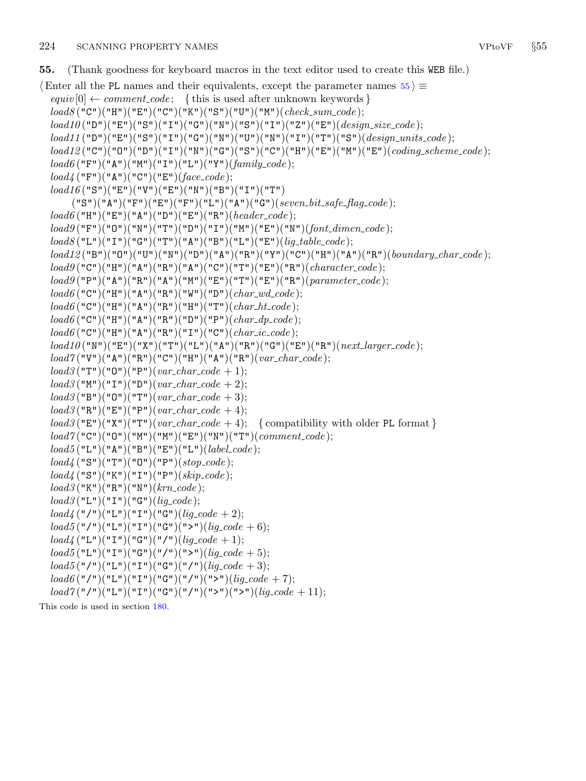```
55. (Thank goodness for keyboard macros in the text editor used to create this WEB file.)
```

```
\{ Enter all the PL names and their equivalents, except the parameter names 55 \}\equivequiv[0] \leftarrow comment\_code; \{ this is used after unknown keywords \}load8("C")("H")("E")("C")("K")("S")("U")("M")(<i>check\_sum\_code</i>);load10 ("D")("E")("S")("I")("G")("N")("S")("I")("Z")("E")(design_size_code);
  load11 ("D")("E")("S")("I")("G")("N")("U")("N")("I")("T")("S")(design\_units\_code);
  load12 ("C")("D")("I")("N")("G")("S")("C")("H")("E")("M")("E")(coding_scheme_code);
  load6("F")("A")("M")("I")("L")("Y") (family_code);load\{(\text{``F''})(\text{``A''})(\text{``C''})(\text{``E''})(face\_code);load16("S")("E")("V")("E")("N")("B")("I")("T")("S")("A")("F")("E")("F")("L")("A")("G")(<i>seven\_bit\_safe\_flag\_code</i>);load6 ("H")("E")("A")("D")("E")("R")(header\_code);
  load9("F")("O")("N")("T")("O")("T")("I")("M")("E")("N") (font\_dimen\_code);load8("L")("I")("G")("T")("A")("B")("L")("E")("E")(<i>lig_table_code</i>);load12\,("B")("O")("U")("N")("D")("A")("A")("R")("C")("C")("H")("A")("R")"() (boxndary\_char\_code);load9("C")("H")("A")("R")("A")("C")("C")("T")("E")("R")(<i>character\_code</i>);load9("P")("A")("R")("A")("M")("E")("E")("E")("R")("R")(<i>parameter\_code</i>);load6 ("C")("H")("A")("R")("W")("D")(char\_wd\_code);
  load6 ("C")("H")("A")("R")("H")("T")(char\_ht\_code);
  load6 ("C")("H")("A")("R")("D")("P")(char\_dp\_code);
  load6("C")("H")("A")("R")("I")("C")(<i>char\_ic\_code</i>);load10 ("N")("E")("X")("T")("L")("A")("R")("G")("E")("E")("R")(next_larger_code);
  load7("V")("A")("R")("C")("H")("H")("A")("R")(<i>var\_char\_code</i>);load3("T")("O")("P")(var\_char\_code + 1);load3 ("M")("I")("Q")(var\_char\_code + 2);load3 ("B")("O")("T")(var\_char\_code + 3);
  load3 ("R")("E")("P")(var\_char\_code + 4);
  load3 ("E")("X")("T")(var_char_code + 4); { compatibility with older PL format }
  load7("C")("D")("M")("M")("E")("N")("T")(<i>comment</i><sub>-code</sub>);load5("L")("A")("B")("E")("L") (label\_code);load4 ("S")("T")("O")("P")(stop_code);
  load4 ("S")("K")("I")("P")(skip\_code);
  load3("K")("R")("N")(krn\_code);load3("L")("I")("G")({liq\_code});load_4 ("/")("L")("I")("G")(lig\_code + 2);
  load5("/")("L")("I")("G")("G")(<i>lig\_code + 6</i>);load\{ ("L") ("I")("G")("G")("I") (lig_code + 1);load5("L")("I")("G")("A")("I")("2") (liq_code + 5);load5("/")("L")("I")("G")("G")((<i>lig\_code + 3</i>);load6("/")("L")("I")("G")("G")("/")(">")(<i>lig\_code + 7</i>);load7("/")("L")("I")("G")("G")("/")(">")("P")(<i>lig\_code + 11</i>);
```
This code is used in section [180.](#page-63-0)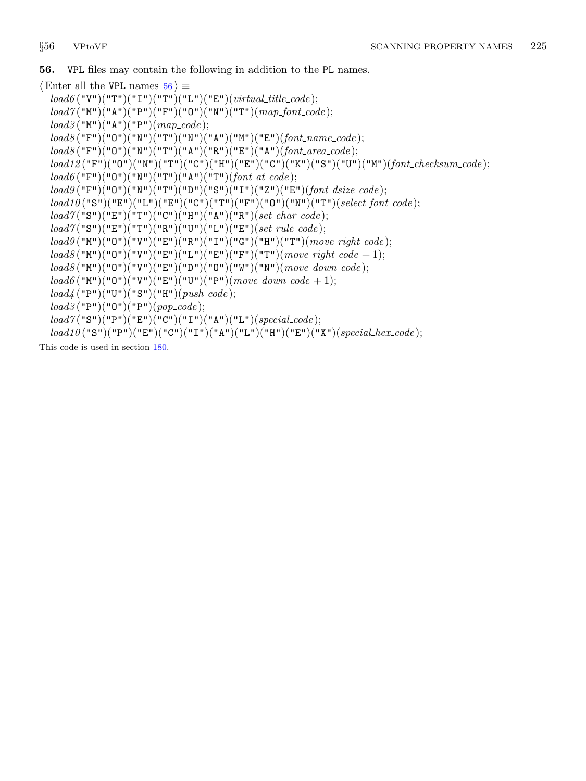56. VPL files may contain the following in addition to the PL names.

```
\langle Enter all the VPL names 56 \rangle \equivload6("V")("T")("I")("T")("L")("L")("E")(virtual\_title\_code);load7("M")("A")("P")("F")("O")("N")("T")("T")(<math>map\_font\_code</math>);load3("M")("A")("P")(<math>map\_code</math>);load8("F")("O")("N")("T")("N")("N")("A")("M")("E") (font_name_code);load8("F")("O")("N")("T")("A")("R")("E")("A")("A") (fort_area\_code);load12("F")("O")("N")("T")("C")("H")("E")("C")("C")("R")("S")("U"")("M") (font\_checksum. code);load6("F")("O")("N")("T")("A")("T")(<i>font_at_code</i>);load9("F")("O")("N")("T")("O")("O")("S")("S")("I")("Z")("E") (font\_disize\_code);load10 ("S")("E")("L")("E")("C")("T")("F")("O")("N")("T")(select\_font\_code);
  load7("S")("E")("T")("C")("H")("A")("R")(<i>set\_char\_code</i>);load7("S")("E")("T")("R")("U")("L")("E")(<i>set_rule\_code</i>);load9("M")("O")("V")("E")("R")("I")("G")("H")("T")("T")(<i>move\_right\_code</i>);load8("M")("O")("V")("E")("L")("E")("F")("T")("T")(<i>move\_right\_code + 1);\textit{load8} ("M")("O")("V")("E")("O")("O")("W")("N")(\textit{move\_down\_code});
  load6("M")("O")("V")("E")("U")("P")(<i>move\_down\_code + 1</i>);load_4 ("P")("U")("S")("H")(push\_code);
  load3("P")("O")("P")(pop\_code);load7("S")("P")("E")("C")("I")("A")("L")(<i>special-code</i>);load10 ("S")("P")("E")("C")("I")("A")("L")("H")("E")("X")(special\_hex\_code);
```
This code is used in section [180.](#page-63-0)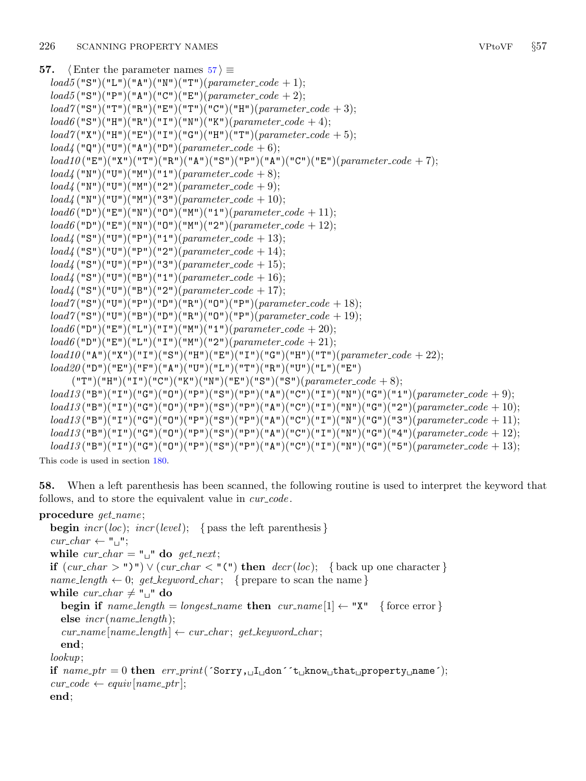```
57. (Enter the parameter names 57 \geqload5("S")("L")("A")("N")("T")(<i>parameter\_code + 1);load5("S")("P")("A")("C")("E")(<i>parameter\_code + 2</i>);load7("S")("T")("R")("E")("T")("C")("C")("H")(<i>parameter\_code + 3</i>);load6 ("S")("H")("R")("I")("N")("K")(parameter_code + 4);
  load7("X")("H")("E")("I")("G")("H")("H")("T")(<i>parameter</i> = code + 5);load_4 ("Q")("U")("A")("D")(parameter_code + 6);
  load10("E")("X")("T")("R")("A")("S")("P")("A")("C")("E")(<i>parameter_code</i> + 7);load_4 ("N")("U")("M")("1")(parameter_code + 8);
  load_4 ("N")("U")("M")("2")(parameter_code + 9);
  load_4 ("N")("U")("M")("3")(parameter_code + 10);
  load6("D")("E")("N")("O")("M")("M")("1")(<i>parameter\_code + 11);load6("D")("E")("N")("O")("M")("2")(<i>parameter\_code + 12</i>);load_4 ("S")("U")("P")("1")(parameter_code + 13);
  load( ("S")("U")("P")("2")(parameter_code + 14);
  load_4 ("S")("U")("P")("3")(parameter_code + 15);
  load_4 ("S")("U")("B")("1")(parameter_code + 16);
  load_4 ("S")("U")("B")("2")(parameter_code + 17);
  load7("S")("U")("P")("D")("R")("O")("P")(<i>parameter\_code + 18</i>);load7("S")("U")("B")("D")("R")("O")("P")(<i>parameter\_code + 19</i>);load6("D")("E")("L")("I")("M")("M")("1")(<i>parameter\_code + 20</i>);load6("D")("E")("L")("I")("M")("2")(<i>parameter\_code + 21</i>);load10("A")("X")("I")("S")("B")("E")("I")("I")("G")("H")("I")(<i>parameter-code + 22</i>);load20 ("D")("E")("F")("A")("U")("L")("T")("R")("U")("L")("E")
      ("T")("H")("I")("C")("K")("N")("E")("S")("S")(<i>parameter\_code + 8</i>);load13 ("B")("I")("G")("D")("P")("B")("P")("A")("C")("I")("N")("G")("1")(parameter_code + 9);
  load13 ("B")("I")("G")("D")("B")("S")("P")("A")("C")("I")("N")("G")("2")(parameter_code + 10);
  load13 ("B")("I")("G")("O")("P")("S")("P")("A")("C")("I")("N")("G")("3")(parameter_code + 11);
  load13 ("B")("I")("G")("O")("P")("S")("P")("A")("C")("I")("N")("G")("4")(parameter_code + 12);
  load13 ("B")("I")("G")("O")("P")("S")("P")("A")("C")("I")("N")("G")("5")(parameter_code + 13);
```
This code is used in section [180.](#page-63-0)

58. When a left parenthesis has been scanned, the following routine is used to interpret the keyword that follows, and to store the equivalent value in  $cur\_code$ .

## procedure  $get_name$ ;

```
begin incr(loc); incr(level); { pass the left parenthesis }
cur\_char \leftarrow "\cdots"while cur\_char = "u" do get_next;
if (cur_{char} > ")') \vee (cur_{char} < "("") then decr(loc); { back up one character }
name_length \leftarrow 0; get_keyword(char; \{ prepare to scan the name\})while cur\_char \neq " \sqcup" do
  begin if name_length = longest_name then cur_name[1] \leftarrow "X" { force error }
  else \textit{incr}(\textit{name\_length});cur_name[name_length] \leftarrow cur\_char; get\_keyword\_char;end;
lookup;
if name\_ptr = 0 then err\_print('Sory, \text{J\_don'}^t\_know \text{J}^t\_know \text{J}^t\_property\_name');cur\_code \leftarrow equiv(name\_ptr);end;
```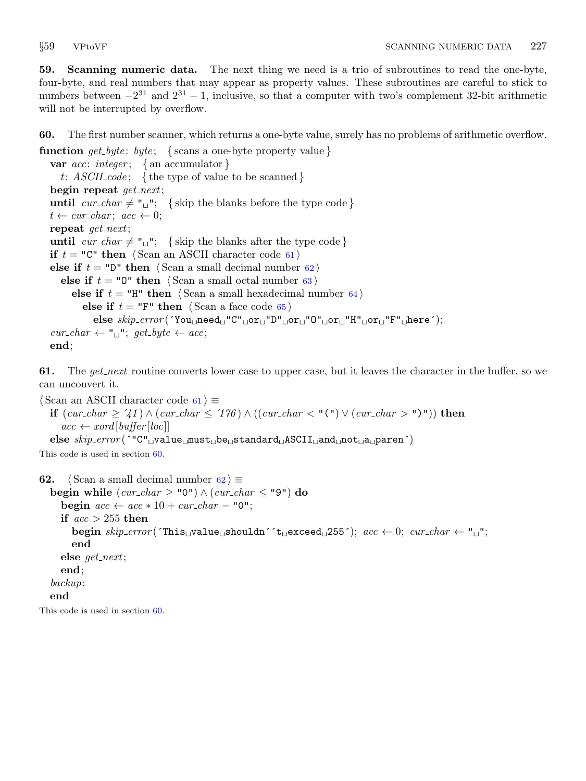<span id="page-26-0"></span>59. Scanning numeric data. The next thing we need is a trio of subroutines to read the one-byte, four-byte, and real numbers that may appear as property values. These subroutines are careful to stick to numbers between  $-2^{31}$  and  $2^{31} - 1$ , inclusive, so that a computer with two's complement 32-bit arithmetic will not be interrupted by overflow.

60. The first number scanner, which returns a one-byte value, surely has no problems of arithmetic overflow.

```
function get\_byte: byte; {scans a one-byte property value }
  var acc: integer; { an accumulator }
     t: \text{ASCII\_code}; {the type of value to be scanned }
  begin repeat get\_next;until \text{cur}\_\text{char} \neq "_1"; { skip the blanks before the type code }
  t \leftarrow cur_{char}; acc \leftarrow 0;repeat get.next;until \text{cur}\_\text{char} \neq " " \vdots { skip the blanks after the type code }
  if t = "C" then \langle Scan an ASCII character code 61\rangleelse if t = "D" then \langle Scan a small decimal number 62\rangleelse if t = "0" then \langle63\rangleelse if t = "H" then \langle64\rangleelse if t = "F" then \langle65\rangleelse skip_error (You\_\text{need}\_\text{''C"\_\text{''D"\_\text{''D"\_\text{''D"\_\text{''D"\_\text{''H"\_\text{''T"\_\text{``here'}$}}};cur\_char \leftarrow "\sqcup"; get_byte \leftarrow acc;end;
```
61. The get next routine converts lower case to upper case, but it leaves the character in the buffer, so we can unconvert it.

 $\langle$  Scan an ASCII character code 61 $\rangle \equiv$ if (cur char ≥ ´41 ) ∧ (cur char ≤ ´176 ) ∧ ((cur char < "(") ∨ (cur char > ")")) then  $acc \leftarrow xord[buffer[loc]]$ 

else  $skip_error$  ( $"C"$ <sub>u</sub>value must be standard  $ASCII$  and not a paren<sup>{</sup>)

This code is used in section 60.

```
62. \langle Scan a small decimal number 62 \rangle \equivbegin while (cur\_char \geq "0") \wedge (cur\_char \leq "9") do
     begin acc \leftarrow acc * 10 + cur\_char - "0";if acc > 255 then
        begin skip\_error( This_1value_2shouldn^ t<sub>u</sub>exceed_2255^; acc \leftarrow 0; cur\_char \leftarrow "_1";
        end
     else get\_next;end;
  backup;
  end
```
This code is used in section 60.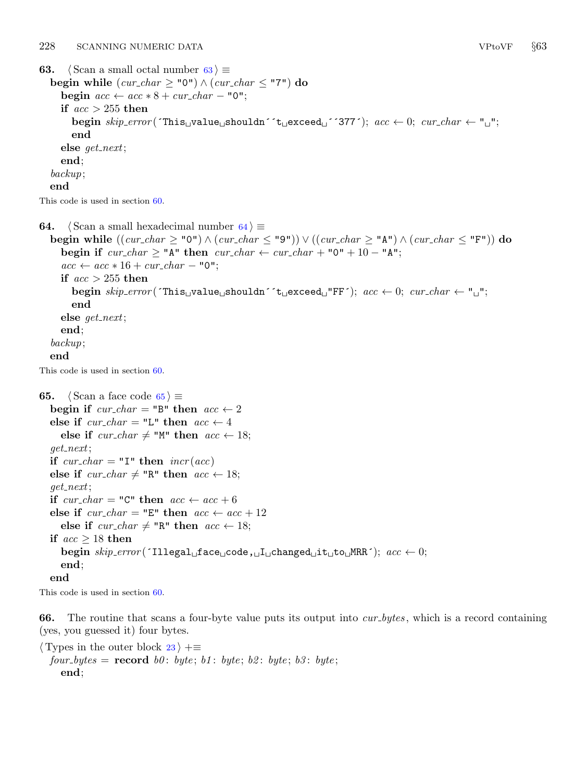```
63. \langle Scan a small octal number 63 \rangle \equivbegin while (cur\_char \geq "0") \wedge (cur\_char \leq "7") do
     begin acc \leftarrow acc * 8 + cur\_char - "0";if acc > 255 then
       begin skip\_error( This value shouldn 't exceed '377'); acc \leftarrow 0; cur char \leftarrow "\sqcup";
       end
     else get\_next;end;
  backup;
  end
```

```
This code is used in section 60.
```

```
64. \langle Scan a small hexadecimal number 64\rangle \equivbegin while ((cur\_char \geq "0") \wedge (cur\_char \leq "9") \vee ((cur\_char \geq "A") \wedge (cur\_char \leq "F")) do
     begin if cur\_char \geq "A" then cur\_char \leftarrow cur\_char + "0" + 10 - "A";
     acc \leftarrow acc * 16 + cur\_char - "0";if acc > 255 then
        begin skip\_error( This value shouldn ' t exceed "FF'); acc \leftarrow 0; cur char \leftarrow "\sqcup";
        end
     else get.next;end;
  backup;
  end
This code is used in section 60.
65. (Scan a face code 65) \equivbegin if cur\_char = "B" then acc \leftarrow 2else if cur\_char = "L" then acc \leftarrow 4else if cur\_char \neq "M" then acc \leftarrow 18;get_next;
  if cur\_char = "I" then incr(acc)else if cur\_char \neq "R" then acc \leftarrow 18;get_next;
  if cur char = "C" then acc \leftarrow acc + 6else if cur\_char = "E" then acc \leftarrow acc + 12else if cur_{char} \neq "R" then acc \leftarrow 18;if acc \geq 18 then
     begin skip\_error( [Illegal _1face_1code, _1I<sub>\cup</sub>changed_1it_1to_1MRR^{\circ}); acc \leftarrow 0;end;
```
This code is used in section [60](#page-26-0).

end

**66.** The routine that scans a four-byte value puts its output into *cur-bytes*, which is a record containing (yes, you guessed it) four bytes.

```
\langle23 \rangle +≡
 four_bytes = \mathbf{record}\ b0: byte; b1: byte; b2: byte; b3: byte;
    end;
```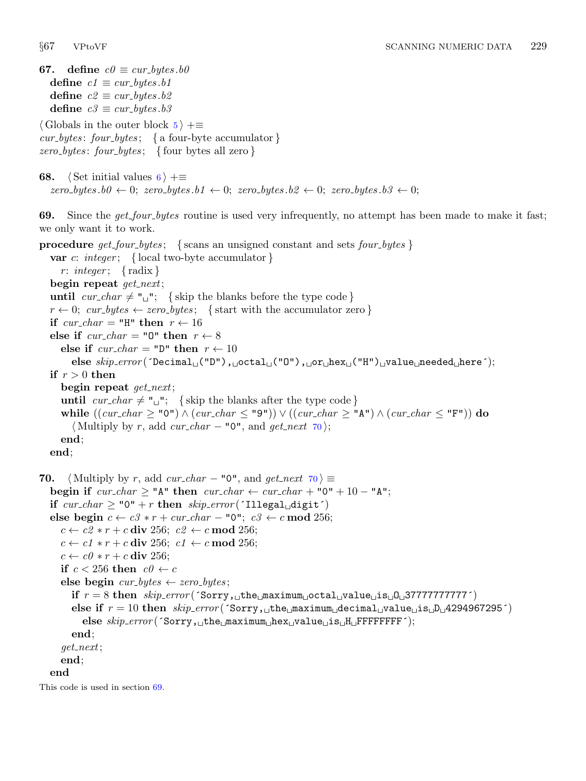```
67. define c\theta \equiv cur_bytes.b\thetadefine c1 \equiv cur_bytes.b1define c2 \equiv cur_bytes.b2define c3 \equiv cur_bytes.b3\langle Globals in the outer block 5 \rangle + \equivcur_bytes: four_bytes; \{ a four-byte accountator \}zero\_bytes: four\_bytes; { four bytes all zero }
68. \langle Set initial values 6 \rangle +≡
  zero\_bytes.b0 \leftarrow 0; zero\_bytes.b1 \leftarrow 0; zero\_bytes.b2 \leftarrow 0; zero\_bytes.b3 \leftarrow 0;69. Since the get-four-bytes routine is used very infrequently, no attempt has been made to make it fast;
we only want it to work.
procedure get_four_bytes; { scans an unsigned constant and sets four_bytes }
  var c: integer; { local two-byte accumulator }
     r: integer; { radix }
  begin repeat get.next;until \text{cur}\_\text{char} \neq " \sqcup"; { skip the blanks before the type code }
  r \leftarrow 0; cur_bytes \leftarrow zero_bytes; {start with the accumulator zero }
  if cur_char = "H" then r \leftarrow 16else if cur\_char = "0" then r \leftarrow 8else if cur\_char = "D" then r \leftarrow 10else skip\_error( \text{Decimal}_{\sqcup}("D"), \sqcup \text{total}_{\sqcup}("O"), \sqcup \text{or}_{\sqcup}hex\sqcup("H")\sqcupvalue\sqcupneeded\sqcuphere´);
  if r > 0 then
     begin repeat get\_next;
     until cur\_char \neq "u"; {skip the blanks after the type code }
     while ((cur\_char \geq "0") \land (cur\_char \leq "9") \lor ((cur\_char \geq "A") \land (cur\_char \leq "F")) do
        \langle Multiply by r, add cur_char – "0", and get_next 70\rangle;
     end;
  end;
70. \langle Multiply by r, add cur_char − "0", and get_next \langle 70 \rangle \equivbegin if cur_{char} > "A" then cur_{char} \leftarrow cur_{char} + "0" + 10 - "A";
  if cur\_char \geq "0" + r then skip\_error( [Illegal digit')
  else begin c \leftarrow c3 \cdot r + cur\_char - "0"; c3 \leftarrow c \mod 256;c \leftarrow c2 \cdot r + c div 256; c2 \leftarrow c \mod 256;
     c \leftarrow c1 \cdot r + c div 256; c1 \leftarrow c \mod 256;
     c \leftarrow c\theta * r + c div 256:
     if c < 256 then c\theta \leftarrow celse begin cur_bytes \leftarrow zero_bytes;if r = 8 then skip_error( Sorry, the maximum octal value is 0.377777777777'else if r = 10 then skip\_error( Sorry, the maximum decimal value is D_u4294967295 )
          else skip\_error('Sorry, \text{http://maximum} \text{__hex} \text{__value} \text{__is} \text{__H} \text{__FFFFFFFT};
       end;
     get_next;
     end;
  end
This code is used in section 69.
```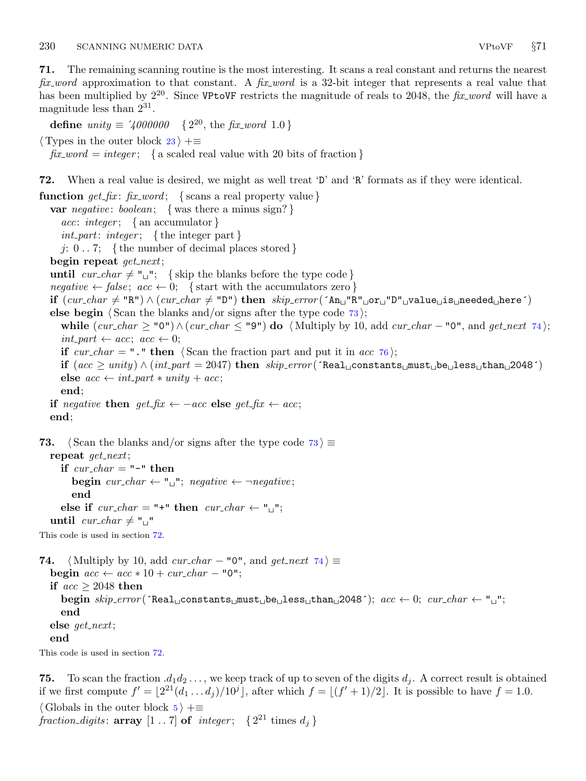<span id="page-29-0"></span>71. The remaining scanning routine is the most interesting. It scans a real constant and returns the nearest fix word approximation to that constant. A fix word is a 32-bit integer that represents a real value that has been multiplied by  $2^{20}$ . Since VPtoVF restricts the magnitude of reals to 2048, the fix-word will have a magnitude less than  $2^{31}$ .

define unity  $\equiv$  '4000000 { 2<sup>20</sup>, the fix-word 1.0}  $\langle$  Types in the outer block [23](#page-11-0)  $\rangle$  +≡  $fix\_word = integer; \{ a scaled real value with 20 bits of fraction \}$ 

72. When a real value is desired, we might as well treat 'D' and 'R' formats as if they were identical.

function get fix: fix word; { scans a real property value } var negative: boolean; { was there a minus sign?}  $acc: integer; \{ an accumulator\}$ int part: integer; {the integer part} j:  $0 \ldots 7$ ; { the number of decimal places stored } begin repeat  $get\_next;$ until cur char  $\neq$  " $\sqcup$ "; { skip the blanks before the type code }  $negative \leftarrow false$ ;  $acc \leftarrow 0$ ; {start with the accumulators zero } if  $(cur\_char \neq \text{TR}^m) \wedge (cur\_char \neq \text{TD}^m)$  then  $skip\_error('An\_'\text{R}^m \cup \text{OT}^m \text{D}^n \cup \text{value\_is\_needed\_here'})$ else begin  $\langle$  Scan the blanks and/or signs after the type code  $\langle$  73 $\rangle$ ; while  $(cur_{char} \geq "0") \wedge (cur_{char} \leq "9")$  do  $\langle$  Multiply by 10, add cur char −"0", and get next 74 $\rangle$ ;  $int_{\mathcal{A}} part \leftarrow acc; acc \leftarrow 0;$ if cur char = "." then  $\langle$  Scan the fraction part and put it in acc [76](#page-30-0) $\rangle$ ; if  $(ac \ge unity) \wedge (int-part = 2047)$  then  $skip_error$  ( $Real_{\Box}constant$ s<sub>i</sub>must<sub>i</sub>be<sub>il</sub>less<sub>il</sub>than<sub>1</sub>2048<sup>-</sup>) else  $acc \leftarrow int\_part * unity + acc;$ end; if negative then get\_fix  $\leftarrow -acc$  else get\_fix  $\leftarrow acc;$ end; 73.  $\langle$  Scan the blanks and/or signs after the type code 73  $\rangle \equiv$ repeat  $get.next;$ if  $cur\_char = "−"$  then **begin**  $cur\_char \leftarrow "u"$ ; negative  $\leftarrow \neg negative$ ; end else if  $cur\_char = "\dagger"$  then  $cur\_char \leftarrow "\dagger"$ ; until  $cur\_char \neq "$  " This code is used in section 72. **74.**  $\langle$  Multiply by 10, add *cur\_char* − "0", and *get\_next* 74 $\rangle \equiv$ begin  $acc \leftarrow acc * 10 + cur\_char - "0";$ if  $acc \geq 2048$  then begin  $skip\_error($   $\text{Real}\_\text{consents\_must\_be\_less}\_\text{than\_2048'}$ ;  $acc \leftarrow 0$ ;  $cur\_char \leftarrow " \sqcup" ;$ end else  $get.next;$ end This code is used in section 72.

75. To scan the fraction  $d_1d_2\ldots$ , we keep track of up to seven of the digits  $d_i$ . A correct result is obtained if we first compute  $f' = \lfloor 2^{21}(d_1 \ldots d_j)/10^j \rfloor$ , after which  $f = \lfloor (f' + 1)/2 \rfloor$ . It is possible to have  $f = 1.0$ .  $\langle$  Globals in the outer block  $5 \rangle + \equiv$  $5 \rangle + \equiv$ fraction\_digits:  $array [1.. 7]$  of  $integer; \{2^{21} \text{ times } d_j\}$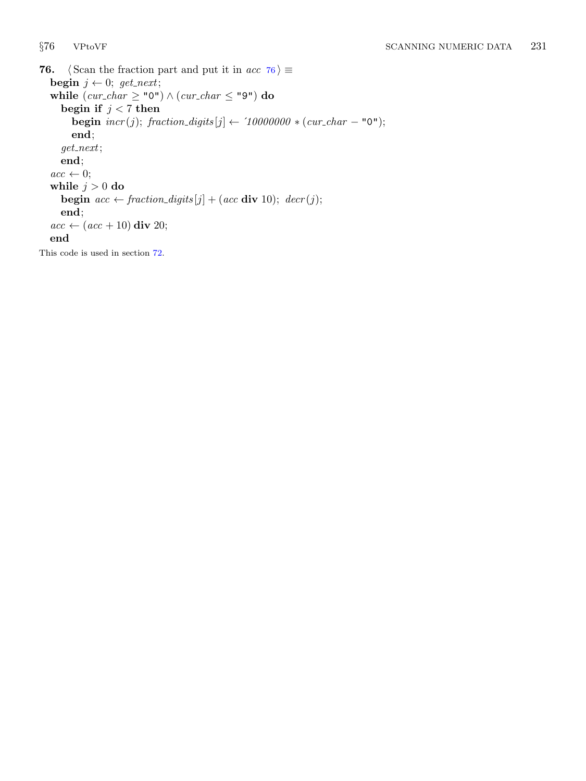```
76. \langle Scan the fraction part and put it in acc 76 \rangle \equivbegin j \leftarrow 0; get_next;
  while \left(\mathit{cur\_char} \geq "0"\right) \wedge \left(\mathit{cur\_char} \leq "9"\right) do
      begin if j < 7 then
         begin \text{incr}(j); fraction_digits [j] \leftarrow \text{'10000000} * (\text{cur}\text{-}\text{char} - "0");end;
      get_next;
      end;
   acc \leftarrow 0;while j>0 do
      begin acc \leftarrow fraction\_digits[j] + (acc \div 10); decr(j);end;
   acc \leftarrow (acc + 10) div 20;
  end
This code is used in section 72.
```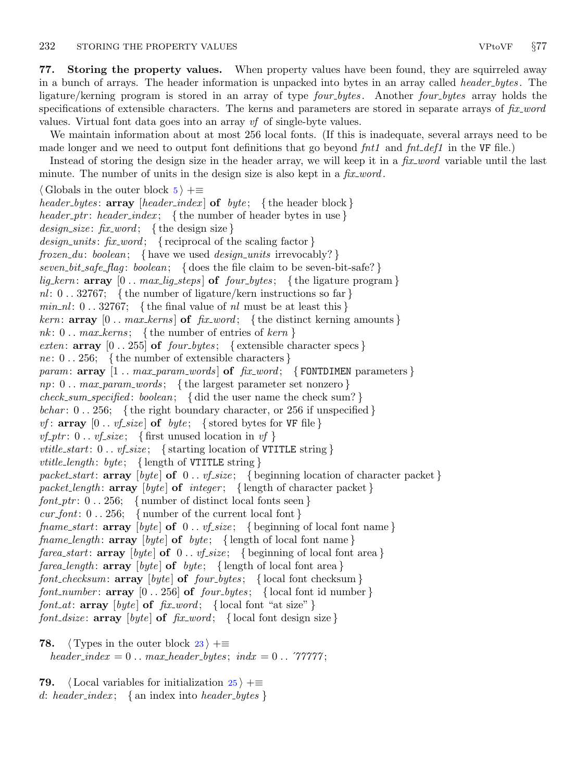<span id="page-31-0"></span>77. Storing the property values. When property values have been found, they are squirreled away in a bunch of arrays. The header information is unpacked into bytes in an array called header bytes. The ligature/kerning program is stored in an array of type *four-bytes*. Another *four-bytes* array holds the specifications of extensible characters. The kerns and parameters are stored in separate arrays of  $fix\_word$ values. Virtual font data goes into an array vf of single-byte values.

We maintain information about at most 256 local fonts. (If this is inadequate, several arrays need to be made longer and we need to output font definitions that go beyond  $fnt1$  and  $fnt\_def1$  in the VF file.)

Instead of storing the design size in the header array, we will keep it in a  $fix\_word$  variable until the last minute. The number of units in the design size is also kept in a  $\operatorname{fix}$ -word.

 $\langle$  Globals in the outer block [5](#page-2-0)  $\rangle$  += header\_bytes:  $array$  [header\_index] of byte; {the header block} header\_ptr: header\_index; {the number of header bytes in use} design\_size:  $fix\_word$ ; {the design size} design\_units: fix\_word; { reciprocal of the scaling factor } frozen\_du: boolean; { have we used  $design\_units$  irrevocably?} seven bit safe flag: boolean; { does the file claim to be seven-bit-safe?} lig\_kern:  $array [0.. max\_lig\_steps]$  of  $four\_bytes; \{$  the ligature program } nl:  $0 \ldots 32767$ ; {the number of ligature/kern instructions so far}  $min\_nl$ : 0... 32767; {the final value of nl must be at least this} kern: **array**  $[0 \tcdot \text{max\_terms}]$  of fix word; { the distinct kerning amounts} nk:  $0 \ldots max\! = \{$  the number of entries of kern  $\}$ exten:  $array [0.. 255]$  of  $four_bytes$ ; {extensible character specs} ne:  $0$ ... 256; {the number of extensible characters } param:  $array \; [1.. \; max\_param\_words]$  of  $fix\_word;$  {FONTDIMEN parameters} np:  $0 \ldots max\_param\_words; \{ the largest parameter set nonzero \}$ check\_sum\_specified: boolean; { did the user name the check sum?} bchar:  $0 \ldots 256$ ; {the right boundary character, or 256 if unspecified } *vf*: **array**  $[0 \tcdot \tcdot \tcdot yf_size]$  of *byte*; {stored bytes for VF file } *vf\_ptr*:  $0 \ldots v$ *f\_size*; { first unused location in  $v$ *f* } *vtitle\_start*:  $0 \ldots vf\_size$ ; { starting location of **VTITLE** string } *vtitle\_length*: *byte*; { length of **VTITLE** string } packet start: **array** [byte] **of**  $0 \dots vf$ -size; { beginning location of character packet } packet\_length:  $array [byte] of integer; {\text{length of character packet}}$ font ptr:  $0 \ldots 256$ ; { number of distinct local fonts seen }  $cur\_font: 0...256; \{ number of the current local font \}$ frame\_start: **array** [byte] **of** 0.. vf\_size; { beginning of local font name } frame\_length:  $array [byte] of byte; {length of local font name}$ farea start: **array** [byte] **of**  $0 \dots v f$ -size; { beginning of local font area } farea length:  $array [byte] of byte; {length of local font area}$ font\_checksum:  $array [byte] of four_bytes; \{local font checksum\}$ font\_number:  $array [0.. 256] of four_bytes;$  {local font id number} font\_at: array [byte] of fix\_word; { local font "at size" } font\_dsize:  $array [byte] of$  fix\_word; { local font design size}

78.  $\langle$  Types in the outer block [23](#page-11-0)  $\rangle$  +≡ header\_index =  $0$ .. max\_header\_bytes; indx =  $0$ ..  $\gamma\gamma\gamma\gamma\gamma$ ;

79.  $\langle$  Local variables for initialization [25](#page-11-0)  $\rangle$  +≡ d: header\_index; { an index into header\_bytes }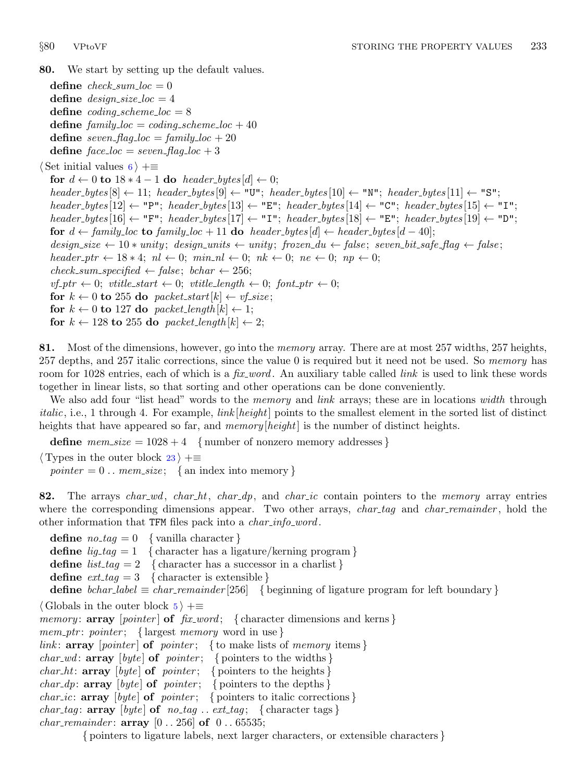<span id="page-32-0"></span>80. We start by setting up the default values.

define  $check\_sum\_loc = 0$ define  $design\_size\_loc = 4$ define  $coding\_scheme\_loc = 8$ define  $family\_loc = coding\_scheme\_loc + 40$ define  $seven\_flag\_loc = family\_loc + 20$ define  $face\_loc = seven\_flag\_loc + 3$  $\langle$  Set initial values [6](#page-2-0)  $\rangle$  +≡ for  $d \leftarrow 0$  to  $18 * 4 - 1$  do header\_bytes  $[d] \leftarrow 0$ ; header\_bytes  $[8]$  ← 11; header\_bytes  $[9]$  ← "U"; header\_bytes  $[10]$  ← "N"; header\_bytes  $[11]$  ← "S"; header\_bytes  $[12]$  ← "P"; header\_bytes  $[13]$  ← "E"; header\_bytes  $[14]$  ← "C"; header\_bytes  $[15]$  ← "I"; header\_bytes [16] ← "F"; header\_bytes [17] ← "I"; header\_bytes [18] ← "E"; header\_bytes [19] ← "D"; for  $d \leftarrow \text{family\_loc}$  to family loc + 11 do header bytes  $[d] \leftarrow \text{header\_bytes}[d-40]$ ;  $design\_size \leftarrow 10*$  unity; design\_units  $\leftarrow$  unity; frozen\_du  $\leftarrow$  false; seven\_bit\_safe\_flag  $\leftarrow$  false; header\_ptr  $\leftarrow$  18  $*$  4; nl  $\leftarrow$  0; min\_nl  $\leftarrow$  0; nk  $\leftarrow$  0; ne  $\leftarrow$  0; np  $\leftarrow$  0;  $check\_sum\_specified \leftarrow false; \; bchar \leftarrow 256;$ vf ptr ← 0; vtitle start ← 0; vtitle length ← 0; font ptr ← 0; for  $k \leftarrow 0$  to 255 do packet\_start  $|k| \leftarrow v f$ \_size; for  $k \leftarrow 0$  to 127 do packet\_length  $|k| \leftarrow 1$ ; for  $k \leftarrow 128$  to 255 do packet\_length  $|k| \leftarrow 2$ ;

81. Most of the dimensions, however, go into the *memory* array. There are at most 257 widths, 257 heights, 257 depths, and 257 italic corrections, since the value 0 is required but it need not be used. So *memory* has room for 1028 entries, each of which is a  $fix\_word$ . An auxiliary table called link is used to link these words together in linear lists, so that sorting and other operations can be done conveniently.

We also add four "list head" words to the *memory* and *link* arrays; these are in locations width through *italic*, i.e., 1 through 4. For example, *link* [height] points to the smallest element in the sorted list of distinct heights that have appeared so far, and memory [height] is the number of distinct heights.

define  $mem\_size = 1028 + 4$  { number of nonzero memory addresses }

 $\langle$  Types in the outer block [23](#page-11-0)  $\rangle$  +≡ pointer  $= 0$ .. mem\_size; { an index into memory }

82. The arrays *char\_wd*, *char\_ht*, *char\_dp*, and *char\_ic* contain pointers to the *memory* array entries where the corresponding dimensions appear. Two other arrays, *char tag* and *char remainder*, hold the other information that TFM files pack into a *char info word*.

define  $no\_tag = 0$  { vanilla character } define  $lig\_tag = 1$  { character has a ligature/kerning program } define  $list\_tag = 2$  { character has a successor in a charlist } define  $ext\_tag = 3$  { character is extensible } define *bchar\_label*  $\equiv$  *char\_remainder* [256] { beginning of ligature program for left boundary }  $\langle$  Globals in the outer block [5](#page-2-0)  $\rangle$  += memory:  $array[pointer]$  of  $fix\_word$ ; { character dimensions and kerns } mem\_ptr: pointer; { largest memory word in use } link:  $array[pointer]$  of pointer; {to make lists of memory items} *char\_wd:* array [byte] of pointer; { pointers to the widths } *char\_ht:* array  $[byte]$  of *pointer*; { pointers to the heights } *char\_dp*: **array** [*byte*] **of** pointer; { pointers to the depths } *char\_ic*: **array**  $[byte]$  of *pointer*; { pointers to italic corrections } *char\_tag*:  $array [byte] of no\_tag... ext\_tag; {\text{character tags}}$ *char\_remainder*:  $array [0.. 256] of 0.. 65535;$ 

{ pointers to ligature labels, next larger characters, or extensible characters }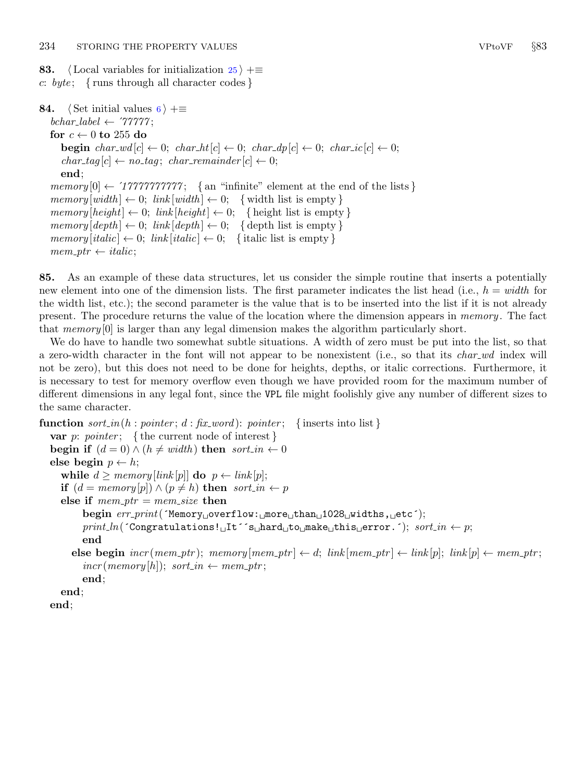<span id="page-33-0"></span>83. (Local variables for initialization  $25$ ) +≡ c: byte; { runs through all character codes }

```
84. \langle6 \rangle +≡
   bchar_label \leftarrow '77777;
  for c \leftarrow 0 to 255 do
      begin char_wd [c] \leftarrow 0; char_ht [c] \leftarrow 0; char_dp [c] \leftarrow 0; char_ic [c] \leftarrow 0;
      char\_tag [c] \leftarrow no\_tag; char_remainder [c] \leftarrow 0;
      end;
   memory[0] \leftarrow '17777777777; \{ an "infinite" element at the end of the lists \}memory[width] \leftarrow 0; link[width] \leftarrow 0; \{width list is empty\}memory[height] \leftarrow 0; link[height] \leftarrow 0; { height list is empty }
   memory[depth] \leftarrow 0; link[depth] \leftarrow 0; {\text{depth list is empty}}memory[italic] \leftarrow 0; link[italic] \leftarrow 0; \{ \text{italic list is empty} \}mem\_ptr \leftarrow italic;
```
85. As an example of these data structures, let us consider the simple routine that inserts a potentially new element into one of the dimension lists. The first parameter indicates the list head (i.e.,  $h = width$  for the width list, etc.); the second parameter is the value that is to be inserted into the list if it is not already present. The procedure returns the value of the location where the dimension appears in memory . The fact that memory  $[0]$  is larger than any legal dimension makes the algorithm particularly short.

We do have to handle two somewhat subtle situations. A width of zero must be put into the list, so that a zero-width character in the font will not appear to be nonexistent (i.e., so that its *char-wd* index will not be zero), but this does not need to be done for heights, depths, or italic corrections. Furthermore, it is necessary to test for memory overflow even though we have provided room for the maximum number of different dimensions in any legal font, since the VPL file might foolishly give any number of different sizes to the same character.

function  $sort_in(h: pointer; d: fix\_word): pointer; \{ inserts into list\}$ var p: pointer; { the current node of interest } **begin if**  $(d = 0) \wedge (h \neq width)$  then sort\_in  $\leftarrow 0$ else begin  $p \leftarrow h$ ; while  $d \geq \text{memory}[\text{link}[p]]$  do  $p \leftarrow \text{link}[p]$ ; if  $(d = memory[p]) \wedge (p \neq h)$  then sort\_in  $\leftarrow p$ else if  $mem\_ptr = mem\_size$  then  $beginerr\_print($  'Memory overflow:  $\text{unc}_\text{u}$ than 1028 widths, etc');  $print\_ln($  Congratulations! $_l$ It´´s $_l$ hard $_l$ to  $_l$ make  $_l$ this  $_l$ error.´); sort in  $\leftarrow p$ ; end else begin  $\text{incr}(\text{mem\_ptr})$ ; memory  $[\text{mem\_ptr}] \leftarrow d$ ;  $\text{link}(\text{mem\_ptr}] \leftarrow \text{link}[p]$ ;  $\text{link}[p] \leftarrow \text{mem\_ptr}$ ;  $incr$ (memory [h]); sort\_in  $\leftarrow$  mem\_ptr; end; end; end;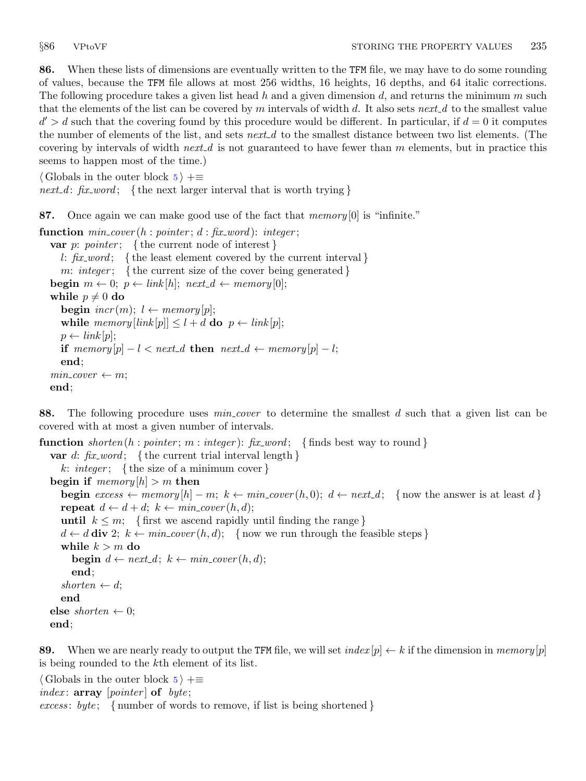<span id="page-34-0"></span>86. When these lists of dimensions are eventually written to the TFM file, we may have to do some rounding of values, because the TFM file allows at most 256 widths, 16 heights, 16 depths, and 64 italic corrections. The following procedure takes a given list head h and a given dimension d, and returns the minimum m such that the elements of the list can be covered by m intervals of width d. It also sets next d to the smallest value  $d' > d$  such that the covering found by this procedure would be different. In particular, if  $d = 0$  it computes the number of elements of the list, and sets next d to the smallest distance between two list elements. (The covering by intervals of width next d is not guaranteed to have fewer than  $m$  elements, but in practice this seems to happen most of the time.)

 $\langle$  Globals in the outer block [5](#page-2-0)  $\rangle$  +≡ next\_d: fix\_word; {the next larger interval that is worth trying }

87. Once again we can make good use of the fact that  $memory[0]$  is "infinite."

function  $min\_cover(h: pointer; d: fix\_word): integer;$ var  $p: pointer; \{ the current node of interest \}$ l: fix word; { the least element covered by the current interval } m: integer; {the current size of the cover being generated} **begin**  $m \leftarrow 0$ ;  $p \leftarrow link[h]$ ;  $next\_d \leftarrow memory[0]$ ; while  $p \neq 0$  do **begin**  $\text{incr}(m); l \leftarrow \text{memory}[p];$ while memory  $\left[link[p] \right] \leq l + d$  do  $p \leftarrow link[p]$ ;  $p \leftarrow link[p];$ if  $memory[p] - l < next_d$  then  $next_d \leftarrow memory[p] - l$ ; end;  $min\_cover \leftarrow m;$ end;

88. The following procedure uses *min-cover* to determine the smallest d such that a given list can be covered with at most a given number of intervals.

```
function shorten(h : pointer; m : integer): fix-word; {finds best way to round}
  var d: fix word; { the current trial interval length }
     k: integer; { the size of a minimum cover }
  begin if memory[h] > m then
     begin excess \leftarrow memory[h] - m; k \leftarrow min\_cover(h, 0); d \leftarrow next_d; \{now the answer is at least d\}repeat d \leftarrow d + d; k \leftarrow min\_cover(h, d);
     until k \leq m; { first we ascend rapidly until finding the range}
     d \leftarrow d div 2; k \leftarrow min\_cover(h, d); {now we run through the feasible steps }
     while k > m do
       begin d \leftarrow next\_d; k \leftarrow min\_cover(h, d);
       end;
     shorten \leftarrow d;
     end
  else shorten \leftarrow 0;
  end;
```
89. When we are nearly ready to output the TFM file, we will set  $index[p] \leftarrow k$  if the dimension in memory [p] is being rounded to the kth element of its list.

 $\langle$  Globals in the outer block [5](#page-2-0)  $\rangle$  + $\equiv$ index:  $array[pointer]$  of byte; excess: byte; { number of words to remove, if list is being shortened }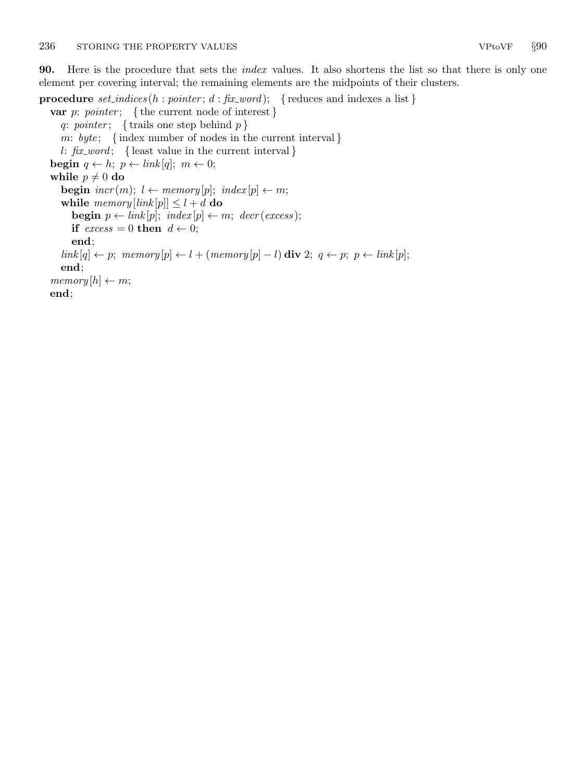90. Here is the procedure that sets the index values. It also shortens the list so that there is only one element per covering interval; the remaining elements are the midpoints of their clusters.

procedure  $set\_indices(h: pointer; d: fix\_word);$  { reduces and indexes a list }

var  $p: pointer; \{ the current node of interest \}$ q: pointer; { trails one step behind  $p$  } m: byte; {index number of nodes in the current interval} l: fix word; { least value in the current interval } **begin**  $q \leftarrow h$ ;  $p \leftarrow link[q]$ ;  $m \leftarrow 0$ ; while  $p \neq 0$  do **begin**  $\text{incr}(m); l \leftarrow \text{memory}[p]; \text{ index}[p] \leftarrow m;$ while memory  $\left[link[p] \right] \leq l + d$  do **begin**  $p \leftarrow link[p]$ ;  $index[p] \leftarrow m$ ;  $decr(excess)$ ; if  $excess = 0$  then  $d \leftarrow 0$ ; end; link [q] ← p; memory [p] ← l + (memory [p] – l) div 2;  $q \leftarrow p$ ;  $p \leftarrow link$  [p]; end;  $memory[h] \leftarrow m;$ end;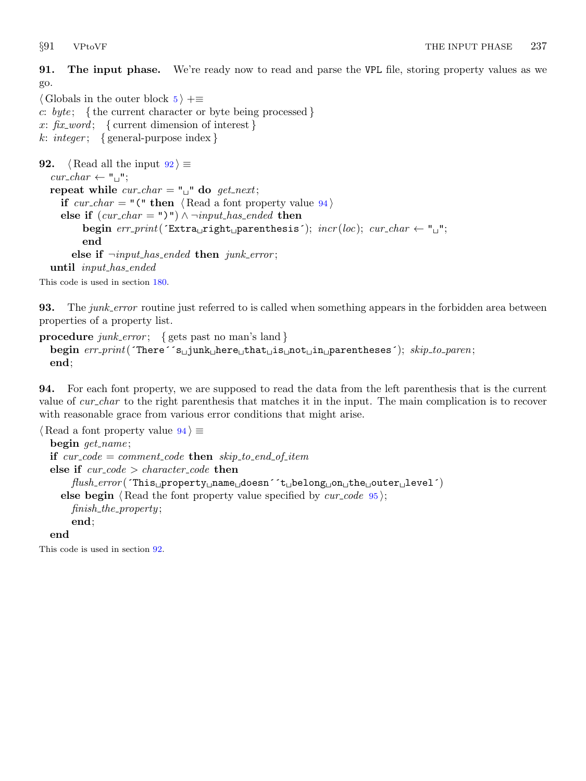<span id="page-36-0"></span>91. The input phase. We're ready now to read and parse the VPL file, storing property values as we go.

 $\langle$  Globals in the outer block [5](#page-2-0)  $\rangle$  + $\equiv$ c: byte; {the current character or byte being processed} x:  $fix\_word$ ; { current dimension of interest } k: integer; { general-purpose index }

```
92. \langle Read all the input 92 \rangle \equivcur\_char \leftarrow "\sqcup";
  repeat while cur\_char = "u" do get next;
     if cur char = "(" then \langle Read a font property value 94\rangleelse if (cur\_char = ")\") \wedge \neg input\_has\_ended then
          begin err print(´Extra right parenthesis´); incr (loc); cur char ← " ";
          end
       else if \neg input\_has\_ended then junk\_error;
  until input_has_ended
```
This code is used in section [180.](#page-63-0)

93. The junk error routine just referred to is called when something appears in the forbidden area between properties of a property list.

```
procedure junk_error; { gets past no man's land }
  begin err\_print (There \leq s<sub>u</sub>junk here that is not in parentheses ); skip\_to\_parent;
  end;
```
94. For each font property, we are supposed to read the data from the left parenthesis that is the current value of *cur\_char* to the right parenthesis that matches it in the input. The main complication is to recover with reasonable grace from various error conditions that might arise.

```
\langle Read a font property value 94 \rangle \equivbegin get_name;if cur\_code = comment\_code then skip\_to\_end\_of\_itemelse if cur\_code > character\_code then
        \text{flux} \text{error}(\text{`This}\text{`preparty}\text{`name}\text{`does} \text{n``t}\text{`be} \text{long}\text{`one} \text{`the}\text{`outer}\text{`le} \text{vec1`})else begin \langle Read the font property value specified by cur code95\rangle;
        finish\_the\_property;end;
  end
```
This code is used in section 92.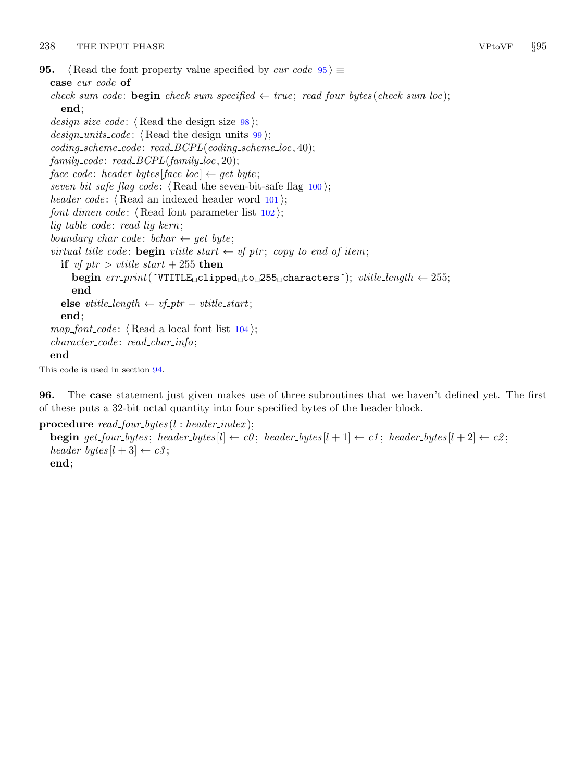<span id="page-37-0"></span>95. (Read the font property value specified by  $cur\_code$  95)  $\equiv$ case cur\_code of check\_sum\_code: begin check\_sum\_specified  $\leftarrow true$ ; read\_four\_bytes(check\_sum\_loc); end; *design\_size\_code*:  $\langle$  Read the design size  $98 \rangle$  $98 \rangle$ ; *design\_units\_code*:  $\langle$  Read the design units  $99$ ;  $coding\_scheme\_code:~read\_BCPL(coding\_scheme\_loc, 40);$  $family\_code: read\_BCPL(family\_loc, 20);$  $face\_code: header\_bytes[face\_loc] \leftarrow get\_byte;$ seven bit safe flag code:  $\langle$  Read the seven-bit-safe flag [100](#page-38-0) $\rangle$ ; header\_code:  $\langle$  Read an indexed header word [101](#page-39-0) $\rangle$ ; font\_dimen\_code:  $\langle$ Read font parameter list [102](#page-39-0) $\rangle$ ;  $lig\_table\_code: read\_lig\_kern;$ boundary\_char\_code: bchar  $\leftarrow$  get\_byte; virtual title code: begin vtitle start  $\leftarrow$  vf ptr; copy to end of item; if  $vf_{\perp}$  vtitle\_start + 255 then begin  $err\_print($  (VTITLE<sub>u</sub>clipped<sub>u</sub>to<sub>u</sub>255<sub>u</sub>characters'); *vtitle\_length*  $\leftarrow$  255; end else vtitle\_length  $\leftarrow$  vf\_ptr – vtitle\_start; end; map font code:  $\langle$  Read a local font list [104](#page-40-0) $\rangle$ ;  $character\_code: read\_char\_info;$ end This code is used in section [94](#page-36-0).

96. The case statement just given makes use of three subroutines that we haven't defined yet. The first of these puts a 32-bit octal quantity into four specified bytes of the header block.

```
procedure read\_four\_bytes (l: header\_index);
  begin get_four_bytes; header_bytes[l] \leftarrow c0; header_bytes[l + 1] \leftarrow c1; header_bytes[l + 2] \leftarrow c2;
  header\_bytes[l + 3] \leftarrow c3;end;
```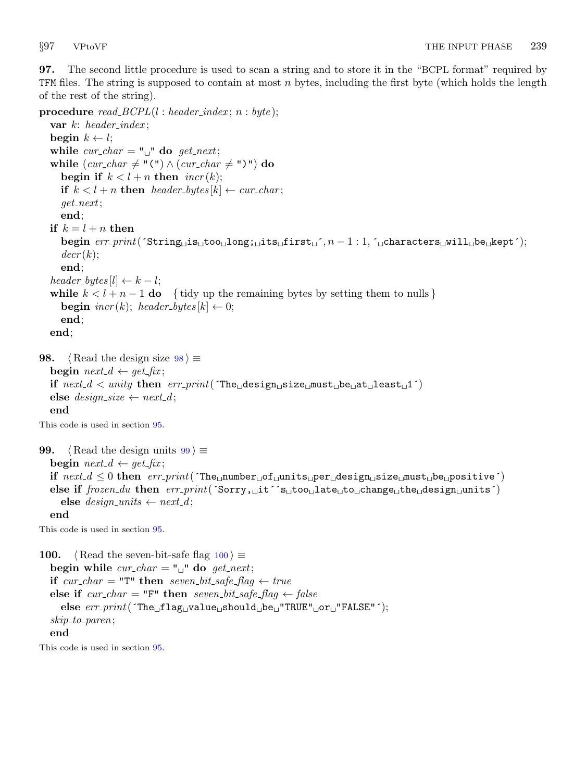<span id="page-38-0"></span>97. The second little procedure is used to scan a string and to store it in the "BCPL format" required by TFM files. The string is supposed to contain at most  $n$  bytes, including the first byte (which holds the length of the rest of the string).

```
procedure read\_BCPL(l:header\_index; n:byte);var k: \textit{header\_index};
   begin k \leftarrow l;
  while cur\_char = "u" do get\_next;while (cur\_char \neq "(") \wedge (cur\_char \neq ")" do
     begin if k < l + n then \text{incr}(k);
     if k < l + n then header_bytes [k] \leftarrow cur\_char;get\_next;end;
  if k = l + n then
     begin err\_print('String\_is\_too\_long; _its\_first\_', n - 1 : 1, ' _\text{u} characters \text{ } _\text{u} will _\text{u} \text{ } be_\text{u} \text{ } kept');decr(k);end;
   header\_bytes[l] \leftarrow k - l;while k < l + n - 1 do { tidy up the remaining bytes by setting them to nulls }
     begin \text{incr}(k); header_bytes [k] \leftarrow 0;
     end;
  end;
98. \langle Read the design size 98 \rangle \equivbegin next_d \leftarrow get\_fix;if next\_d < unity then err\_print( The design size must be at least 1.
  else design\_size \leftarrow next\_d;
  end
This code is used in section 95.
99. \langle Read the design units 99 \rangle \equivbegin next\_d \leftarrow get\_fix;if next_d \leq 0 then err\_print('The \textsubscript{u} of \textsubscript{u} { units} \textsubscript{u} per \textsubscript{u} { dissim} { units} \textsubscript{u} { units} \textsubscript{u} { positive}else if frozen\_du then err\_print('Sorry, \text{bit} 's\text{ubool}late\text{ubcoll}e\text{db}}the\text{design\_units}else design\_units \leftarrow next\_d;
  end
This code is used in section 95.
100. (Read the seven-bit-safe flag 100 \equivbegin while cur\_char = "u" do get_next;
  if cur\_char = "T" then seven bit safe flag \leftarrow trueelse if cur\_char = "F" then seven\_bit\_safe\_flag \leftarrow falseelse err\_print( The_{\sqcup}flag_{\sqcup}value_{\sqcup}should_{\sqcup}be_{\sqcup}"TRUE"_{\sqcup}or_{\sqcup}"FALSE"´);
   skip to paren;
  end
This code is used in section 95.
```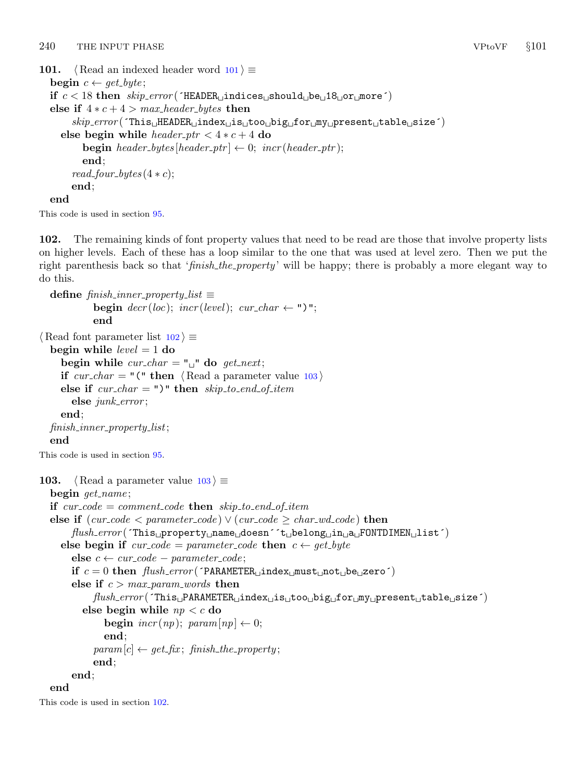```
101. (Read an indexed header word 101) \equivbegin c \leftarrow get\_byte;if c < 18 then skip\_error( HEADER indices should be 18 or more )else if 4 * c + 4 > max \skip\_error( This HEADER index is too big for my present table size ')else begin while header\_ptr < 4*c + 4 do
        begin header_bytes |header\_ptr| \leftarrow 0; incr(header_ptr);
        end;
      read\_four\_bytes(4*c);end;
 end
```
This code is used in section [95](#page-37-0).

102. The remaining kinds of font property values that need to be read are those that involve property lists on higher levels. Each of these has a loop similar to the one that was used at level zero. Then we put the right parenthesis back so that '*finish\_the\_property*' will be happy; there is probably a more elegant way to do this.

```
define \text{f}\text{}\text{in}\text{}\text{in} inner_property_list \equivbegin decr(loc); incr(level); cur_char \leftarrow ")";
              end
\langle Read font parameter list 102\rangle \equivbegin while level = 1 do
     begin while cur\_char = "u" do get_next;
     if cur\_char = "(" then \ \langle Read \ a \ parameter \ value \ 103 \rangleelse if cur\_char = ")" then skip\_tot\_end\_of\_itemelse junk_error;
     end;
  finish_inner_property_list;
  end
This code is used in section 95.
103. (Read a parameter value 103 \gebegin get_name;
  if cur\_code = comment\_code then skip\_to\_end\_of\_itemelse if (cur\_code < parameter\_code) \lor (cur\_code \geq char\_wd\_code) then
        {\it flush\_error}(\verb|`This\_property\_name\_doesn``t_ubelong\_in_a\_e-DNTDIMEN\_list'})else begin if cur\_code = parameter\_code then c \leftarrow get\_byteelse c \leftarrow cur\_code - parameter\_code;if c = 0 then flush_error (\text{PARAMETER} index must not be zero')
        else if c > max\_param\_words then
              \mathit{flush\_error} (\mathit{This}\_\mathsf{PARMETER}\_\mathsf{index}\_\mathsf{is}\_\mathsf{too}\_\mathsf{big}\_\mathsf{for}\_\mathsf{my}\_\mathsf{present}\_\mathsf{table}\_\mathsf{isize}\check{\ })
           else begin while np < c do
                 begin \text{incr}(np); \text{param}[np] \leftarrow 0;
                 end;
              param[c] \leftarrow get\_fix; finish_the_property;
             end;
        end;
  end
```
This code is used in section 102.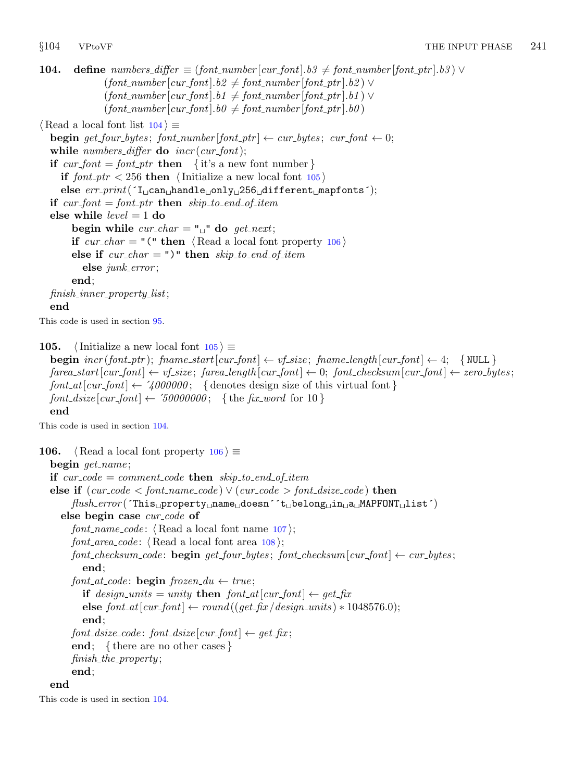```
104. define numbers_differ \equiv (font_number [cur\_font].b3 \neq font_number [font\_ptr].b3) \vee(font_number \lceil \text{cur-font} \rceil.b2 \neq font_number \lceil \text{font\_put} \rceil.b2 ) \vee(font_number[cur_font].b1 \neq font_number[font_ptr].b1 ) \vee(font_number \lceil cur_font \rceil.b0 \neq font_number \lceil font_ptr \rceil.b0 )\langle Read a local font list 104\rangle \equivbegin get_four_bytes; font_number [font\_ptr] \leftarrow cur\_bytes; cur_font \leftarrow 0;
  while numbers_differ do \text{incr}(cur\_font);if cur\_font = font\_ptr then {it's a new font number}
     if font\_ptr < 256 then (Initialize a new local font 105)
     else err\_print(<sup>\lceil</sup>L<sub>\sqcup</sub>can\sqcuphandle\sqcuponly\sqcup256\sqcupdifferent\sqcupmapfonts<sup>\lceil</sup>);
  if cur\_font = font\_ptr then skip\_to\_end\_of\_itemelse while level = 1 do
        begin while cur\_char = "u" do get\_next;if cur char = "(" then \langle Read a local font property 106)
        else if cur\_char = ")" then skip\_top\_to\_end\_of\_itemelse junk_error;
        end;
  finish_inner_property_list;
  end
This code is used in section 95.
105. (Initialize a new local font 105) \equivbegin \text{incr}(font\_ptr); fname_start\text{curr} font\} \leftarrow \text{v}_f\text{size}; fname_length \text{curr} font\} \leftarrow 4; \{ \text{NULL} \}farea\_start[cur\_font] \leftarrow vf\_size; farea\_length[cur\_font] \leftarrow 0; font\_checksum[cur\_font] \leftarrow zero\_bytes;
  font\_at[cur\_font] \leftarrow \langle 4000000; \{ denotes design size of this virtual font \}font_dsize [cur\_font] \leftarrow '50000000; {the fix_word for 10}
  end
This code is used in section 104.
106. \langle Read a local font property 106 \rangle \equivbegin get_name;
  if cur\_code = comment\_code then skip\_to\_end\_of\_itemelse if (cur\_code < font_name\_code) \vee (cur\_code > font\_disize\_code) then
        \text{fusion} (\text{This} property name doesn \text{``t}_\text{u}belong in a MAPFONT list')
     else begin case cur_code of
       font_name_code: \langle107\rangle;
        font_area_code: \langle108\rangle;
       font_checksum_code: begin get_four_bytes; font_checksum|cur_0| ← cur_bytes;
          end;
       font\_at\_code: begin frozen\_du \leftarrow true;
          if design_units = unity then font\_at[cur\_font] \leftarrow get\_fixelse font\_at[cur\_font] \leftarrow round((get\_fix/design\_units) * 1048576.0);end;
       font\_disize\_code: font\_disize[cur\_font] \leftarrow get\_fix;end; { there are no other cases }
        f\nimplies the property;
        end;
```
## end

This code is used in section 104.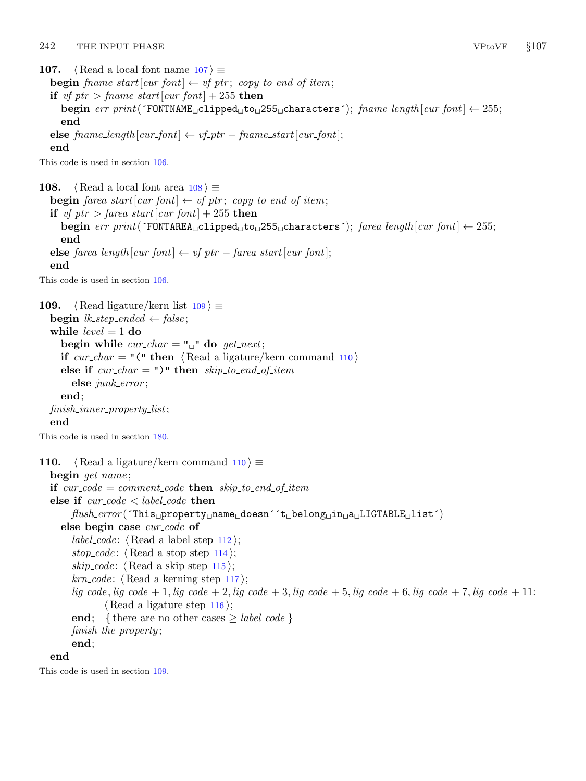<span id="page-41-0"></span>107. (Read a local font name  $107$ )  $\equiv$ **begin** frame\_start  $[cur\_font] \leftarrow vf\_ptr$ ; copy\_to\_end\_of\_item; if  $vf_{\perp}$   $ptr$  > fname\_start  $[cur_{\perp}$ font  $]+255$  then begin err\_print( $\text{'FONTNAME}_{\text{L}}$ clipped<sub>ti</sub>to<sub>11</sub>255<sub>11</sub>characters´); fname\_length  $[cur\text{-}font] \leftarrow 255$ ; end else  $\text{fname_length}[\text{cur}\text{-}\text{font}] \leftarrow \text{vf}\text{-}\text{ptr}-\text{fname\_start}[\text{cur}\text{-}\text{font}]$ ; end This code is used in section [106.](#page-40-0) 108. (Read a local font area  $108$ ) ≡ **begin** farea\_start  $[cur\_font] \leftarrow vf\_ptr$ ; copy\_to\_end\_of\_item; if  $vf_{\perp}$   $ptr$  > farea\_start [cur\_font] + 255 then begin  $err\_print$  ( $\text{TDNTAREA} \ll 25$  characters´);  $\text{fraca\_length} \sim 255$ ; end else  $\text{face\_length}[\text{cur}\text{-}font] \leftarrow \text{vf}\text{-}ptr - \text{face\_start}[\text{cur}\text{-}font]$ ; end This code is used in section [106.](#page-40-0) 109. (Read ligature/kern list  $109$ )  $\equiv$ begin  $lk\_step\_ended \leftarrow false;$ while  $level = 1$  do begin while  $cur\_char = "u"$  do  $get\_next;$ if  $cur\_char = "(" then \ \langle Read \ a \ ligature/kern \ command \ 110 \rangle$ else if  $cur\_char = "$ )" then  $skip\_top\_to\_end\_of\_item$ else junk\_error; end; finish\_inner\_property\_list; end This code is used in section [180.](#page-63-0) 110.  $\langle$  Read a ligature/kern command 110  $\rangle \equiv$ begin  $get_name$ ; if  $cur\_code = comment\_code$  then  $skip\_to\_end\_of\_item$ else if  $cur\_code < label\_code$  then  ${\it flush\_error}$  ( $\text{This\_property\_name\_doesn\_t\_belong\_in\_a\_LIGTABLE\_list'})$ else begin case cur\_code of *label\_code*:  $\langle$  Read a label step [112](#page-42-0) $\rangle$ ; stop\_code:  $\langle$  Read a stop step [114](#page-42-0) $\rangle$ ; skip\_code:  $\langle$  Read a skip step [115](#page-42-0) $\rangle$ ;  $krn\_code$ : (Read a kerning step [117](#page-43-0));  $lig\_code + 1, lig\_code + 2, lig\_code + 3, lig\_code + 5, lig\_code + 6, lig\_code + 7, lig\_code + 11:$  $\langle$  Read a ligature step [116](#page-43-0) $\rangle$ ; end; { there are no other cases  $\geq$  *label\_code* }  $finish\_the\_property;$ end; end

This code is used in section 109.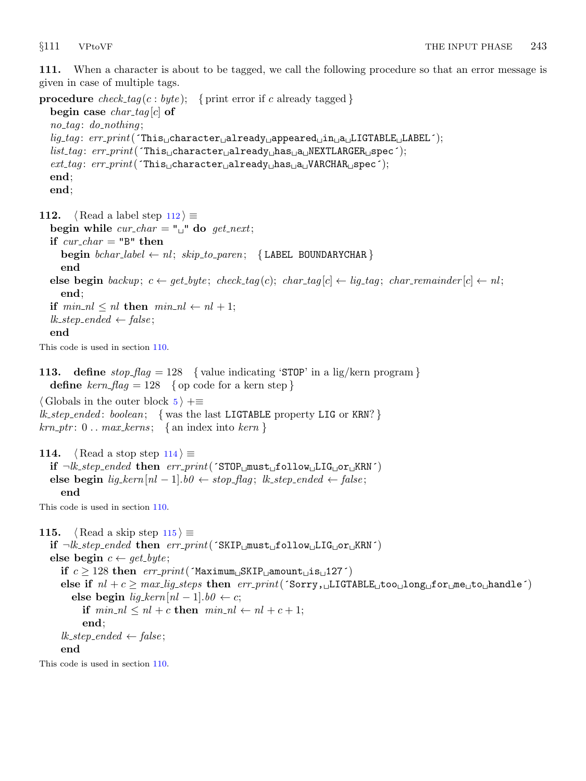<span id="page-42-0"></span>111. When a character is about to be tagged, we call the following procedure so that an error message is given in case of multiple tags.

```
procedure check tag(c : byte); { print error if c already tagged }
```

```
begin case char\_tag[c] of
no\_tag: do_nothing;
lig\_tag: err\_print( This_{\cup}character_{\cup}already_{\cup}appeared_{\cup}in_{\cup}a_{\cup}LIGTABLE_{\cup}LABEL');
list\_tag: err\_print( This character already chase a NEXTLARGER spec<sup>-</sup>);
ext\_tag: err\_print('This \cup character \cup already \cup has \cup a \cup VARCHAR \cup spec');end;
end;
```

```
112. \langle Read a label step 112\rangle \equivbegin while cur\_char = "u" do get\_next;if cur\_char = "B" then
      \mathbf{begin} \left\{ \text{Left }\right\} begin bchar_label \leftarrow nl; skip\_to\_parent; \left\{ \text{LABEL } \text{BOUNDARYCHAR} \right\}end
  else begin backup; c \leftarrow get\_byte; check\_tag(c); char\_tag[c] \leftarrow lig\_tag; char\_remainder[c] \leftarrow nl;end;
  if min\_nl \leq nl then min\_nl \leftarrow nl + 1;
   lk\_step\_ended \leftarrow false;end
```
This code is used in section [110.](#page-41-0)

113. define  $stop\_flag = 128$  { value indicating 'STOP' in a lig/kern program } define  $\text{kern\_flag} = 128$  { op code for a kern step }

 $\langle$  Globals in the outer block  $5$   $\rangle$  + $\equiv$ 

```
lk\_step\_ended: boolean; \{ was the last LIGTABLE property LIG or KRN? \}krn\_ptr: 0...max\_kerns; \{ \text{an index into } kern \}
```

```
114. (Read a stop step 114) \equivif \negk_step_ended then err\_print('STOP \text{__must} \text{__follow} \text{__LIG} \text{__or} \text{__KRN} )
   else begin lig\text{-}kern[nl - 1].b0 \leftarrow stop\text{-}flag; lk\text{-}step\text{-}ended \leftarrow false;
      end
```
This code is used in section [110.](#page-41-0)

```
115. (Read a skip step 115) \equivif \negk_step_ended then err\_print('SKIP \sqcup must \sqcup follow \sqcup LG \sqcup or \sqcup KRN')else begin c \leftarrow get\_byte;if c \ge 128 then err\_print( Maximum SKIP amount is 127<sup>-</sup>)
     else if nl + c \geq max\_lig\_steps then err\_print('Sory, LIGTABLE\_too\_long\_for\_me\_to\_handle')else begin lig\text{-}kern[nl - 1].b0 \leftarrow c;if min\_nl \leq nl + c then min\_nl \leftarrow nl + c + 1;
          end;
     lk\_step\_ended \leftarrow false;end
```
This code is used in section [110.](#page-41-0)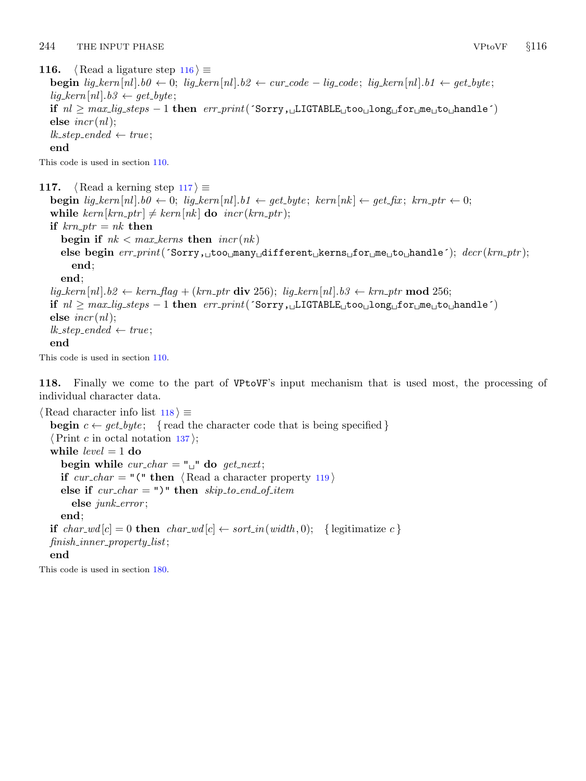<span id="page-43-0"></span>116. (Read a ligature step  $116$ )  $\equiv$ **begin** lig\_kern[nl].b0  $\leftarrow$  0; lig\_kern[nl].b2  $\leftarrow$  cur\_code – lig\_code; lig\_kern[nl].b1  $\leftarrow$  get\_byte;  $liq\text{-}kern[nl].b3 \leftarrow qet\_byte;$ if  $nl > max\_lig\_steps - 1$  then  $err\_print('Sorr_{j, l} \text{LIGTABLE}_{l} \text{top}_{l} \text{loop}_{l} \text{loop}_{l} \text{loop}_{l} \text{table}^{\text{'}})$ else  $\text{incr}(nl)$ ;  $lk\_step\_ended \leftarrow true;$ end

This code is used in section [110.](#page-41-0)

117.  $\langle$  Read a kerning step 117 $\rangle \equiv$ **begin** lig kern[nl].b0  $\leftarrow$  0; lig kern[nl].b1  $\leftarrow$  get byte; kern[nk]  $\leftarrow$  get fix; krn ptr  $\leftarrow$  0; while  $\text{kern}[\text{km\_ptr}] \neq \text{kern}[nk]$  do  $\text{incr}(\text{km\_ptr})$ ; if  $km\_ptr = nk$  then begin if  $nk < max_{\text{terms}}$  then  $\text{incr}(nk)$ else begin  $err\_print('Sory, \text{tdo} \text{cm} \text{any} \text{ndifferent} \text{ck} \text{rms} \text{nd} \text{for} \text{cm} \text{ne} \text{nd} \text{to} \text{nd} \text{nd} \text{ne}');$   $decr(krn\_ptr);$ end; end;  $lig\text{-}kern[nl].b2 \leftarrow \text{kern}\text{-}flag + (km\text{-}ptr \text{ div } 256); lig\text{-}kern[nl].b3 \leftarrow \text{km}\text{-}ptr \text{ mod } 256;$ if  $nl \geq max\_lig\_steps - 1$  then  $err\_print('Sorry, \text{LIGTABLE}_{\text{L}} \text{to} \text{o}_{\text{L}} \text{on} \text{g}_{\text{L}} \text{for} \text{g}_{\text{L}} \text{to} \text{o}_{\text{L}}$ else  $\text{incr}(nl)$ ;  $lk\_step\_ended \leftarrow true;$ end

This code is used in section [110.](#page-41-0)

118. Finally we come to the part of VPtoVF's input mechanism that is used most, the processing of individual character data.

 $\langle$  Read character info list 118  $\rangle \equiv$ **begin**  $c \leftarrow get\_byte$ ; {read the character code that is being specified }  $\langle$  Print c in octal notation [137](#page-49-0) $\rangle$ ; while  $level = 1$  do begin while  $cur\_char = "u"$  do  $get\_next;$ if cur char = "(" then  $\langle$  Read a character property [119](#page-44-0) $\rangle$ else if  $cur\_char = "$ )" then  $skip\_top\_to\_end\_of\_item$ else junk\_error; end; if  $char\_wd[c] = 0$  then  $char\_wd[c] \leftarrow sort\_in(width, 0);$  { legitimatize c } finish\_inner\_property\_list; end

This code is used in section [180.](#page-63-0)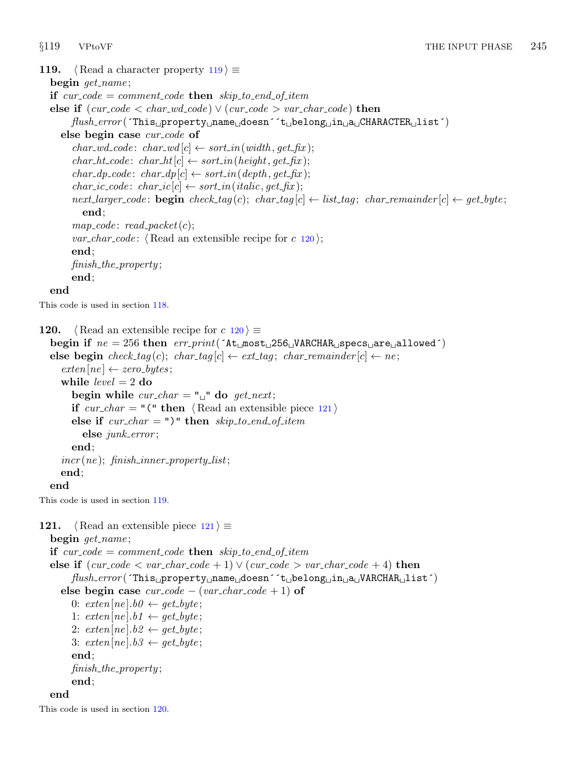<span id="page-44-0"></span>119.  $\langle$  Read a character property 119 $\rangle \equiv$ begin  $get_name;$ if  $cur\_code = comment\_code$  then  $skip\_to\_end\_of\_item$ else if  $(cur\_code < char\_wd\_code) \vee (cur\_code > var\_char\_code)$  then  $flush\_error($   $\lceil \text{This\_property\_name\_doesn} \rceil \text{`t\_belong\_in\_a\_CHARACTER\_list} \rceil)$ else begin case cur\_code of  $char\_wd\_code: char\_wd|c| \leftarrow sort\_in(width, get\_fix);$  $char\_ht\_code: char\_ht[c] \leftarrow sort\_in(height, get\_fix);$  $char\_dp\_code$ :  $char\_dp[c] \leftarrow sort\_in(depth, get\_fix);$  $char\_ic\_code: char\_ic[c] \leftarrow sort\_in(italic, get\_fix);$ next larger code: begin check tag(c); char tag[c]  $\leftarrow$  list tag; char remainder  $[c] \leftarrow get\_byte;$ end;  $map\_code: read\_packet(c);$ *var\_char\_code*:  $\langle$  Read an extensible recipe for c 120 $\rangle$ ; end;  $f\nimplies$  the property; end; end This code is used in section [118.](#page-43-0) 120.  $\langle$  Read an extensible recipe for c 120  $\rangle \equiv$ begin if  $ne = 256$  then  $err\_print('At \text{\textperp}256 \text{\textperp}VARTHAR \text{\textperp}specs \text{\textperp}arc \text{h}alloved')$ else begin check tag(c); char tag $[c] \leftarrow ext\_tag$ ; char remainder  $[c] \leftarrow ne$ ;  $exten[ne] \leftarrow zero\_bytes;$ while  $level = 2$  do begin while  $cur\_char = "u"$  do  $get\_next;$ if cur char = "(" then  $\langle$  Read an extensible piece 121 $\rangle$ else if  $cur\_char = "$ )" then  $skip\_top\_to\_end\_of\_item$ else  $junk_error$ ; end;  $incr(ne);$  finish\_inner\_property\_list; end; end This code is used in section 119. 121.  $\langle$  Read an extensible piece 121  $\rangle \equiv$ begin  $get_name$ ; if  $cur\_code = comment\_code$  then  $skip\_to\_end\_of\_item$ else if  $(cur\_code < var\_char\_code + 1) \vee (cur\_code > var\_char\_code + 4)$  then  $flush\_error($   $\lceil \text{This\_property\_name\_doesn} \rceil \text{`t\_belong\_in\_a\_VARCHAR \_llist'}$ ) else begin case  $cur\_code - (var\_char\_code + 1)$  of 0:  $exten[ne].b0 \leftarrow get\_byte;$ 1:  $exten[ne].b1 \leftarrow get\_byte;$ 2:  $exten[ne].b2 \leftarrow get\_byte;$ 3:  $exten[ne].b3 \leftarrow get\_byte;$ end;  $f\nimplies$  the property; end; end This code is used in section 120.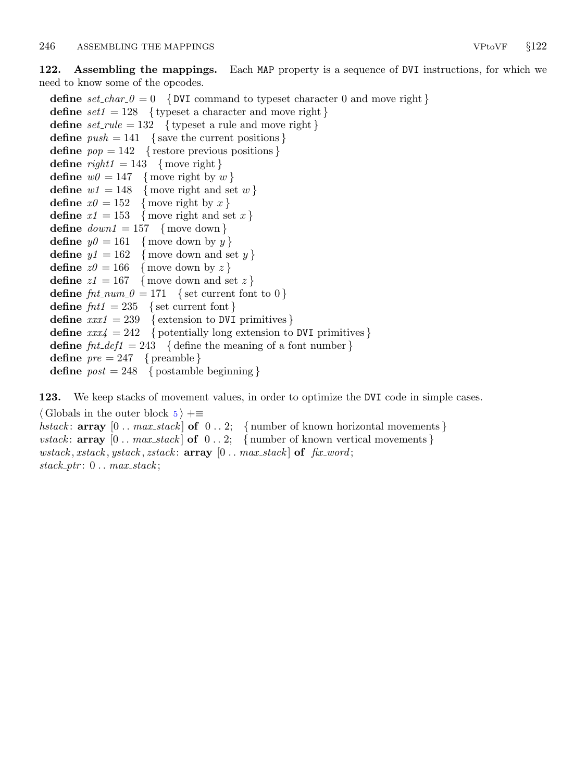<span id="page-45-0"></span>122. Assembling the mappings. Each MAP property is a sequence of DVI instructions, for which we need to know some of the opcodes.

define  $set_{char\_0} = 0$  {DVI command to typeset character 0 and move right} define  $set1 = 128$  { typeset a character and move right } define  $set$ -rule = 132 { typeset a rule and move right } define  $push = 141$  { save the current positions } define  $pop = 142$  { restore previous positions } define  $right1 = 143$  {move right} define  $w0 = 147$  {move right by w} define  $w1 = 148$  {move right and set w } define  $x\theta = 152$  {move right by x} define  $x_1 = 153$  {move right and set x} define  $down1 = 157$  {move down } define  $y\theta = 161$  {move down by y} define  $y1 = 162$  {move down and set y} define  $z\theta = 166$  {move down by z } define  $z_1 = 167$  {move down and set z } define  $\int f$ nt\_num\_0 = 171 { set current font to 0 } define  $fnt1 = 235$  { set current font } define  $xxx1 = 239$  { extension to DVI primitives } define  $xxx_4 = 242$  { potentially long extension to DVI primitives } define  $\int f \cdot d\theta = 243$  { define the meaning of a font number } define  $pre = 247$  { preamble } define  $post = 248$  { postamble beginning }

123. We keep stacks of movement values, in order to optimize the DVI code in simple cases.  $\langle$  Globals in the outer block [5](#page-2-0)  $\rangle$  += hstack: array  $[0 \tcdot \text{max\_stack} \mid \text{of } 0 \tcdot 2; \{ \text{number of known horizontal movements} \}$ *vstack*: **array**  $[0 \t ... \t max\_stack]$  of  $[0 \t ... 2; \t {number of known vertical movements}$ wstack, xstack, ystack, zstack:  $array [0..$   $max\_stack]$  of  $fix\_word;$  $stack\_ptr: 0...max\_stack;$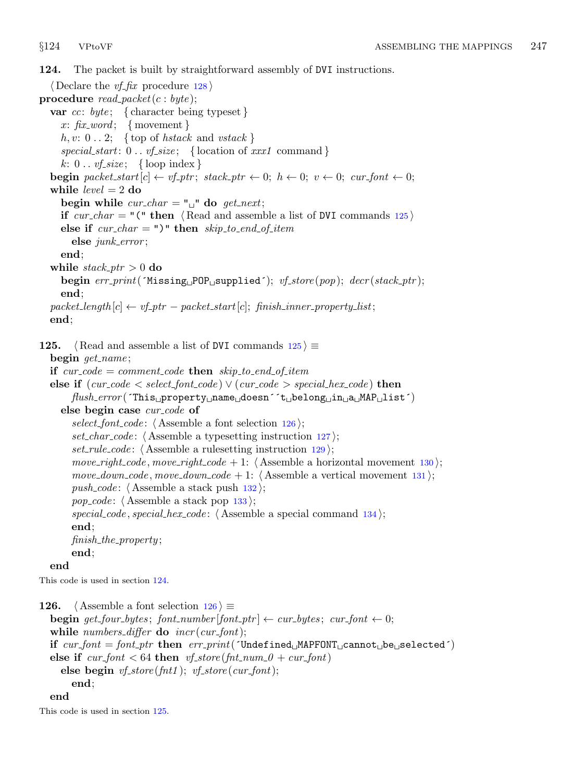<span id="page-46-0"></span>124. The packet is built by straightforward assembly of DVI instructions.

 $\langle$  Declare the *vf-fix* procedure [128](#page-47-0)  $\rangle$ procedure  $read\_packet(c : byte);$ var cc: byte; { character being typeset } x:  $fix\_word$ ; {movement}  $h, v: 0 \ldots 2; \text{ {top of } } hstack \text{ and } vstack \text{ } \}$  $special\_start: 0 \ldots vf\_size; \{ location of xxx1 \text{ command } \}$ k:  $0 \ldots v f\_size; \{ loop~index\}$ **begin** packet\_start  $[c] \leftarrow vf\_ptr$ ; stack\_ptr  $\leftarrow 0$ ;  $h \leftarrow 0$ ;  $v \leftarrow 0$ ; cur\_font  $\leftarrow 0$ ; while  $level = 2$  do begin while  $cur\_char = "_{\sqcup}"$  do get\_next; if  $cur_{char} = "("$  then  $\langle$  Read and assemble a list of DVI commands 125 $\rangle$ else if  $cur\_char = "$ )" then  $skip\_tot\_end\_of\_item$ else *junk\_error*; end; while  $stack\_ptr > 0$  do begin  $err\_print($  (Missing POP supplied');  $v_f\_store(pop)$ ;  $decr (stack\_ptr)$ ; end;  $packet\_length[c] \leftarrow vf\_ptr - packet\_start[c]$ ; finish\_inner\_property\_list; end; 125. (Read and assemble a list of DVI commands  $125$ )  $\equiv$ begin  $get_name;$ if  $cur\_code = comment\_code$  then  $skip\_to\_end\_of\_item$ else if  $(cur\_code < select\_font\_code) \vee (cur\_code > special\_hex\_code)$  then  $\mathit{fush\_error}$  ( $\mathsf{This\_property\_name\_doesn\_t\_belong\_in\_a\_MAP\_list}$ ) else begin case *cur\_code* of select\_font\_code:  $\langle$  Assemble a font selection 126 $\rangle$ ; set char code:  $\langle$  Assemble a typesetting instruction [127](#page-47-0) $\rangle$ ; set\_rule\_code:  $\langle$  Assemble a rules etting instruction [129](#page-47-0) $\rangle$ ; move right code, move right code + 1:  $\langle$  Assemble a horizontal movement [130](#page-47-0) $\rangle$ ; move\_down\_code, move\_down\_code + 1:  $\langle$  Assemble a vertical movement [131](#page-48-0) $\rangle$ ; push\_code:  $\langle$  Assemble a stack push [132](#page-48-0) $\rangle$ ;  $pop\_code: \langle$  Assemble a stack pop [133](#page-48-0) $\rangle$ ; special code, special hex code:  $\langle$  Assemble a special command [134](#page-48-0) $\rangle$ ; end; finish\_the\_property; end; end This code is used in section 124. 126.  $\langle$  Assemble a font selection 126  $\rangle \equiv$ **begin** get\_four\_bytes; font\_number  $[font\_ptr] \leftarrow cur\_bytes$ ; cur\_font  $\leftarrow 0$ ; while numbers differ do  $\text{incr}(cur\text{-}font);$ if  $cur\_font = font\_ptr$  then  $err\_print('Undefined \text{u}MPFONT \text{u}camot \text{u}be \text{u}selected')$ 

else if  $cur\_font < 64$  then  $vf\_store(fnt\_num\_0 + cur\_font)$ 

else begin  $vf\_store(fnt1)$ ;  $vf\_store(cur\_font)$ ;

end;

end

This code is used in section 125.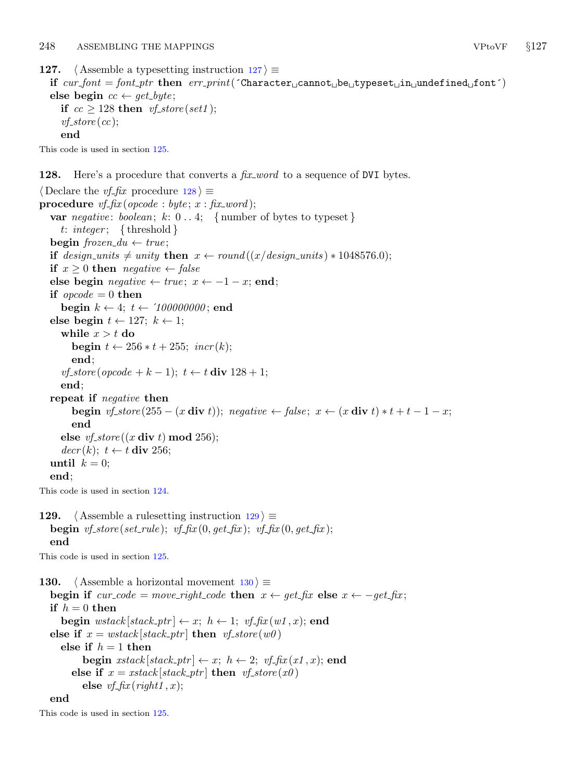<span id="page-47-0"></span>127.  $\langle$  Assemble a typesetting instruction 127 $\rangle \equiv$ if  $cur\_font = font\_ptr$  then  $err\_print$  ( $\text{Character\_cannot\_be\_typeset\_in\_under\_in\_under\_font\_font\_})$ else begin  $cc \leftarrow get\_byte;$ if  $cc \ge 128$  then  $vf\_store(set1)$ ;  $v f<sub>-</sub> store(cc);$ end

This code is used in section [125.](#page-46-0)

**128.** Here's a procedure that converts a  $fix\_word$  to a sequence of DVI bytes.

 $\langle$  Declare the *vf fix* procedure 128 $\rangle \equiv$ **procedure**  $\text{vf}_\text{-}fix(\text{opcode}: \text{byte}; x : \text{fix\_word});$ var negative: boolean;  $k: 0...4; \{$  number of bytes to typeset } t: integer; { threshold } **begin** frozen\_du  $\leftarrow$  true; if design\_units  $\neq$  unity then  $x \leftarrow round((x/design\_units) * 1048576.0);$ if  $x \geq 0$  then negative  $\leftarrow$  false else begin  $negative \leftarrow true; x \leftarrow -1 - x; end;$ if  $\textit{opcode} = 0$  then begin  $k \leftarrow 4$ ;  $t \leftarrow \textit{'100000000}$ ; end else begin  $t \leftarrow 127$ ;  $k \leftarrow 1$ ; while  $x > t$  do **begin**  $t \leftarrow 256 * t + 255;$   $incr(k);$ end; *vf\_store*(*opcode* + *k* − 1);  $t \leftarrow t$  div 128 + 1; end; repeat if *negative* then begin vf\_store (255 – (x div t)); negative  $\leftarrow$  false;  $x \leftarrow (x \text{ div } t) * t + t - 1 - x;$ end else  $\textit{vf\_store}((x \div t) \mod 256);$  $decr(k); t \leftarrow t$  div 256; until  $k = 0$ ; end; This code is used in section [124.](#page-46-0) **129.**  $\langle$  Assemble a rulesetting instruction 129  $\rangle \equiv$ **begin**  $vf\_store(set\_rule); vf\_fix(0, get\_fix); vf\_fix(0, get\_fix);$ end This code is used in section [125.](#page-46-0) 130. (Assemble a horizontal movement  $130 \equiv$ begin if  $cur\_code = move\_right\_code$  then  $x \leftarrow get\_fix$  else  $x \leftarrow -get\_fix$ ;

if  $h = 0$  then begin wstack  $|stack\_ptr| \leftarrow x$ ;  $h \leftarrow 1$ ;  $vf\_fix(w1, x)$ ; end else if  $x = wstack[stack\_ptr]$  then  $vf\_store(w0)$ else if  $h = 1$  then begin  $xstack[stack\_ptr] \leftarrow x$ ;  $h \leftarrow 2$ ;  $vf\_fix(x1, x)$ ; end else if  $x = xstack[stack\_ptr]$  then  $vf\_store(x0)$ else  $\mathit{vf}_\textit{-fix}(\mathit{right1},x)$ ; end

This code is used in section [125.](#page-46-0)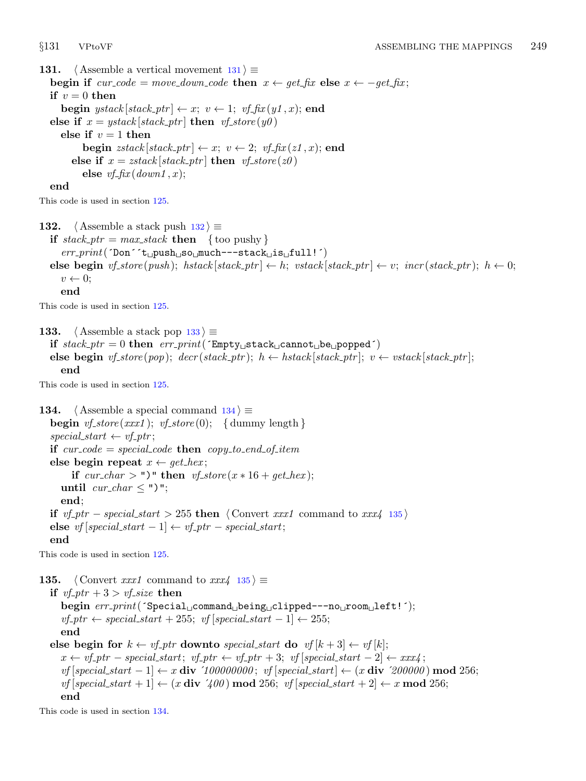<span id="page-48-0"></span>131.  $\langle$  Assemble a vertical movement 131 $\rangle \equiv$ begin if cur\_code = move\_down\_code then  $x \leftarrow get\_fix$  else  $x \leftarrow get\_fix$ ; if  $v = 0$  then begin ystack [stack\_ptr]  $\leftarrow x$ ;  $v \leftarrow 1$ ; vf\_fix(y1,x); end else if  $x = ystack[stack\_ptr]$  then  $vf\_store(y0)$ else if  $v = 1$  then begin  $zstack[stack\_ptr] \leftarrow x; v \leftarrow 2; vf\_fix(z1, x);$  end else if  $x = zstack[stack\_ptr]$  then  $vf\_store(z0)$ else  $\mathit{vf}_\textit{-fix}(down1, x);$ 

end

This code is used in section [125.](#page-46-0)

132. (Assemble a stack push  $132 \geq$ if  $stack\_ptr = max\_stack$  then { too pushy} err\_print(^Don^^t\_push\_so\_much---stack\_is\_full!^) else begin  $v f<sub>st</sub>ore(push)$ ; hstack  $[stack\_ptr] \leftarrow h$ ;  $vstack\_star\_ptr] \leftarrow v$ ;  $inc(stack\_ptr)$ ;  $h \leftarrow 0$ ;  $v \leftarrow 0$ ; end

This code is used in section [125.](#page-46-0)

```
133. \langle Assemble a stack pop 133 \rangle \equivif stack\_ptr = 0 then err\_print( Empty_{\sqcup}stack_{\sqcup}cannot_{\sqcup}be_{\sqcup}popped´)
  else begin vf_store(pop); decr (stack\_ptr); h \leftarrow hstack[stack\_ptr]; v \leftarrow vstack[stack\_ptr];end
```
This code is used in section [125.](#page-46-0)

```
134. (Assemble a special command 134) \equivbegin vf\_store(xxx1); vf\_store(0); \{dummy length\}special.start \leftarrow vf\_ptr;if cur\_code = special\_code then copy_to_end_of_item
  else begin repeat x \leftarrow get\_hex;
        if cur\_char > ")" then vf\_store(x * 16 + get\_hex);
     until cur\_char \leq "";
     end;
  if vf ptr – special start > 255 then \langle Convert xxx1 command to xxx4 135 \rangleelse vf [special_start - 1] \leftarrow vf_ptr - special_start;
  end
This code is used in section 125.
135. (Convert xxx1 command to xxx4 135 \equivif vf_{\mathit{ptr}} + 3 > vf_{\mathit{size}} then
     begin err_print(^Special command being clipped---no room left!^);
     v f_{\mathit{+}} p t r \leftarrow \textit{special\_start} + 255; \ \textit{vf} \left[\textit{special\_start} - 1\right] \leftarrow 255;end
  else begin for k \leftarrow vf\_ptr downto special start do vf[k+3] \leftarrow vf[k];x \leftarrow vf\_ptr - special\_start; \; vf\_ptr \leftarrow vf\_ptr + 3; \; vf |special\_start - 2| \leftarrow xxx4;\textit{v}f [special_start − 1] ← x div ´100000000; \textit{v}f [special_start] ← (x div ´200000) mod 256;
      \mathit{v}f[\mathit{special\_start} + 1] \leftarrow (x \text{ div } 400) \text{ mod } 256; \text{ <math>\mathit{v}f[\mathit{special\_start} + 2] \leftarrow x \text{ mod } 256;end
```
This code is used in section 134.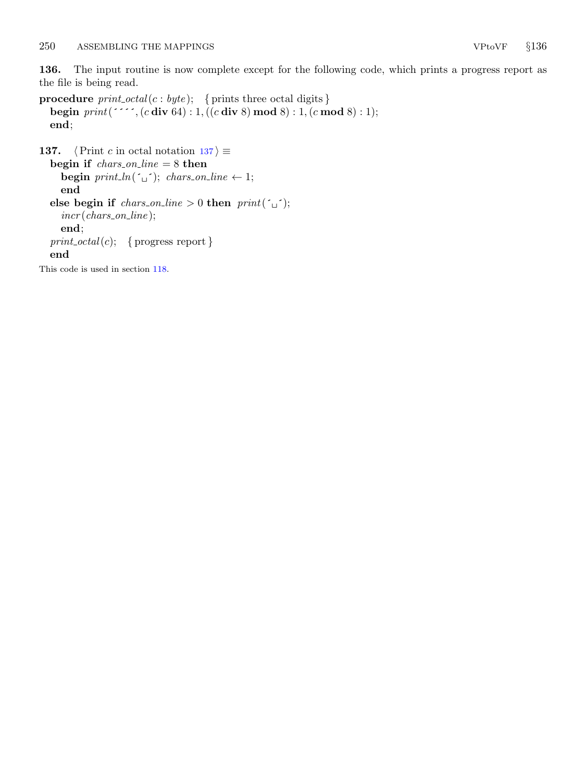<span id="page-49-0"></span>136. The input routine is now complete except for the following code, which prints a progress report as the file is being read.

```
procedure print\_octal(c : byte); {prints three octal digits }
  begin print('''', (c \div 64) : 1, ((c \div 8) \mod 8) : 1, (c \mod 8) : 1);end;
```

```
137. \langle Print c in octal notation 137\rangle \equivbegin if \text{chars\_on\_line} = 8 then
     begin print_ln(\lceil \cdot \rfloor; chars_on_line \leftarrow 1;
     end
  else begin if chars_on_line > 0 then print('_1');
     incr(chars_0,line);end;
  print\_octal(c); { progress report }
  end
This code is used in section 118.
```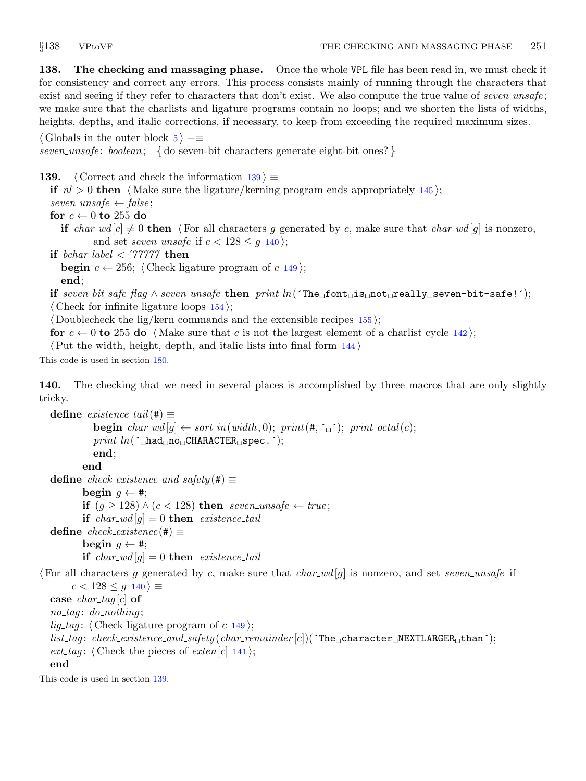<span id="page-50-0"></span>138. The checking and massaging phase. Once the whole VPL file has been read in, we must check it for consistency and correct any errors. This process consists mainly of running through the characters that exist and seeing if they refer to characters that don't exist. We also compute the true value of seven unsafe; we make sure that the charlists and ligature programs contain no loops; and we shorten the lists of widths, heights, depths, and italic corrections, if necessary, to keep from exceeding the required maximum sizes.

 $\langle$  Globals in the outer block [5](#page-2-0)  $\rangle$  += seven\_unsafe: boolean; { do seven-bit characters generate eight-bit ones?}

139. (Correct and check the information  $139$ )  $\equiv$ 

if  $nl > 0$  then  $\langle$  Make sure the ligature/kerning program ends appropriately [145](#page-51-0) $\rangle$ ;

 $seven\_unsafe \leftarrow false;$ 

for  $c \leftarrow 0$  to 255 do

if char wd  $[c] \neq 0$  then  $\langle$  For all characters g generated by c, make sure that char wd  $[q]$  is nonzero, and set seven unsafe if  $c < 128 \leq g \, 140$ ;

if  $behavior\_label < 77777$  then

**begin**  $c \leftarrow 256$ ; (Check ligature program of c [149](#page-52-0));

end;

if seven\_bit\_safe\_flag ∧ seven\_unsafe then  $print\_ln($  The font is not really seven-bit-safe!  $^{\circ}$ );  $\langle$  Check for infinite ligature loops [154](#page-54-0) $\rangle$ ;

 $\langle$  Doublecheck the lig/kern commands and the extensible recipes [155](#page-55-0) $\rangle$ ;

for  $c \leftarrow 0$  to 255 do  $\langle$  Make sure that c is not the largest element of a charlist cycle [142](#page-51-0) $\rangle$ ;

 $\langle$  Put the width, height, depth, and italic lists into final form [144](#page-51-0) $\rangle$ 

This code is used in section [180.](#page-63-0)

140. The checking that we need in several places is accomplished by three macros that are only slightly tricky.

define existence\_tail(#)  $\equiv$ **begin**  $char\_wd[g] \leftarrow sort\_in(width, 0); print(\#, \lceil \_ \cdot \rceil); print\_octal(c);$  $print\_ln($  ( $\text{Lhad}_\text{U}$ no $\text{LCHARACTER}_\text{U}$ spec.  $\text{C};$ end; end define check\_existence\_and\_safety(#)  $\equiv$ begin  $g \leftarrow \#$ ; if  $(g \ge 128) \land (c < 128)$  then seven\_unsafe ← true; if  $char_w d[g] = 0$  then existence\_tail define check\_existence (#)  $\equiv$ begin  $g \leftarrow \#$ ; if  $char_w d[g] = 0$  then existence\_tail For all characters g generated by c, make sure that char  $wd[g]$  is nonzero, and set seven unsafe if  $c < 128 \leq g$  140)  $\equiv$ case  $char\_tag$  [c] of  $no\_tag$ : do\_nothing; lig<sub>-tag</sub>: (Check ligature program of c [149](#page-52-0));  $list\_tag: check\_existence_and\_safety(char$ - $remainder[c])$  ( $The \text{u}$ -character  $\text{u}$ NEXTLARGER $\text{u}$ than');

ext\_tag:  $\langle$  Check the pieces of exten[c] [141](#page-51-0) $\rangle$ ;

end

This code is used in section 139.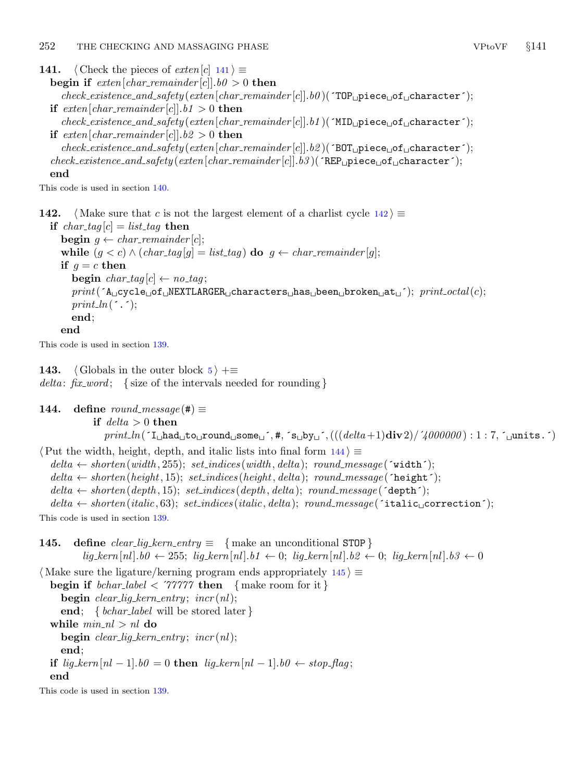<span id="page-51-0"></span>141. (Check the pieces of  $exten[c]$  141)  $\equiv$ 

- begin if  $exten[char\_remainder[c]].b0 > 0$  then  $check\_existence\_and\_safety (exten[char\_remainder[c]].b0)$  ( $\texttt{TOP}\text{-}\texttt{piece}\text{-}\texttt{of}\text{-}\texttt{character}$ );
- if  $ext{er}[char\_remainder[c]].b1 > 0$  then  $check\_existence\_and\_safety (exten[char\_remainder[c]].b1)$  ( $^MID_\Box \text{piece\_of}\_\text{character'}$ );
- if  $exten[char\_remainder[c]].b2 > 0$  then  $check\_existence\_and\_safety (exten[char\_remainder[c]].b2)$ (´BOT $_{\sqcup}$ piece $_{\sqcup}$ of $_{\sqcup}$ character´);

 $check\_existence\_and\_safety (exten[char\_remainder[c]].b3 )$  ( $'REP_{\sqcup}piece_{\sqcup}of_{\sqcup}character$ );

## end

This code is used in section [140.](#page-50-0)

**142.**  $\langle$  Make sure that c is not the largest element of a charlist cycle 142  $\rangle \equiv$ if  $char\_tag$   $|c| = list\_tag$  then **begin**  $g \leftarrow char\_remainder[c]$ ; while  $(g < c) \wedge (char\_tag[g] = list\_tag)$  do  $g \leftarrow char\_remainder[g]$ ; if  $q = c$  then begin  $char\_tag$  [c]  $\leftarrow no\_tag$ ;

 $print('A_Ucycle_Uof_UNEXTLARGE_Ucharactors_Uhas_Ubeen_Ubroken_Uat_U'); print.cetal(c);$  $print\_ln(\cdot, \cdot);$ 

## end;

```
end
```
This code is used in section [139.](#page-50-0)

143. (Globals in the outer block  $5$ ) +≡ delta: fix-word; { size of the intervals needed for rounding }

```
144. define round_message(#) \equivif delta > 0 then
```
 $print\_ln($  ( $I<sub>u</sub>had<sub>u</sub>to<sub>u</sub>round<sub>u</sub>some<sub>u</sub>$ ,  $*$ ,  $s<sub>u</sub>by<sub>u</sub>$ ,  $(((delta+1)div2)/2000000) : 1 : 7,$   $\sim$  units.

 $\Phi$  Put the width, height, depth, and italic lists into final form 144  $\rangle \equiv$ 

 $delta \leftarrow shorten(width, 255); set indicates(width, delta); round message('width');$ 

 $delta \leftarrow shorten(height, 15); set\_indices(height, delta); round\_message('height');$ 

 $delta \leftarrow shorten(depth, 15); set indicates(depth, delta); round message({ $\text{depth}^*};$$ 

 $delta \leftarrow shorten(itative, 63); set\_indices( italic, delta); round\_message('italic<sub>u</sub> correction');$ This code is used in section [139.](#page-50-0)

```
145. define clear-lig-kern entry \equiv \{ make an unconditional STOP \}lig\text{-}kern[nl].b0 \leftarrow 255; lig\text{-}kern[nl].b1 \leftarrow 0; lig\text{-}kern[nl].b2 \leftarrow 0; lig\text{-}kern[nl].b3 \leftarrow 0\langle Make sure the ligature/kerning program ends appropriately 145 \rangle \equivbegin if \text{bchar\_label} \leq 77777 then { make room for it}
     begin clear_lig_kern_entry; \text{incr}(nl);
     end; { bchar\_label will be stored later }
  while min\_nl > nl do
     begin clear\_lig\_kern\_entry; incr(n!);
     end;
  if liq_{\text{th}}\left[nl-1\right],b0=0 then liq_{\text{th}}\left[nl-1\right],b0\leftarrow stop_{\text{th}}\left[nq\right];
  end
This code is used in section 139.
```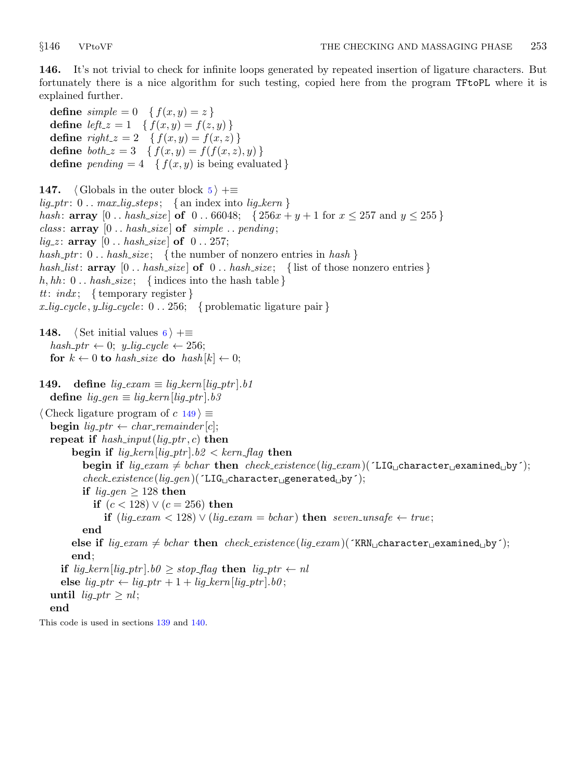<span id="page-52-0"></span>146. It's not trivial to check for infinite loops generated by repeated insertion of ligature characters. But fortunately there is a nice algorithm for such testing, copied here from the program TFtoPL where it is explained further.

define  $simple = 0 \{ f(x, y) = z \}$ define  $left_z = 1 \quad \{ f(x, y) = f(z, y) \}$ define  $right_z = 2 \{ f(x, y) = f(x, z) \}$ define  $both\_z = 3 \quad \{f(x,y) = f(f(x,z), y)\}\$ define pending  $= 4 \{ f(x, y) \text{ is being evaluated } \}$ 

147.  $\langle$  Globals in the outer block [5](#page-2-0)  $\rangle$  +≡  $lig\_ptr: 0...max\_lig\_steps; \{ \text{an index into } lig\_kern \}$ hash: **array**  $[0..$  hash size  $]$  of  $[0..$  66048;  $\{256x + y + 1$  for  $x \le 257$  and  $y \le 255\}$ class:  $array [0..hash_size]$  of  $simple..pending;$  $lig\_z$ : array  $[0..hash\_size]$  of  $0..257;$ hash\_ptr:  $0$ .. hash\_size; {the number of nonzero entries in hash} hash list: array  $[0 \tcdot \text{hash_size}]$  of  $[0 \tcdot \text{hash_size}]$ ; { list of those nonzero entries }  $h, hh: 0... has h\_size; \{ indices into the hash table \}$ tt: indx; { temporary register } x-lig-cycle, y-lig-cycle:  $0$ ... 256; { problematic ligature pair }

```
6) +≡
  hash\_ptr \leftarrow 0; y\_lig\_cycle \leftarrow 256;for k \leftarrow 0 to hash-size do hash [k] \leftarrow 0;
```

```
149. define lig\_exam \equiv lig\_kern[lig\_ptr].b1define lig\_gen \equiv lig\_kern [lig\_ptr].b3
```
 $\langle$  Check ligature program of c 149 $\rangle \equiv$ **begin**  $lig\_ptr \leftarrow char\_remainder[c];$ repeat if  $hash\_input(lig\_ptr, c)$  then begin if  $lig\_{kern}$  [lig\_ptr].b2 < kern\_flag then begin if  $lig\_exam \neq bchar$  then check existence (lig exam)( $\text{`LIG}_{\sqcup}$ character $_{\sqcup}$ examined $_{\sqcup}$ by´);  $check\_existence$  (lig\_gen)( $'LIG \cup character \cup generated \cup by'$ ); if  $lig\_gen \geq 128$  then if  $(c < 128) \vee (c = 256)$  then **if** (lig\_exam < 128)  $\lor$  (lig\_exam = bchar) **then** seven\_unsafe  $\leftarrow true$ ; end else if  $liq\_exam \neq bchar$  then  $check\_existence$  ( $liq\_exam$ )(´KRN<sub>u</sub>character examined by´); end; if lig\_kern[lig\_ptr].b0  $\geq$  stop\_flag then lig\_ptr  $\leftarrow$  nl

else  $lig\_ptr \leftarrow lig\_ptr + 1 + lig\_kern[lig\_ptr].b0;$ until  $lig\_ptr \geq nl;$ end

This code is used in sections [139](#page-50-0) and [140.](#page-50-0)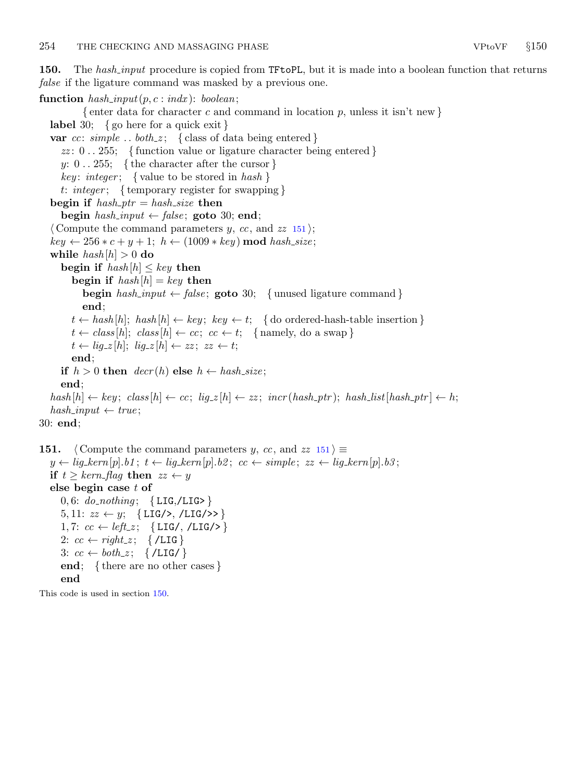<span id="page-53-0"></span>150. The hash input procedure is copied from TFtoPL, but it is made into a boolean function that returns false if the ligature command was masked by a previous one.

function  $hash\_input(p, c : indx)$ : boolean; { enter data for character c and command in location  $p$ , unless it isn't new } **label** 30; { go here for a quick exit } var cc:  $simple$ ...  $both\_z$ ; { class of data being entered } zz : 0 . . 255; { function value or ligature character being entered } y:  $0 \ldots 255$ ; {the character after the cursor} key: integer; { value to be stored in hash } t: integer; { temporary register for swapping } begin if  $hash\_ptr = hash\_size$  then begin hash\_input  $\leftarrow$  false; goto 30; end;  $\langle$  Compute the command parameters y, cc, and zz 151 $\rangle$ ;  $key \leftarrow 256*c+y+1; h \leftarrow (1009 * key) \text{ mod } hash\_size;$ while  $hash[h] > 0$  do begin if  $hash[h] \leq key$  then begin if  $hash[h] = key$  then **begin** hash\_input  $\leftarrow$  false; **goto** 30; {unused ligature command} end;  $t \leftarrow hash[h];$  hash  $[h] \leftarrow key; key \leftarrow t;$  {do ordered-hash-table insertion }  $t \leftarrow class[h]; \text{ class } [h] \leftarrow cc; \text{ } cc \leftarrow t; \text{ { \{ namely, do a swap } } }$  $t \leftarrow lig_zz[h];$   $lig_z[h] \leftarrow zz; zz \leftarrow t;$ end; if  $h > 0$  then  $decr(h)$  else  $h \leftarrow hash\_size$ ; end;  $hash[h] \leftarrow key; class[h] \leftarrow cc; lig\_z[h] \leftarrow zz; incr(hash\_ptr); hash\_list[hash\_ptr] \leftarrow h;$  $hash\_input \leftarrow true;$ 30: end;

151.  $\langle$  Compute the command parameters y, cc, and zz 151 $\rangle \equiv$  $y \leftarrow lig_{\text{th}}[p] \cdot b1; t \leftarrow lig_{\text{th}}[p] \cdot b2; cc \leftarrow simple; zz \leftarrow lig_{\text{th}}[p] \cdot b3;$ if  $t \geq \textit{kern}\text{-}\textit{flag}$  then  $zz \leftarrow y$ else begin case t of  $0, 6:$  do\_nothing; {LIG,/LIG>} 5, 11:  $zz \leftarrow y$ ; {LIG/>, /LIG/>>} 1,7:  $cc \leftarrow left_z$ ; {LIG/, /LIG/>} 2:  $cc \leftarrow right\_z; \{ / LIG \}$ 3:  $cc \leftarrow both\_z$ ; {/LIG/} end; { there are no other cases } end

This code is used in section 150.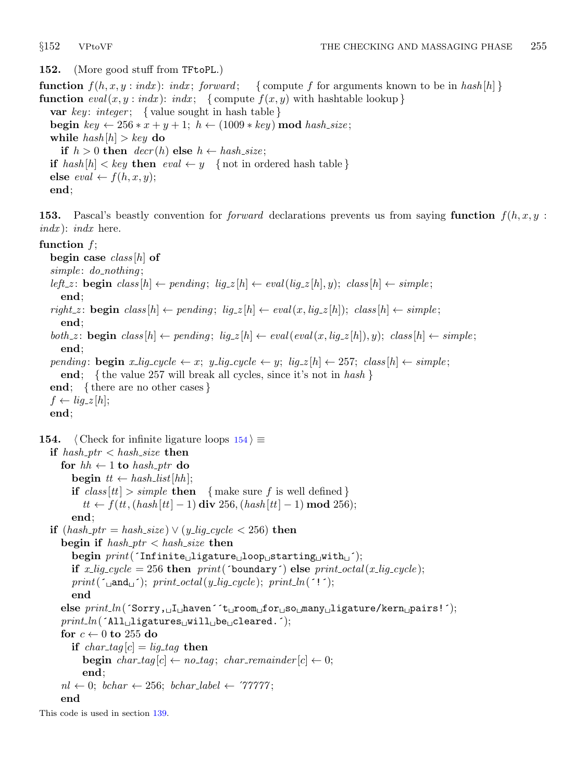<span id="page-54-0"></span>152. (More good stuff from TFtoPL.)

**function**  $f(h, x, y : \text{ind}x)$ :  $\text{ind}x$ ; forward; { compute f for arguments known to be in hash [h] } **function** eval $(x, y : \text{ind } x)$ :  $\text{ind } x$ ; {compute  $f(x, y)$  with hashtable lookup} var key: integer; { value sought in hash table } begin key  $\leftarrow 256 \times x + y + 1$ ;  $h \leftarrow (1009 \times key) \mod hash\_size$ ; while  $hash[h] > key$  do if  $h > 0$  then  $decr(h)$  else  $h \leftarrow hash\_size$ ; if  $hash[h] < key$  then  $eval \leftarrow y$  { not in ordered hash table } else  $eval \leftarrow f(h, x, y);$ end;

153. Pascal's beastly convention for *forward* declarations prevents us from saying function  $f(h, x, y)$ : indx indx here.

function  $f$ ;

begin case  $class[h]$  of  $simple: do\_nothing;$  $left \in \mathcal{E}$ : begin class  $[h] \leftarrow$  pending;  $lig \sim z[h] \leftarrow eval(lig \sim z[h], y)$ ; class  $[h] \leftarrow simple;$ end;  $right\_z$ : **begin**  $class[h] \leftarrow pending; lig\_z[h] \leftarrow eval(x, lig\_z[h]);$   $class[h] \leftarrow simple;$ end;  $both\_z: \textbf{begin } \textit{class}[h] \leftarrow \textit{pending}; \textit{lig\_z}[h] \leftarrow \textit{eval}(\textit{eval}(x,\textit{lig\_z}[h]), y); \textit{class}[h] \leftarrow \textit{simple};$ end; pending: begin x\_lig\_cycle  $\leftarrow x$ ; y\_lig\_cycle  $\leftarrow y$ ; lig\_z|h|  $\leftarrow$  257; class  $|h| \leftarrow$  simple; end; { the value 257 will break all cycles, since it's not in hash } end; { there are no other cases }  $f \leftarrow lig_zz[h];$ end; 154. (Check for infinite ligature loops  $154$ )  $\equiv$ if hash\_ptr  $\langle$  hash\_size then for  $hh \leftarrow 1$  to hash\_ptr do begin  $tt \leftarrow hash\_list[hh]$ ; if  $class [tt] > simple$  then { make sure f is well defined}  $tt \leftarrow f(tt, (hash[tt] - 1)$  div 256,  $(hash[tt] - 1)$  mod 256); end; if  $(hash\_ptr = hash\_size) \vee (y\_lig\_cycle < 256)$  then begin if  $hash\_ptr < hash\_size$  then  $begin{bmatrix} print('Infinite\_ligature\_loop\_starting\_with\_'); \end{bmatrix}$ if x<sub>-liq-cycle</sub> = 256 then print( $\delta$ boundary $\delta$ ) else print-octal(x-liq-cycle);  $print(\ulcorner \text{and} \ulcorner); print\_octal(y\_lig\_cycle); print\_ln(\ulcorner ! \ulcorner);$ end else  $print\_ln($  Sorry,  $\text{I}_\text{L}$ haven  $^t$ t<sub>u</sub>room for so many ligature/kern pairs!  $^t$ ;  $\it print\_ln('All\_ligatures\_will\_be\_cleaned.^');$ for  $c \leftarrow 0$  to 255 do if  $char\_tag$  [c] = lig\_tag then **begin** char\_tag[c]  $\leftarrow$  no\_tag; char\_remainder[c]  $\leftarrow$  0; end;  $nl \leftarrow 0$ ; bchar  $\leftarrow 256$ ; bchar\_label  $\leftarrow$  '77777; end This code is used in section [139.](#page-50-0)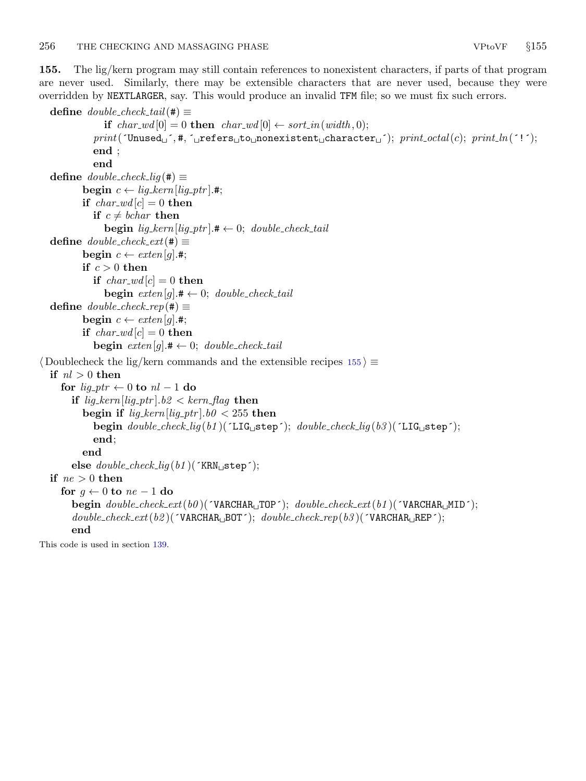<span id="page-55-0"></span>155. The lig/kern program may still contain references to nonexistent characters, if parts of that program are never used. Similarly, there may be extensible characters that are never used, because they were overridden by NEXTLARGER, say. This would produce an invalid TFM file; so we must fix such errors.

```
define double\_check\_tail(\#) \equivif char_wd[0] = 0 then char_wd[0] \leftarrow sort_in(width, 0);print('Unused\_', *, '{}_{\sqcup}refers{}_{\sqcup}top.parent{}_{\sqcup}character_{\sqcup}'); \ print\_octal(c); \ print\_ln('!');end ;
             end
  define double\_check\_lig (#) \equivbegin c \leftarrow lig\_kern[lig\_ptr].#;
          if char_wd[c] = 0 then
             if c \neq \text{bchar} then
                begin lig_kern[lig_ptr].# \leftarrow 0; double_check_tail
  define double\_check\_ext(\#) \equivbegin c \leftarrow \text{exten}[g].\#;if c > 0 then
             if char_wd[c] = 0 then
                begin ext{er}[g].# \leftarrow 0; double\_check\_taildefine double\_check\_rep(\#) \equivbegin c \leftarrow \text{exten}[g].\#;if char_wd[c] = 0 then
             begin exten[g].#\leftarrow 0; double\_check\_tail\langle Doublecheck the lig/kern commands and the extensible recipes 155 i \equivif nl > 0 then
     for lig\_ptr \leftarrow 0 to nl - 1 do
       if lig\_{kern} lig\_{ptr} b2 < kern\_{flag} then
           begin if lig\_{kern} [lig_ptr].b0 < 255 then
             begin double\_check\_lig(b1) (´LIG<sub>I</sub>step´); double\_check\_lig(b3) (´LIG<sub>I</sub>step´);
             end;
           end
        else double\_check\_lig(b1)(\text{'KRN}_{\sqcup}step');if ne > 0 then
     for q \leftarrow 0 to ne - 1 do
        begin double_check_ext(b0)(\forallVARCHAR<sub>LI</sub>TOP\hat{\ }); double_check_ext(b1)(\forallVARCHAR<sub>LI</sub>MID\hat{\ });
        double\_check\_ext(b2)(´VARCHAR<sub>LB</sub>OT´); double\_check\_rep(b3)(´VARCHAR<sub>LB</sub>EP´);
        end
```
This code is used in section [139.](#page-50-0)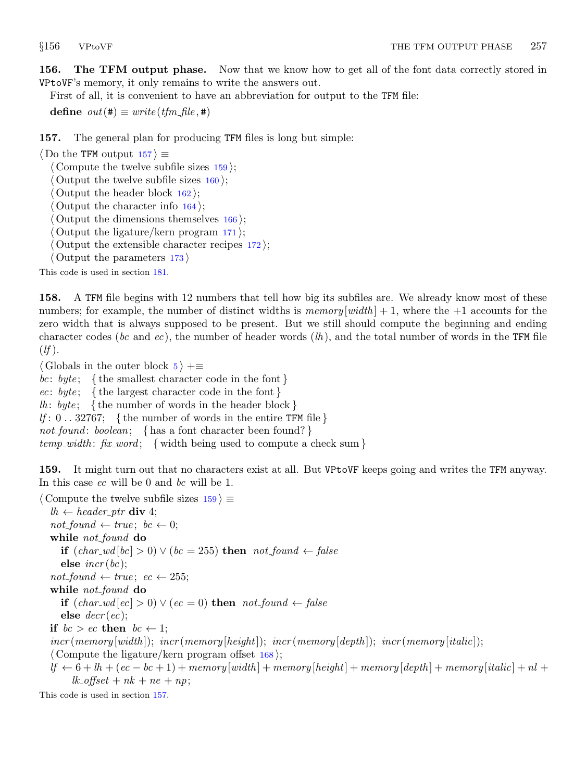<span id="page-56-0"></span>156. The TFM output phase. Now that we know how to get all of the font data correctly stored in VPtoVF's memory, it only remains to write the answers out.

First of all, it is convenient to have an abbreviation for output to the TFM file:

define  $out(\texttt{\#}) \equiv write(tfm\text{-file},\texttt{\#})$ 

157. The general plan for producing TFM files is long but simple:

```
\langle Do the TFM output 157\rangle \equiv
```

```
\langle Compute the twelve subfile sizes 159;
```

```
Output the twelve subfile sizes 160;
```
- Output the header block  $162$ ;
- Output the character info  $164$ ;
- Output the dimensions themselves  $166$ ;
- Output the ligature/kern program  $171$ ;
- Output the extensible character recipes  $172$ ;
- $\langle$  Output the parameters [173](#page-60-0) $\rangle$

This code is used in section [181.](#page-63-0)

158. A TFM file begins with 12 numbers that tell how big its subfiles are. We already know most of these numbers; for example, the number of distinct widths is memory  $[width] + 1$ , where the +1 accounts for the zero width that is always supposed to be present. But we still should compute the beginning and ending character codes (bc and ec), the number of header words  $(h)$ , and the total number of words in the TFM file  $(lf)$ .

 $\langle$  Globals in the outer block [5](#page-2-0)  $\rangle$  +=

bc: byte; {the smallest character code in the font}

ec: byte; {the largest character code in the font}

lh: byte; {the number of words in the header block}

If :  $0 \ldots 32767$ ; {the number of words in the entire TFM file }

not\_found: boolean; { has a font character been found? }

 $temp\_width:$   $fix\_word;$  {width being used to compute a check sum }

159. It might turn out that no characters exist at all. But VPtoVF keeps going and writes the TFM anyway. In this case ec will be 0 and bc will be 1.

 $\langle$  Compute the twelve subfile sizes  $159$   $\equiv$  $lh \leftarrow header\_ptr$  div 4;  $not\_found \leftarrow true; bc \leftarrow 0;$ while *not\_found* do if  $(char\_wd | bc] > 0) \vee (bc = 255)$  then  $not\_found \leftarrow false$ else  $\textit{incr}(bc)$ ;  $not\_found \leftarrow true; ec \leftarrow 255;$ while *not\_found* do if  $(char\_wd[ec] > 0) \vee (ec = 0)$  then  $not\_found \leftarrow false$ else  $decr$ (ec); if  $bc > ec$  then  $bc \leftarrow 1$ ;  $incr(memory[width]);$  incr(memory [height]); incr(memory [depth]); incr(memory [italic]);  $\langle$  Compute the ligature/kern program offset [168](#page-59-0) $\rangle$ ;  $\mathit{lf} \gets 6 + \mathit{lh} + (\mathit{ec} - \mathit{bc} + 1) + \mathit{memory}$   $\vert \mathit{width} \vert + \mathit{memory} \vert \mathit{height} \vert + \mathit{memory} \vert \mathit{depth} \vert + \mathit{memory} \vert \mathit{static} \vert + \mathit{nl} + \mathit{memory} \vert \mathit{time} \vert + \mathit{new} \vert + \mathit{new} \vert + \mathit{new} \vert + \mathit{new} \vert + \mathit{new} \vert + \mathit{new} \vert + \mathit{new} \vert + \mathit{new} \vert + \mathit{new} \vert + \mathit{new} \vert$  $lk_{\alpha} \text{tf}set + nk + ne + np;$ 

This code is used in section 157.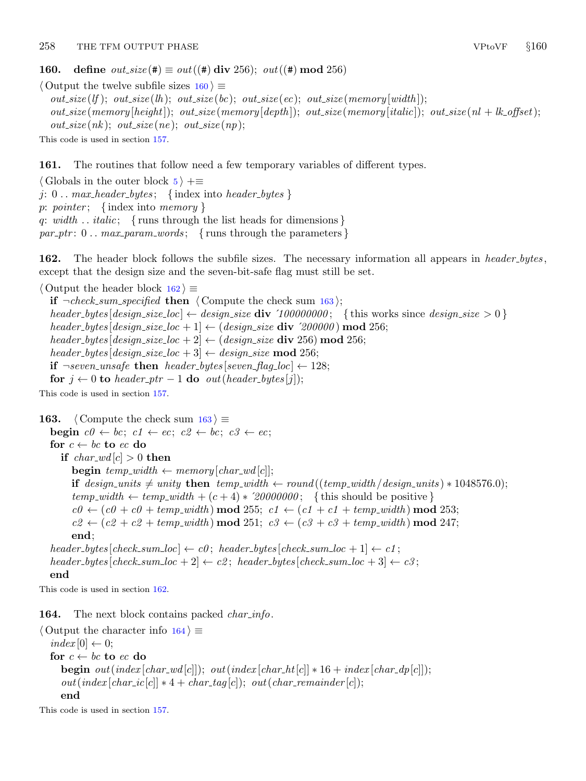<span id="page-57-0"></span>160. define  $out\_size(\#) \equiv out((#) \text{ div } 256); out((#) \text{ mod } 256)$ 

 $\langle$  Output the twelve subfile sizes  $160$   $\equiv$  $out\_size(lf); \text{ out\_size}(lh); \text{ out\_size}(bc); \text{ out\_size}(ec); \text{ out\_size}(memory[width]);$  $out\_size$  (memory [height]);  $out\_size$  (memory [depth]);  $out\_size$  (memory [italic]);  $out\_size$  (nl + lk\_offset);  $out\_size(nk); out\_size(ne); out\_size(np);$ 

This code is used in section [157.](#page-56-0)

161. The routines that follow need a few temporary variables of different types.

 $\langle$  Globals in the outer block [5](#page-2-0)  $\rangle$  + $\equiv$ j: 0 . . max\_header\_bytes; {index into header\_bytes} p: pointer; {index into memory} q: width ... *italic*; { runs through the list heads for dimensions}  $par\_ptr: 0...max\_param\_words; \{ runs through the parameters \}$ 

162. The header block follows the subfile sizes. The necessary information all appears in header-bytes, except that the design size and the seven-bit-safe flag must still be set.

 $\langle$  Output the header block 162 $\rangle \equiv$ 

if  $\neg check\_sum\_specified$  then  $\langle$  Compute the check sum 163 $\rangle$ ; header bytes  $\text{design_size\_loc} \leftarrow \text{design_size}$  div '100000000; {this works since design size > 0} header\_bytes [design\_size\_loc + 1]  $\leftarrow$  (design\_size div '200000) mod 256; header\_bytes [design\_size\_loc + 2]  $\leftarrow$  (design\_size div 256) mod 256; header\_bytes [design\_size\_loc + 3]  $\leftarrow$  design\_size **mod** 256; if  $\neg seven\_unsafe$  then header\_bytes [seven\_flaq\_loc]  $\leftarrow$  128; for  $j \leftarrow 0$  to header\_ptr – 1 do out(header\_bytes[j]);

This code is used in section [157.](#page-56-0)

163. (Compute the check sum  $163$ )  $\equiv$ 

**begin**  $c\theta \leftarrow bc$ ;  $c1 \leftarrow ec$ ;  $c2 \leftarrow bc$ ;  $c3 \leftarrow ec$ ; for  $c \leftarrow bc$  to ec do if  $char_wd[c] > 0$  then **begin**  $temp\_width \leftarrow memory[char\_wd[c]$ ;

if design\_units  $\neq$  unity then temp\_width  $\leftarrow$  round ((temp\_width /design\_units)  $*$  1048576.0); temp\_width  $\leftarrow temp\_width + (c + 4) * 20000000;$  {this should be positive}  $c0 \leftarrow (c0 + c0 + temp\_width) \mod 255$ ;  $c1 \leftarrow (c1 + c1 + temp\_width) \mod 253$ ;  $c2 \leftarrow (c2 + c2 + temp\_width) \mod 251; c3 \leftarrow (c3 + c3 + temp\_width) \mod 247;$ end;

header\_bytes  $|check\_sum\_loc| \leftarrow c0$ ; header\_bytes  $|check\_sum\_loc + 1| \leftarrow c1$ ; header\_bytes  $[check\_sum\_loc + 2] \leftarrow c2$ ; header\_bytes  $[check\_sum\_loc + 3] \leftarrow c3$ ; end

This code is used in section 162.

164. The next block contains packed *char\_info*.

```
\langle Output the character info 164\rangle \equivindex [0] \leftarrow 0;for c \leftarrow bc to ec do
     begin out(index[char_wd[c]]); out(index[char_-ht[c]] * 16 + index[char_-dp[c]]);out(index[char\_ic[c]] * 4 + char\_tag[c]); out(char\_remainder[c]);
     end
```
This code is used in section [157.](#page-56-0)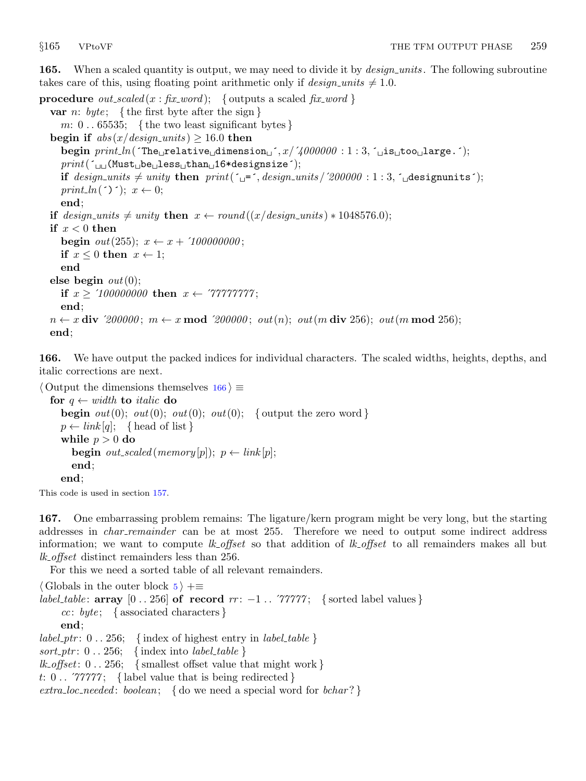<span id="page-58-0"></span>165. When a scaled quantity is output, we may need to divide it by *design\_units*. The following subroutine takes care of this, using floating point arithmetic only if  $design\_units \neq 1.0$ .

```
procedure out_scaled(x : fix_word); { outputs a scaled fix_word }
  var n: byte; { the first byte after the sign }
     m: 0 \ldots 65535; {the two least significant bytes}
  begin if abs(x/design\_units) \ge 16.0 then
     begin print\_ln( The relative dimension , x/ 4000000 : 1 : 3, \sim is too large. \sim);
     print(\text{``} \text{``} \cup \text{('} \text{Must} \text{''} \text{be} \text{''} \text{less} \text{``} \text{than} \text{``} \text{16*} \text{designsize''});if design units \neq unity then print(\zeta = \zeta, design units /200000 : 1 : 3, \zeta designunits');
     print ln(')'; x \leftarrow 0;end;
  if design_units \neq unity then x \leftarrow round((x/design\_units) * 1048576.0);if x < 0 then
     begin out(255); x \leftarrow x + 100000000;if x \leq 0 then x \leftarrow 1;
     end
  else begin out(0);
     if x \geq 1000000000 then x \leftarrow 777777777;
     end;
  n \leftarrow x div '200000; m \leftarrow x \mod 200000; out(n); out(m div 256); out(m mod 256);
  end;
```
166. We have output the packed indices for individual characters. The scaled widths, heights, depths, and italic corrections are next.

```
\langle Output the dimensions themselves 166\rangle \equivfor q \leftarrow width to italic do
     begin out(0); out(0); out(0); out(0); { output the zero word }
     p \leftarrow link[q]; \{ head of list \}while p > 0 do
       begin out_scaled (memory [p]); p \leftarrow link[p];
       end;
     end;
```
This code is used in section [157.](#page-56-0)

167. One embarrassing problem remains: The ligature/kern program might be very long, but the starting addresses in *char\_remainder* can be at most 255. Therefore we need to output some indirect address information; we want to compute *lk* offset so that addition of *lk* offset to all remainders makes all but lk offset distinct remainders less than 256.

For this we need a sorted table of all relevant remainders.

 $\langle$  Globals in the outer block [5](#page-2-0)  $\rangle$  +≡ *label\_table*: array  $[0 \tcdot 256]$  of record  $rr: -1 \tcdot \tcdot \tcdot 77777$ ; {sorted label values} cc: byte; { associated characters } end;  $label\_ptr:0...256; \{index of highest entry in label\_table\}$ sort\_ptr:  $0 \ldots 256$ ; {index into label\_table }  $lk_{\text{off}} set: 0 \ldots 256; \{ smallest \text{ offset value that might work }\}$ t:  $0 \ldots 77777$ ; { label value that is being redirected }  $extra\_loc\_needed: boolean; \{ do we need a special word for *behavior*? \}$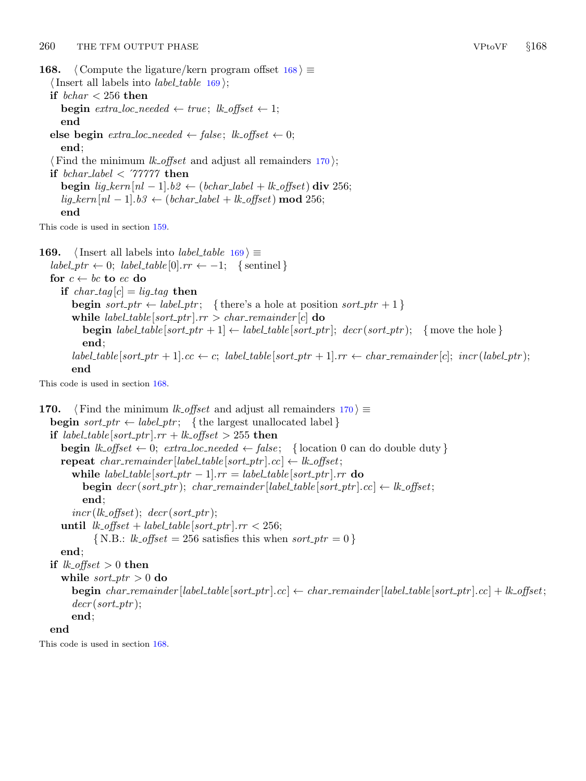<span id="page-59-0"></span>168.  $\langle$  Compute the ligature/kern program offset 168 $\rangle \equiv$  $\langle$  Insert all labels into *label\_table* 169 $\rangle$ ; if  $\mathit{bchar} < 256$  then **begin** extra loc needed  $\leftarrow$  true; lk offset  $\leftarrow$  1;

end else begin  $extra\_loc\_needed \leftarrow false; \; \textit{lk\_offset} \leftarrow 0;$ end; (Find the minimum *lk\_offset* and adjust all remainders  $170$ ); if bchar\_label  $\langle$  '77777' then

**begin** lig\_kern[nl – 1].b2  $\leftarrow$  (bchar\_label + lk\_offset) div 256; lig\_kern[nl − 1].b3 ← (bchar\_label + lk\_offset) mod 256; end

This code is used in section [159.](#page-56-0)

**169.**  $\langle$  Insert all labels into *label\_table* 169  $\rangle \equiv$  $label\_ptr \leftarrow 0; \ label\_table[0].rr \leftarrow -1; \ \{sentinel\}$ for  $c \leftarrow bc$  to ec do if  $char\_tag$  [c] = lig\_tag then **begin** sort ptr  $\leftarrow$  label ptr; { there's a hole at position sort ptr + 1} while  $label_table[sort_ptr] .rr > char_remainder[c]$  do **begin** label\_table  $[sort\_ptr + 1] \leftarrow label\_table[sort\_ptr];$  decr(sort\_ptr); { move the hole } end;  $label\_table[sort\_ptr + 1].cc \leftarrow c; label\_table[sort\_ptr + 1].rr \leftarrow char\_remainder[c]; inc([label\_ptr];c[sort\_ptr + 1].cc \leftarrow c; label\_table[sort\_ptr + 1].rr \leftarrow char\_remainder[c]; inc([label\_ptr];c[sort\_ptr + 1].cc \leftarrow c; label\_table[sort\_ptr + 1].cr \leftarrow c; len\_term\_index[c]$ end

This code is used in section 168.

170.  $\langle$  Find the minimum *lk offset* and adjust all remainders 170  $\rangle \equiv$ **begin** sort\_ptr  $\leftarrow$  label\_ptr; { the largest unallocated label} if label\_table [sort\_ptr].rr + lk\_offset > 255 then **begin**  $lk \text{-} offset \leftarrow 0$ ;  $extra \text{-} loc \text{-} needed \leftarrow false$ ; { location 0 can do double duty } repeat char\_remainder [label\_table [sort\_ptr].cc]  $\leftarrow$  lk\_offset; while  $label_table[sort_pr-1].rr = label_table[sort_pr.rr]$ **begin**  $decr(sort\_ptr)$ ; char\_remainder [label\_table [sort\_ptr].cc]  $\leftarrow$  lk\_offset; end;  $incr(lk\_offset);$   $decr(sort\_ptr);$ until  $lk_{\textit{-}}offset + label_{\textit{-}}table$  [sort\_ptr].rr < 256; {N.B.:  $lk\_offset = 256$  satisfies this when  $sort\_ptr = 0$ } end; if  $lk_{\text{-}}offset > 0$  then while  $sort\_ptr > 0$  do **begin** char remainder  $[label\_table] sort\_ptr]$ .cc]  $\leftarrow char$  remainder  $[label\_table] sort\_ptr]$ .cc] + lk\_offset;  $decr (sort\_ptr);$ end; end

This code is used in section 168.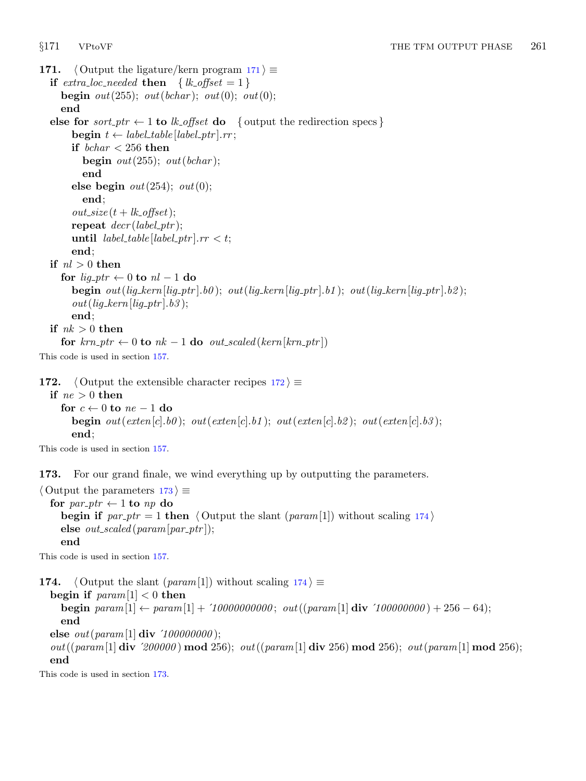```
171. \langle Output the ligature/kern program 171\rangle \equivif extra\_loc\_needed then \{lk\_offset = 1\}begin out(255); out(bchar); out(0); out(0);
    end
  else for sort\_ptr \leftarrow 1 to lk\_offset do { output the redirection specs }
       begin t \leftarrow label\_table[label\_ptr].rr;if \mathit{bchar} < 256 then
          begin out(255); out(bchar);
         end
       else begin out(254); out(0);end;
       out\_size(t + lk\_offset);repeat decr (label_ptr);until label\_table[label\_ptr] .rr < t;end;
  if nl > 0 then
    for lig\_ptr \leftarrow 0 to nl - 1 do
       begin out(lig_kern[lig_ptr].b0); out(lig_kern[lig_ptr].b1); out(lig_kern[lig_ptr].b2);
       out(lig\_kern[lig\_ptr].b3);end;
  if nk > 0 then
    for km\_ptr \leftarrow 0 to nk - 1 do out\_scaled(kern[krn\_ptr])This code is used in section 157.
```
172.  $\langle$  Output the extensible character recipes  $172$   $\equiv$ 

if  $ne > 0$  then for  $c \leftarrow 0$  to  $ne - 1$  do **begin** out( $ext{ent}[c].b0$ ); out( $ext{ent}[c].b1$ ); out( $ext{ent}[c].b2$ ); out( $ext{ent}[c].b3$ ); end;

This code is used in section [157.](#page-56-0)

173. For our grand finale, we wind everything up by outputting the parameters.

```
\langle Output the parameters 173 \rangle \equivfor par\_ptr \leftarrow 1 to np do
     begin if par\_ptr = 1 then \langle Output the slant (param[1]) without scaling 174\rangleelse out\_scaled (param [par_ptr]);
     end
```
This code is used in section [157.](#page-56-0)

**174.**  $\langle$  Output the slant (param[1]) without scaling 174 $\rangle \equiv$ begin if  $param[1] < 0$  then **begin**  $param[1] \leftarrow param[1] + '10000000000$ ;  $out((param[1] div '100000000) + 256 - 64);$ end else  $out(param[1] \textbf{div } '100000000)$ ; out((param[1] div '200000) mod 256); out((param[1] div 256) mod 256); out(param[1] mod 256); end

This code is used in section 173.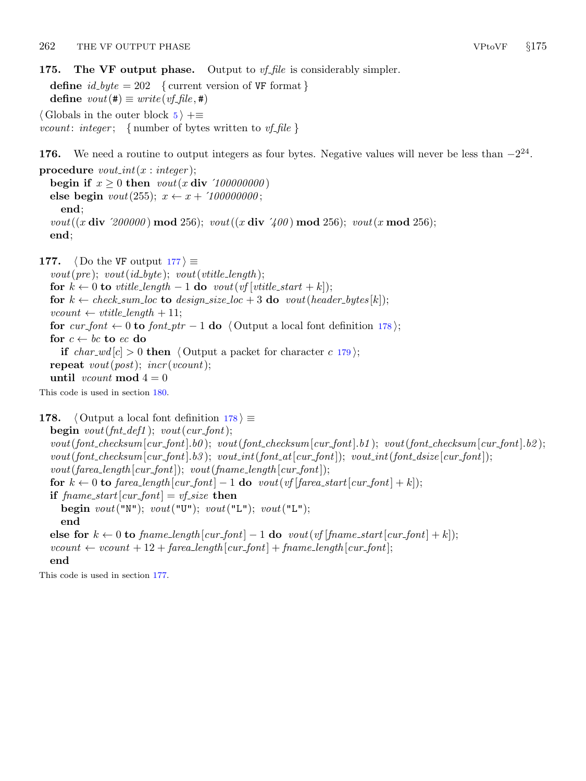<span id="page-61-0"></span>175. The VF output phase. Output to  $\mathit{vf}_\text{-}$  file is considerably simpler.

define  $id\_byte = 202$  { current version of VF format } define  $vout(\textbf{\#}) \equiv write(vf_{\textit{-}}file, \textbf{\#})$  $\langle$  Globals in the outer block [5](#page-2-0)  $\rangle$  +≡ vcount: integer; { number of bytes written to  $\mathit{vf}_\text{-file}$  }

176. We need a routine to output integers as four bytes. Negative values will never be less than  $-2^{24}$ .

procedure  $vout\_int(x : integer);$ begin if  $x \geq 0$  then vout(x div '100000000) else begin  $vout(255); x \leftarrow x + 100000000;$ end; vout((x div  $'200000$ ) mod 256); vout((x div  $'400$ ) mod 256); vout(x mod 256); end;

177.  $\langle$  Do the VF output 177  $\rangle \equiv$ 

 $vout(pre);$   $vout(id\_byte);$   $vout(vtitle\_length);$ for  $k \leftarrow 0$  to vtitle\_length – 1 do vout(vf [vtitle\_start + k]); for  $k \leftarrow check\_sum\_loc$  to design\_size\_loc + 3 do vout(header\_bytes[k]);  $vcount \leftarrow \text{title\_length} + 11;$ for cur font  $\leftarrow 0$  to font ptr - 1 do  $\langle$  Output a local font definition 178 $\rangle$ ; for  $c \leftarrow bc$  to ec do if char wd  $|c| > 0$  then  $\langle$  Output a packet for character c [179](#page-62-0) $\rangle$ ; repeat  $vout(post);$  incr(vcount); until *vcount* mod  $4 = 0$ 

This code is used in section [180.](#page-63-0)

178.  $\langle$  Output a local font definition 178  $\rangle \equiv$ begin  $vout(fnt\_def1);$   $vout(cur\_font);$  $vout(font\_checksum[cur\_font].b0);$   $vout(font\_checksum[cur\_font].b1);$   $vout(font\_checksum[cur\_font].b2);$  $vout(font\_checksum[cur_font].b3);$   $vout\_int(font\_at[cur_font]);$   $vout\_int(font\_disize[cur_font]);$  $vout(farea.length[cur\_font])$ ;  $vout(fname\_length[cur\_font])$ ; for  $k \leftarrow 0$  to farea\_length  $[cur\_font] - 1$  do vout(vf [farea\_start  $[cur\_font] + k$ ]); if  $\text{f}$  name\_start  $\text{f}$  cur\_font  $\text{f}$  = vf\_size then begin  $vout("N")$ ;  $vout("U")$ ;  $vout("L")$ ;  $vout("L")$ ; end else for  $k \leftarrow 0$  to fname\_length [cur\_font] – 1 do vout(vf [fname\_start [cur\_font] + k]);  $vcount \leftarrow vcount + 12 + \text{face\_length}[\text{cur}\text{-}font] + \text{frame}\text{-}length[\text{cur}\text{-}font];$ end

This code is used in section 177.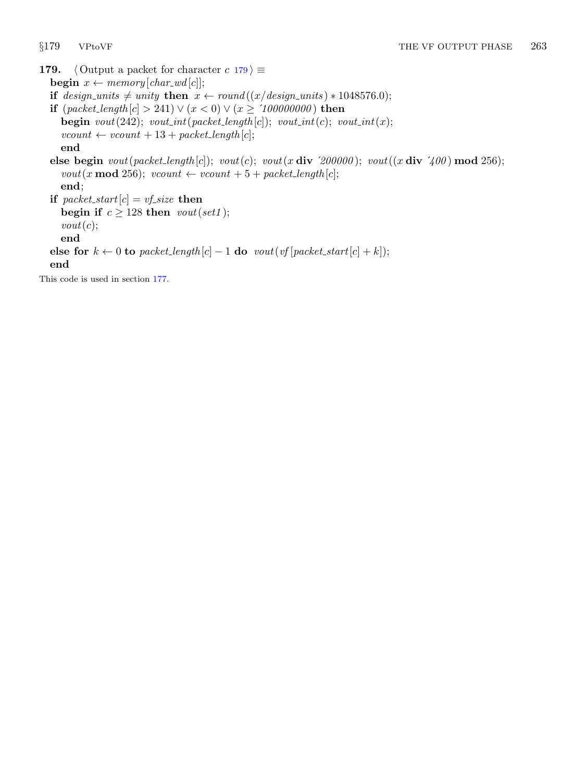```
179. \langle Output a packet for character c 179\rangle \equivbegin x \leftarrow \text{memory}[char\_wd[c];
  if design_units \neq unity then x \leftarrow round((x/design\_units) * 1048576.0);if (\text{packet\_length}[c] > 241) \lor (x < 0) \lor (x \geq 100000000) then
     begin vout(242); vout-int(packet.length[c]); vout-int(c); vout-int(x);
     vcount \leftarrow vcount + 13 + packet_length[c];end
  else begin vout(packet.length[c]); vout(c); vout(x div 200000); vout((x div 400) mod 256);
     vout(x mod 256); vcount \leftarrow vcount + 5 + packet_length [c];
     end;
  if packet_start[c] = vf_size then
     begin if c \ge 128 then vout(set1);
     vout(c);end
  else for k \leftarrow 0 to packet_length [c] - 1 do vout(vf [packet_start [c] + k]);
  end
```
This code is used in section [177.](#page-61-0)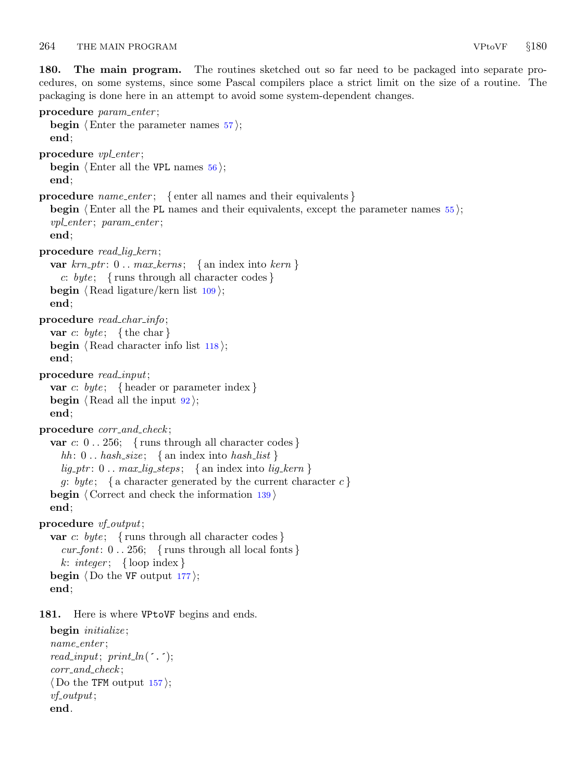corr\_and\_check;

 $v f_$ output; end.

 $\langle$  Do the TFM output [157](#page-56-0) $\rangle$ ;

<span id="page-63-0"></span>180. The main program. The routines sketched out so far need to be packaged into separate procedures, on some systems, since some Pascal compilers place a strict limit on the size of a routine. The packaging is done here in an attempt to avoid some system-dependent changes.

```
procedure param_enter;
  begin \langle57\rangle;
  end;
procedure vpl_enter;
  begin \langle56\rangle;
  end;
procedure name enter; { enter all names and their equivalents }
  begin (Enter all the PL names and their equivalents, except the parameter names 55);
  vpl\_enter; param\_enter;
  end;
procedure read_lig_kern;
  var km\_ptr: 0... max\_terms; { an index into kern }
    c: byte; { runs through all character codes }
  begin \langle109\rangle;
  end;
procedure read_char_info;
  var c: byte; {the char}
  begin \langle118\rangle;
  end;
procedure read_input;
  var c: byte; { header or parameter index }
  begin \langle Read all the input 92 \rangle;
  end;
procedure corr_and_check;
  var c: 0 \ldots 256; { runs through all character codes }
    hh: 0... hash_size; { an index into hash_list}
    lig\_ptr: 0...max\_lig\_steps; \{ \text{an index into } lig\_kern \}g: byte; { a character generated by the current character c}
  begin \langle139 \rangleend;
procedure vf_output;
  var c: byte; { runs through all character codes }
    \textit{cur-font}: 0 \ldots 256; \{ \text{runs through all local fonts } \}k: integer; { loop index }
  begin \langle177\rangle;
  end;
181. Here is where VPtoVF begins and ends.
  begin initialize:
  name enter ;
  read_input; print\_ln(\cdot, \cdot);
```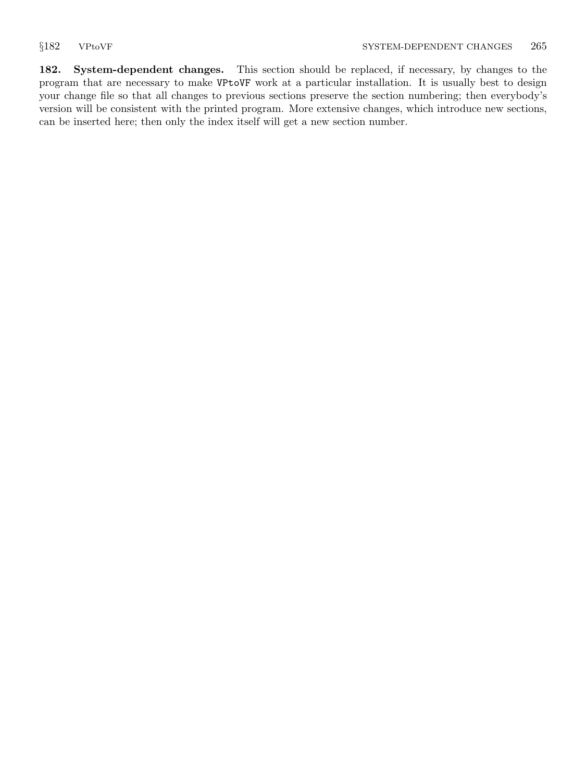<span id="page-64-0"></span>182. System-dependent changes. This section should be replaced, if necessary, by changes to the program that are necessary to make VPtoVF work at a particular installation. It is usually best to design your change file so that all changes to previous sections preserve the section numbering; then everybody's version will be consistent with the printed program. More extensive changes, which introduce new sections, can be inserted here; then only the index itself will get a new section number.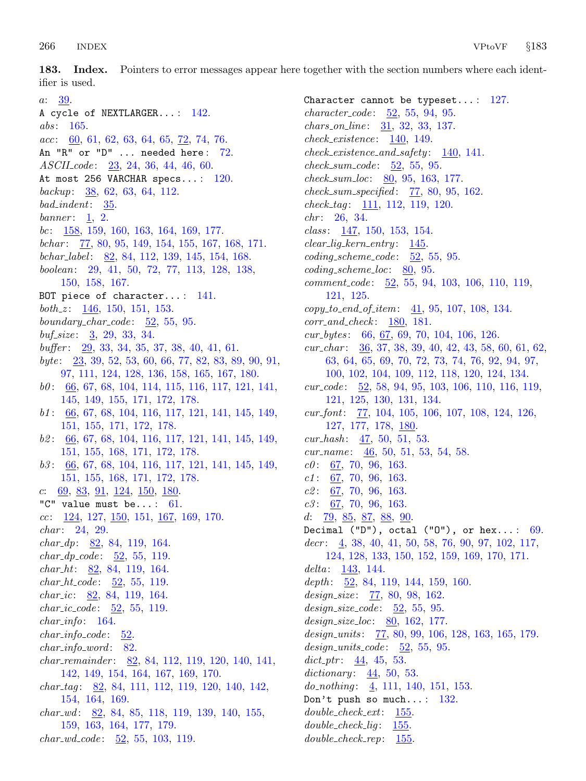183. Index. Pointers to error messages appear here together with the section numbers where each identifier is used.

a: [39.](#page-16-0) A cycle of NEXTLARGER...: [142](#page-51-0). abs:  $165$ . acc: [60,](#page-26-0) [61](#page-26-0), [62,](#page-26-0) [63,](#page-27-0) [64](#page-27-0), [65](#page-27-0), [72,](#page-29-0) [74](#page-29-0), [76](#page-30-0). An "R" or "D"  $\ldots$  needed here: [72](#page-29-0). ASCII<sub>-code</sub>: [23,](#page-11-0) [24,](#page-11-0) [36,](#page-15-0) [44](#page-18-0), [46](#page-18-0), [60](#page-26-0). At most 256 VARCHAR specs...: [120](#page-44-0). backup: [38,](#page-15-0) [62,](#page-26-0) [63](#page-27-0), [64](#page-27-0), [112.](#page-42-0) bad indent: [35](#page-14-0). banner:  $1, 2$  $1, 2$ . bc: [158](#page-56-0), [159](#page-56-0), [160,](#page-57-0) [163,](#page-57-0) [164](#page-57-0), [169](#page-59-0), [177.](#page-61-0) bchar:  $\overline{77}$  $\overline{77}$  $\overline{77}$ , [80,](#page-32-0) [95,](#page-37-0) [149](#page-52-0), [154](#page-54-0), [155](#page-55-0), [167,](#page-58-0) [168,](#page-59-0) [171](#page-60-0). bchar\_label:  $82, 84, 112, 139, 145, 154, 168$  $82, 84, 112, 139, 145, 154, 168$  $82, 84, 112, 139, 145, 154, 168$  $82, 84, 112, 139, 145, 154, 168$  $82, 84, 112, 139, 145, 154, 168$  $82, 84, 112, 139, 145, 154, 168$  $82, 84, 112, 139, 145, 154, 168$  $82, 84, 112, 139, 145, 154, 168$  $82, 84, 112, 139, 145, 154, 168$  $82, 84, 112, 139, 145, 154, 168$  $82, 84, 112, 139, 145, 154, 168$  $82, 84, 112, 139, 145, 154, 168$  $82, 84, 112, 139, 145, 154, 168$ . boolean: [29](#page-12-0), [41](#page-17-0), [50](#page-19-0), [72](#page-29-0), [77](#page-31-0), [113,](#page-42-0) [128,](#page-47-0) [138,](#page-50-0) [150,](#page-53-0) [158,](#page-56-0) [167.](#page-58-0) BOT piece of character...: [141.](#page-51-0) both  $z$ :  $\frac{146}{150}$  $\frac{146}{150}$  $\frac{146}{150}$ , 150, [151](#page-53-0), [153.](#page-54-0) boundary\_char\_code:  $52, 55, 95$  $52, 55, 95$  $52, 55, 95$  $52, 55, 95$  $52, 55, 95$ .  $\textit{buf}\_size: 3, 29, 33, 34.$  $\textit{buf}\_size: 3, 29, 33, 34.$  $\textit{buf}\_size: 3, 29, 33, 34.$  $\textit{buf}\_size: 3, 29, 33, 34.$  $\textit{buf}\_size: 3, 29, 33, 34.$  $\textit{buf}\_size: 3, 29, 33, 34.$  $\textit{buf}\_size: 3, 29, 33, 34.$  $\textit{buf}\_size: 3, 29, 33, 34.$  $\textit{buf}\_size: 3, 29, 33, 34.$ buffer: [29](#page-12-0), [33,](#page-13-0) [34](#page-13-0), [35,](#page-14-0) [37](#page-15-0), [38,](#page-15-0) [40,](#page-16-0) [41](#page-17-0), [61.](#page-26-0) byte:  $\frac{23}{39}$  $\frac{23}{39}$  $\frac{23}{39}$  $\frac{23}{39}$  $\frac{23}{39}$ ,  $\frac{52}{53}$ ,  $\frac{53}{60}$  $\frac{53}{60}$  $\frac{53}{60}$ ,  $\frac{66}{77}$  $\frac{66}{77}$  $\frac{66}{77}$  $\frac{66}{77}$  $\frac{66}{77}$ ,  $\frac{82}{53}$ ,  $\frac{83}{59}$ ,  $\frac{90}{91}$  $\frac{90}{91}$  $\frac{90}{91}$  $\frac{90}{91}$  $\frac{90}{91}$ , [97,](#page-38-0) [111](#page-42-0), [124](#page-46-0), [128,](#page-47-0) [136](#page-49-0), [158](#page-56-0), [165,](#page-58-0) [167](#page-58-0), [180](#page-63-0). b0 : [66](#page-27-0), [67,](#page-28-0) [68](#page-28-0), [104](#page-40-0), [114,](#page-42-0) [115](#page-42-0), [116,](#page-43-0) [117](#page-43-0), [121](#page-44-0), [141,](#page-51-0) [145,](#page-51-0) [149,](#page-52-0) [155,](#page-55-0) [171,](#page-60-0) [172,](#page-60-0) [178.](#page-61-0)  $b1: 66, 67, 68, 104, 116, 117, 121, 141, 145, 149,$  $b1: 66, 67, 68, 104, 116, 117, 121, 141, 145, 149,$  $b1: 66, 67, 68, 104, 116, 117, 121, 141, 145, 149,$  $b1: 66, 67, 68, 104, 116, 117, 121, 141, 145, 149,$  $b1: 66, 67, 68, 104, 116, 117, 121, 141, 145, 149,$  $b1: 66, 67, 68, 104, 116, 117, 121, 141, 145, 149,$  $b1: 66, 67, 68, 104, 116, 117, 121, 141, 145, 149,$  $b1: 66, 67, 68, 104, 116, 117, 121, 141, 145, 149,$  $b1: 66, 67, 68, 104, 116, 117, 121, 141, 145, 149,$  $b1: 66, 67, 68, 104, 116, 117, 121, 141, 145, 149,$  $b1: 66, 67, 68, 104, 116, 117, 121, 141, 145, 149,$  $b1: 66, 67, 68, 104, 116, 117, 121, 141, 145, 149,$  $b1: 66, 67, 68, 104, 116, 117, 121, 141, 145, 149,$  $b1: 66, 67, 68, 104, 116, 117, 121, 141, 145, 149,$  $b1: 66, 67, 68, 104, 116, 117, 121, 141, 145, 149,$  $b1: 66, 67, 68, 104, 116, 117, 121, 141, 145, 149,$  $b1: 66, 67, 68, 104, 116, 117, 121, 141, 145, 149,$  $b1: 66, 67, 68, 104, 116, 117, 121, 141, 145, 149,$  $b1: 66, 67, 68, 104, 116, 117, 121, 141, 145, 149,$  $b1: 66, 67, 68, 104, 116, 117, 121, 141, 145, 149,$ [151,](#page-53-0) [155](#page-55-0), [171](#page-60-0), [172,](#page-60-0) [178](#page-61-0).  $b2: 66, 67, 68, 104, 116, 117, 121, 141, 145, 149,$  $b2: 66, 67, 68, 104, 116, 117, 121, 141, 145, 149,$  $b2: 66, 67, 68, 104, 116, 117, 121, 141, 145, 149,$  $b2: 66, 67, 68, 104, 116, 117, 121, 141, 145, 149,$  $b2: 66, 67, 68, 104, 116, 117, 121, 141, 145, 149,$  $b2: 66, 67, 68, 104, 116, 117, 121, 141, 145, 149,$  $b2: 66, 67, 68, 104, 116, 117, 121, 141, 145, 149,$  $b2: 66, 67, 68, 104, 116, 117, 121, 141, 145, 149,$  $b2: 66, 67, 68, 104, 116, 117, 121, 141, 145, 149,$  $b2: 66, 67, 68, 104, 116, 117, 121, 141, 145, 149,$  $b2: 66, 67, 68, 104, 116, 117, 121, 141, 145, 149,$  $b2: 66, 67, 68, 104, 116, 117, 121, 141, 145, 149,$  $b2: 66, 67, 68, 104, 116, 117, 121, 141, 145, 149,$  $b2: 66, 67, 68, 104, 116, 117, 121, 141, 145, 149,$  $b2: 66, 67, 68, 104, 116, 117, 121, 141, 145, 149,$  $b2: 66, 67, 68, 104, 116, 117, 121, 141, 145, 149,$  $b2: 66, 67, 68, 104, 116, 117, 121, 141, 145, 149,$  $b2: 66, 67, 68, 104, 116, 117, 121, 141, 145, 149,$  $b2: 66, 67, 68, 104, 116, 117, 121, 141, 145, 149,$  $b2: 66, 67, 68, 104, 116, 117, 121, 141, 145, 149,$ [151,](#page-53-0) [155,](#page-55-0) [168,](#page-59-0) [171,](#page-60-0) [172,](#page-60-0) [178.](#page-61-0)  $b3: 66, 67, 68, 104, 116, 117, 121, 141, 145, 149,$  $b3: 66, 67, 68, 104, 116, 117, 121, 141, 145, 149,$  $b3: 66, 67, 68, 104, 116, 117, 121, 141, 145, 149,$  $b3: 66, 67, 68, 104, 116, 117, 121, 141, 145, 149,$  $b3: 66, 67, 68, 104, 116, 117, 121, 141, 145, 149,$  $b3: 66, 67, 68, 104, 116, 117, 121, 141, 145, 149,$  $b3: 66, 67, 68, 104, 116, 117, 121, 141, 145, 149,$  $b3: 66, 67, 68, 104, 116, 117, 121, 141, 145, 149,$  $b3: 66, 67, 68, 104, 116, 117, 121, 141, 145, 149,$  $b3: 66, 67, 68, 104, 116, 117, 121, 141, 145, 149,$  $b3: 66, 67, 68, 104, 116, 117, 121, 141, 145, 149,$  $b3: 66, 67, 68, 104, 116, 117, 121, 141, 145, 149,$  $b3: 66, 67, 68, 104, 116, 117, 121, 141, 145, 149,$  $b3: 66, 67, 68, 104, 116, 117, 121, 141, 145, 149,$  $b3: 66, 67, 68, 104, 116, 117, 121, 141, 145, 149,$  $b3: 66, 67, 68, 104, 116, 117, 121, 141, 145, 149,$  $b3: 66, 67, 68, 104, 116, 117, 121, 141, 145, 149,$  $b3: 66, 67, 68, 104, 116, 117, 121, 141, 145, 149,$  $b3: 66, 67, 68, 104, 116, 117, 121, 141, 145, 149,$  $b3: 66, 67, 68, 104, 116, 117, 121, 141, 145, 149,$ [151,](#page-53-0) [155,](#page-55-0) [168,](#page-59-0) [171,](#page-60-0) [172,](#page-60-0) [178.](#page-61-0) c:  $\frac{69}{83}$  $\frac{69}{83}$  $\frac{69}{83}$  $\frac{69}{83}$  $\frac{69}{83}$ ,  $\frac{91}{124}$ ,  $\frac{124}{150}$  $\frac{124}{150}$  $\frac{124}{150}$ ,  $\frac{180}{180}$  $\frac{180}{180}$  $\frac{180}{180}$ . "C" value must be...:  $61$ .  $cc: \quad \underline{124}, \, 127, \, \underline{150}, \, 151, \, \underline{167}, \, 169, \, 170.$  $cc: \quad \underline{124}, \, 127, \, \underline{150}, \, 151, \, \underline{167}, \, 169, \, 170.$  $cc: \quad \underline{124}, \, 127, \, \underline{150}, \, 151, \, \underline{167}, \, 169, \, 170.$  $cc: \quad \underline{124}, \, 127, \, \underline{150}, \, 151, \, \underline{167}, \, 169, \, 170.$  $cc: \quad \underline{124}, \, 127, \, \underline{150}, \, 151, \, \underline{167}, \, 169, \, 170.$  $cc: \quad \underline{124}, \, 127, \, \underline{150}, \, 151, \, \underline{167}, \, 169, \, 170.$  $cc: \quad \underline{124}, \, 127, \, \underline{150}, \, 151, \, \underline{167}, \, 169, \, 170.$  $cc: \quad \underline{124}, \, 127, \, \underline{150}, \, 151, \, \underline{167}, \, 169, \, 170.$  $cc: \quad \underline{124}, \, 127, \, \underline{150}, \, 151, \, \underline{167}, \, 169, \, 170.$  $cc: \quad \underline{124}, \, 127, \, \underline{150}, \, 151, \, \underline{167}, \, 169, \, 170.$  $cc: \quad \underline{124}, \, 127, \, \underline{150}, \, 151, \, \underline{167}, \, 169, \, 170.$  $cc: \quad \underline{124}, \, 127, \, \underline{150}, \, 151, \, \underline{167}, \, 169, \, 170.$  $char: 24, 29.$  $char: 24, 29.$  $char: 24, 29.$  $char: 24, 29.$  $char: 24, 29.$  $char_d p: 82, 84, 119, 164.$  $char_d p: 82, 84, 119, 164.$  $char_d p: 82, 84, 119, 164.$  $char_d p: 82, 84, 119, 164.$  $char_d p: 82, 84, 119, 164.$  $char_d p: 82, 84, 119, 164.$  $char_d p: 82, 84, 119, 164.$  $char_d p: 82, 84, 119, 164.$  $char\_dp\_code$ :  $52, 55, 119$  $52, 55, 119$  $52, 55, 119$  $52, 55, 119$ .  $char_-ht: 82, 84, 119, 164.$  $char_-ht: 82, 84, 119, 164.$  $char_-ht: 82, 84, 119, 164.$  $char_-ht: 82, 84, 119, 164.$  $char_-ht: 82, 84, 119, 164.$  $char_-ht: 82, 84, 119, 164.$  $char_-ht: 82, 84, 119, 164.$  $char_-ht: 82, 84, 119, 164.$  $char_-ht: 82, 84, 119, 164.$  $char\_ht\_code$ :  $\underline{52}$ , [55](#page-23-0), [119.](#page-44-0) char ic: [82](#page-32-0), [84](#page-33-0), [119,](#page-44-0) [164](#page-57-0).  $char\_ic\_code$ :  $\underline{52}$  $\underline{52}$  $\underline{52}$ , [55,](#page-23-0) [119](#page-44-0). char info: [164](#page-57-0).  $char\_info\_code$ : [52](#page-20-0).  $char\_info\_word: 82$ .  $char\_remainder: 82, 84, 112, 119, 120, 140, 141,$  $char\_remainder: 82, 84, 112, 119, 120, 140, 141,$  $char\_remainder: 82, 84, 112, 119, 120, 140, 141,$  $char\_remainder: 82, 84, 112, 119, 120, 140, 141,$  $char\_remainder: 82, 84, 112, 119, 120, 140, 141,$  $char\_remainder: 82, 84, 112, 119, 120, 140, 141,$  $char\_remainder: 82, 84, 112, 119, 120, 140, 141,$  $char\_remainder: 82, 84, 112, 119, 120, 140, 141,$  $char\_remainder: 82, 84, 112, 119, 120, 140, 141,$  $char\_remainder: 82, 84, 112, 119, 120, 140, 141,$  $char\_remainder: 82, 84, 112, 119, 120, 140, 141,$  $char\_remainder: 82, 84, 112, 119, 120, 140, 141,$  $char\_remainder: 82, 84, 112, 119, 120, 140, 141,$  $char\_remainder: 82, 84, 112, 119, 120, 140, 141,$  $char\_remainder: 82, 84, 112, 119, 120, 140, 141,$ [142,](#page-51-0) [149,](#page-52-0) [154](#page-54-0), [164](#page-57-0), [167,](#page-58-0) [169,](#page-59-0) [170](#page-59-0). char\_tag: [82,](#page-32-0) [84,](#page-33-0) [111,](#page-42-0) [112,](#page-42-0) [119,](#page-44-0) [120,](#page-44-0) [140](#page-50-0), [142](#page-51-0), [154,](#page-54-0) [164,](#page-57-0) [169.](#page-59-0) char wd : [82,](#page-32-0) [84,](#page-33-0) [85](#page-33-0), [118,](#page-43-0) [119](#page-44-0), [139](#page-50-0), [140,](#page-50-0) [155](#page-55-0), [159,](#page-56-0) [163](#page-57-0), [164](#page-57-0), [177,](#page-61-0) [179](#page-62-0).  $char\_wd\_code$ :  $\underline{52}$  $\underline{52}$  $\underline{52}$ , [55](#page-23-0), [103](#page-39-0), [119.](#page-44-0)

Character cannot be typeset...:  $127$ .  $character\_code: 52, 55, 94, 95.$  $character\_code: 52, 55, 94, 95.$  $character\_code: 52, 55, 94, 95.$  $character\_code: 52, 55, 94, 95.$  $character\_code: 52, 55, 94, 95.$  $character\_code: 52, 55, 94, 95.$  $character\_code: 52, 55, 94, 95.$  $character\_code: 52, 55, 94, 95.$  $chars\_on\_line: 31, 32, 33, 137.$  $chars\_on\_line: 31, 32, 33, 137.$  $chars\_on\_line: 31, 32, 33, 137.$  $chars\_on\_line: 31, 32, 33, 137.$  $chars\_on\_line: 31, 32, 33, 137.$  $chars\_on\_line: 31, 32, 33, 137.$  $chars\_on\_line: 31, 32, 33, 137.$  $chars\_on\_line: 31, 32, 33, 137.$  $chars\_on\_line: 31, 32, 33, 137.$ check\_existence: [140,](#page-50-0) [149](#page-52-0). check existence and safety : [140](#page-50-0), [141.](#page-51-0)  $check\_sum\_code$ : [52](#page-20-0), [55](#page-23-0), [95.](#page-37-0) check sum loc: [80](#page-32-0), [95](#page-37-0), [163](#page-57-0), [177](#page-61-0).  $check\_sum\_specified: 77, 80, 95, 162.$  $check\_sum\_specified: 77, 80, 95, 162.$  $check\_sum\_specified: 77, 80, 95, 162.$  $check\_sum\_specified: 77, 80, 95, 162.$  $check\_sum\_specified: 77, 80, 95, 162.$  $check\_sum\_specified: 77, 80, 95, 162.$  $check\_sum\_specified: 77, 80, 95, 162.$  $check\_sum\_specified: 77, 80, 95, 162.$  $check\_tag: 111, 112, 119, 120.$  $check\_tag: 111, 112, 119, 120.$  $check\_tag: 111, 112, 119, 120.$  $check\_tag: 111, 112, 119, 120.$  $check\_tag: 111, 112, 119, 120.$  $check\_tag: 111, 112, 119, 120.$  $check\_tag: 111, 112, 119, 120.$  $check\_tag: 111, 112, 119, 120.$  $check\_tag: 111, 112, 119, 120.$  $chr: 26, 34.$  $chr: 26, 34.$  $chr: 26, 34.$  $chr: 26, 34.$  $chr: 26, 34.$  $class: \quad \underline{147}, \; 150, \; 153, \; 154.$  $class: \quad \underline{147}, \; 150, \; 153, \; 154.$  $class: \quad \underline{147}, \; 150, \; 153, \; 154.$  $class: \quad \underline{147}, \; 150, \; 153, \; 154.$  $class: \quad \underline{147}, \; 150, \; 153, \; 154.$  $class: \quad \underline{147}, \; 150, \; 153, \; 154.$  $class: \quad \underline{147}, \; 150, \; 153, \; 154.$  $class: \quad \underline{147}, \; 150, \; 153, \; 154.$  $clear\_lig\_kern\_entry: \underline{145}.$  $clear\_lig\_kern\_entry: \underline{145}.$  $clear\_lig\_kern\_entry: \underline{145}.$  $coding\_scheme\_code: 52, 55, 95.$  $coding\_scheme\_code: 52, 55, 95.$  $coding\_scheme\_code: 52, 55, 95.$  $coding\_scheme\_code: 52, 55, 95.$  $coding\_scheme\_code: 52, 55, 95.$  $coding\_scheme\_code: 52, 55, 95.$  $coding\_scheme\_loc: 80, 95.$  $coding\_scheme\_loc: 80, 95.$  $coding\_scheme\_loc: 80, 95.$  $coding\_scheme\_loc: 80, 95.$  $coding\_scheme\_loc: 80, 95.$ comment\_code: [52,](#page-20-0) [55](#page-23-0), [94](#page-36-0), [103](#page-39-0), [106,](#page-40-0) [110,](#page-41-0) [119,](#page-44-0) [121,](#page-44-0) [125.](#page-46-0)  $copy\_to\_end\_of\_item: \underline{41}, 95, 107, 108, 134.$  $copy\_to\_end\_of\_item: \underline{41}, 95, 107, 108, 134.$  $copy\_to\_end\_of\_item: \underline{41}, 95, 107, 108, 134.$  $copy\_to\_end\_of\_item: \underline{41}, 95, 107, 108, 134.$  $copy\_to\_end\_of\_item: \underline{41}, 95, 107, 108, 134.$  $copy\_to\_end\_of\_item: \underline{41}, 95, 107, 108, 134.$  $copy\_to\_end\_of\_item: \underline{41}, 95, 107, 108, 134.$  $copy\_to\_end\_of\_item: \underline{41}, 95, 107, 108, 134.$  $copy\_to\_end\_of\_item: \underline{41}, 95, 107, 108, 134.$  $corr_and\_check: 180, 181.$  $corr_and\_check: 180, 181.$  $corr_and\_check: 180, 181.$  $corr_and\_check: 180, 181.$  $corr_and\_check: 180, 181.$ cur bytes : [66](#page-27-0), [67,](#page-28-0) [69](#page-28-0), [70](#page-28-0), [104,](#page-40-0) [106](#page-40-0), [126.](#page-46-0)  $cur_{\mathcal{L}} char: \quad \underline{36}$  $cur_{\mathcal{L}} char: \quad \underline{36}$  $cur_{\mathcal{L}} char: \quad \underline{36}$ , [37](#page-15-0), [38](#page-15-0), [39](#page-16-0), [40](#page-16-0), [42](#page-17-0), [43](#page-17-0), [58](#page-25-0), [60](#page-26-0), [61](#page-26-0), [62](#page-26-0), [63,](#page-27-0) [64,](#page-27-0) [65](#page-27-0), [69,](#page-28-0) [70,](#page-28-0) [72](#page-29-0), [73](#page-29-0), [74,](#page-29-0) [76](#page-30-0), [92](#page-36-0), [94,](#page-36-0) [97,](#page-38-0) [100,](#page-38-0) [102](#page-39-0), [104](#page-40-0), [109,](#page-41-0) [112,](#page-42-0) [118](#page-43-0), [120](#page-44-0), [124,](#page-46-0) [134.](#page-48-0)  $cur\_code: \quad \underline{52}, \, 58, \, 94, \, 95, \, 103, \, 106, \, 110, \, 116, \, 119,$  $cur\_code: \quad \underline{52}, \, 58, \, 94, \, 95, \, 103, \, 106, \, 110, \, 116, \, 119,$  $cur\_code: \quad \underline{52}, \, 58, \, 94, \, 95, \, 103, \, 106, \, 110, \, 116, \, 119,$  $cur\_code: \quad \underline{52}, \, 58, \, 94, \, 95, \, 103, \, 106, \, 110, \, 116, \, 119,$  $cur\_code: \quad \underline{52}, \, 58, \, 94, \, 95, \, 103, \, 106, \, 110, \, 116, \, 119,$  $cur\_code: \quad \underline{52}, \, 58, \, 94, \, 95, \, 103, \, 106, \, 110, \, 116, \, 119,$  $cur\_code: \quad \underline{52}, \, 58, \, 94, \, 95, \, 103, \, 106, \, 110, \, 116, \, 119,$  $cur\_code: \quad \underline{52}, \, 58, \, 94, \, 95, \, 103, \, 106, \, 110, \, 116, \, 119,$  $cur\_code: \quad \underline{52}, \, 58, \, 94, \, 95, \, 103, \, 106, \, 110, \, 116, \, 119,$  $cur\_code: \quad \underline{52}, \, 58, \, 94, \, 95, \, 103, \, 106, \, 110, \, 116, \, 119,$  $cur\_code: \quad \underline{52}, \, 58, \, 94, \, 95, \, 103, \, 106, \, 110, \, 116, \, 119,$  $cur\_code: \quad \underline{52}, \, 58, \, 94, \, 95, \, 103, \, 106, \, 110, \, 116, \, 119,$  $cur\_code: \quad \underline{52}, \, 58, \, 94, \, 95, \, 103, \, 106, \, 110, \, 116, \, 119,$  $cur\_code: \quad \underline{52}, \, 58, \, 94, \, 95, \, 103, \, 106, \, 110, \, 116, \, 119,$  $cur\_code: \quad \underline{52}, \, 58, \, 94, \, 95, \, 103, \, 106, \, 110, \, 116, \, 119,$  $cur\_code: \quad \underline{52}, \, 58, \, 94, \, 95, \, 103, \, 106, \, 110, \, 116, \, 119,$  $cur\_code: \quad \underline{52}, \, 58, \, 94, \, 95, \, 103, \, 106, \, 110, \, 116, \, 119,$  $cur\_code: \quad \underline{52}, \, 58, \, 94, \, 95, \, 103, \, 106, \, 110, \, 116, \, 119,$ [121,](#page-44-0) [125](#page-46-0), [130](#page-47-0), [131,](#page-48-0) [134](#page-48-0). cur font: [77,](#page-31-0) [104,](#page-40-0) [105,](#page-40-0) [106](#page-40-0), [107](#page-41-0), [108](#page-41-0), [124,](#page-46-0) [126,](#page-46-0) [127,](#page-47-0) [177](#page-61-0), [178,](#page-61-0) [180.](#page-63-0)  $\textit{cur hash}: \; 47, \; 50, \; 51, \; 53.$  $\textit{cur hash}: \; 47, \; 50, \; 51, \; 53.$  $\textit{cur hash}: \; 47, \; 50, \; 51, \; 53.$  $\textit{cur hash}: \; 47, \; 50, \; 51, \; 53.$  $\textit{cur hash}: \; 47, \; 50, \; 51, \; 53.$  $\textit{cur hash}: \; 47, \; 50, \; 51, \; 53.$  $\textit{cur hash}: \; 47, \; 50, \; 51, \; 53.$  $\textit{cur hash}: \; 47, \; 50, \; 51, \; 53.$  $\textit{cur hash}: \; 47, \; 50, \; 51, \; 53.$  $\textit{cur_name}: \quad \underline{46}, \; 50, \; 51, \; 53, \; 54, \; 58.$  $\textit{cur_name}: \quad \underline{46}, \; 50, \; 51, \; 53, \; 54, \; 58.$  $\textit{cur_name}: \quad \underline{46}, \; 50, \; 51, \; 53, \; 54, \; 58.$  $\textit{cur_name}: \quad \underline{46}, \; 50, \; 51, \; 53, \; 54, \; 58.$  $\textit{cur_name}: \quad \underline{46}, \; 50, \; 51, \; 53, \; 54, \; 58.$  $\textit{cur_name}: \quad \underline{46}, \; 50, \; 51, \; 53, \; 54, \; 58.$  $\textit{cur_name}: \quad \underline{46}, \; 50, \; 51, \; 53, \; 54, \; 58.$  $\textit{cur_name}: \quad \underline{46}, \; 50, \; 51, \; 53, \; 54, \; 58.$  $\textit{cur_name}: \quad \underline{46}, \; 50, \; 51, \; 53, \; 54, \; 58.$  $\textit{cur_name}: \quad \underline{46}, \; 50, \; 51, \; 53, \; 54, \; 58.$  $\textit{cur_name}: \quad \underline{46}, \; 50, \; 51, \; 53, \; 54, \; 58.$  $\textit{cur_name}: \quad \underline{46}, \; 50, \; 51, \; 53, \; 54, \; 58.$  $\textit{cur_name}: \quad \underline{46}, \; 50, \; 51, \; 53, \; 54, \; 58.$  $c\theta$ : <u>[67](#page-28-0),</u> [70,](#page-28-0) [96,](#page-37-0) [163](#page-57-0).  $c1: 67, 70, 96, 163.$  $c1: 67, 70, 96, 163.$  $c1: 67, 70, 96, 163.$  $c1: 67, 70, 96, 163.$  $c1: 67, 70, 96, 163.$  $c1: 67, 70, 96, 163.$  $c1: 67, 70, 96, 163.$  $c1: 67, 70, 96, 163.$  $c1: 67, 70, 96, 163.$  $c2: 67, 70, 96, 163.$  $c2: 67, 70, 96, 163.$  $c2: 67, 70, 96, 163.$  $c2: 67, 70, 96, 163.$  $c2: 67, 70, 96, 163.$  $c2: 67, 70, 96, 163.$  $c2: 67, 70, 96, 163.$  $c2: 67, 70, 96, 163.$  $c2: 67, 70, 96, 163.$  $c3: 67, 70, 96, 163.$  $c3: 67, 70, 96, 163.$  $c3: 67, 70, 96, 163.$  $c3: 67, 70, 96, 163.$  $c3: 67, 70, 96, 163.$  $c3: 67, 70, 96, 163.$  $c3: 67, 70, 96, 163.$  $c3: 67, 70, 96, 163.$  $c3: 67, 70, 96, 163.$ d:  $\frac{79}{6}, \frac{85}{6}, \frac{87}{6}, \frac{88}{6}, \frac{90}{6}.$  $\frac{79}{6}, \frac{85}{6}, \frac{87}{6}, \frac{88}{6}, \frac{90}{6}.$  $\frac{79}{6}, \frac{85}{6}, \frac{87}{6}, \frac{88}{6}, \frac{90}{6}.$  $\frac{79}{6}, \frac{85}{6}, \frac{87}{6}, \frac{88}{6}, \frac{90}{6}.$  $\frac{79}{6}, \frac{85}{6}, \frac{87}{6}, \frac{88}{6}, \frac{90}{6}.$  $\frac{79}{6}, \frac{85}{6}, \frac{87}{6}, \frac{88}{6}, \frac{90}{6}.$  $\frac{79}{6}, \frac{85}{6}, \frac{87}{6}, \frac{88}{6}, \frac{90}{6}.$ Decimal  $("D")$ , octal  $("D")$ , or hex...:  $69$ .  $decr: \underline{4}, 38, 40, 41, 50, 58, 76, 90, 97, 102, 117,$  $decr: \underline{4}, 38, 40, 41, 50, 58, 76, 90, 97, 102, 117,$  $decr: \underline{4}, 38, 40, 41, 50, 58, 76, 90, 97, 102, 117,$  $decr: \underline{4}, 38, 40, 41, 50, 58, 76, 90, 97, 102, 117,$  $decr: \underline{4}, 38, 40, 41, 50, 58, 76, 90, 97, 102, 117,$  $decr: \underline{4}, 38, 40, 41, 50, 58, 76, 90, 97, 102, 117,$  $decr: \underline{4}, 38, 40, 41, 50, 58, 76, 90, 97, 102, 117,$  $decr: \underline{4}, 38, 40, 41, 50, 58, 76, 90, 97, 102, 117,$  $decr: \underline{4}, 38, 40, 41, 50, 58, 76, 90, 97, 102, 117,$  $decr: \underline{4}, 38, 40, 41, 50, 58, 76, 90, 97, 102, 117,$  $decr: \underline{4}, 38, 40, 41, 50, 58, 76, 90, 97, 102, 117,$  $decr: \underline{4}, 38, 40, 41, 50, 58, 76, 90, 97, 102, 117,$  $decr: \underline{4}, 38, 40, 41, 50, 58, 76, 90, 97, 102, 117,$  $decr: \underline{4}, 38, 40, 41, 50, 58, 76, 90, 97, 102, 117,$  $decr: \underline{4}, 38, 40, 41, 50, 58, 76, 90, 97, 102, 117,$  $decr: \underline{4}, 38, 40, 41, 50, 58, 76, 90, 97, 102, 117,$  $decr: \underline{4}, 38, 40, 41, 50, 58, 76, 90, 97, 102, 117,$  $decr: \underline{4}, 38, 40, 41, 50, 58, 76, 90, 97, 102, 117,$  $decr: \underline{4}, 38, 40, 41, 50, 58, 76, 90, 97, 102, 117,$  $decr: \underline{4}, 38, 40, 41, 50, 58, 76, 90, 97, 102, 117,$  $decr: \underline{4}, 38, 40, 41, 50, 58, 76, 90, 97, 102, 117,$  $decr: \underline{4}, 38, 40, 41, 50, 58, 76, 90, 97, 102, 117,$ [124,](#page-46-0) [128](#page-47-0), [133](#page-48-0), [150,](#page-53-0) [152,](#page-54-0) [159](#page-56-0), [169](#page-59-0), [170,](#page-59-0) [171.](#page-60-0) delta:  $143, 144$  $143, 144$ . depth:  $\frac{52}{6}$  $\frac{52}{6}$  $\frac{52}{6}$ , [84](#page-33-0), [119,](#page-44-0) [144,](#page-51-0) [159,](#page-56-0) [160.](#page-57-0)  $design\_size: 77, 80, 98, 162.$  $design\_size: 77, 80, 98, 162.$  $design\_size: 77, 80, 98, 162.$  $design\_size: 77, 80, 98, 162.$  $design\_size: 77, 80, 98, 162.$  $design\_size: 77, 80, 98, 162.$  $design\_size: 77, 80, 98, 162.$  $design\_size: 77, 80, 98, 162.$  $design\_size: 77, 80, 98, 162.$  $design\_size\_code: 52, 55, 95.$  $design\_size\_code: 52, 55, 95.$  $design\_size\_code: 52, 55, 95.$  $design\_size\_code: 52, 55, 95.$  $design\_size\_code: 52, 55, 95.$  $design\_size\_code: 52, 55, 95.$  $design\_size\_loc: 80, 162, 177.$  $design\_size\_loc: 80, 162, 177.$  $design\_size\_loc: 80, 162, 177.$  $design\_size\_loc: 80, 162, 177.$  $design\_size\_loc: 80, 162, 177.$  $design\_size\_loc: 80, 162, 177.$ design\_units:  $\frac{77}{6}$  $\frac{77}{6}$  $\frac{77}{6}$ , [80](#page-32-0), [99](#page-38-0), [106](#page-40-0), [128,](#page-47-0) [163,](#page-57-0) [165,](#page-58-0) [179.](#page-62-0)  $design\_units\_code: 52, 55, 95.$  $design\_units\_code: 52, 55, 95.$  $design\_units\_code: 52, 55, 95.$  $design\_units\_code: 52, 55, 95.$  $design\_units\_code: 52, 55, 95.$  $design\_units\_code: 52, 55, 95.$  $design\_units\_code: 52, 55, 95.$  $dict\_ptr: 44, 45, 53.$  $dict\_ptr: 44, 45, 53.$  $dict\_ptr: 44, 45, 53.$  $dict\_ptr: 44, 45, 53.$  $dict\_ptr: 44, 45, 53.$  $dict\_ptr: 44, 45, 53.$  $dict\_ptr: 44, 45, 53.$ dictionary:  $44, 50, 53$  $44, 50, 53$  $44, 50, 53$  $44, 50, 53$  $44, 50, 53$ .  $do\_nothing$ :  $\frac{4}{111}$  $\frac{4}{111}$  $\frac{4}{111}$  $\frac{4}{111}$  $\frac{4}{111}$ , [140](#page-50-0), [151](#page-53-0), [153.](#page-54-0) Don't push so much...:  $132$ . double check ext: [155](#page-55-0).  $double\_check\_lig: 155$ . double check rep: [155.](#page-55-0)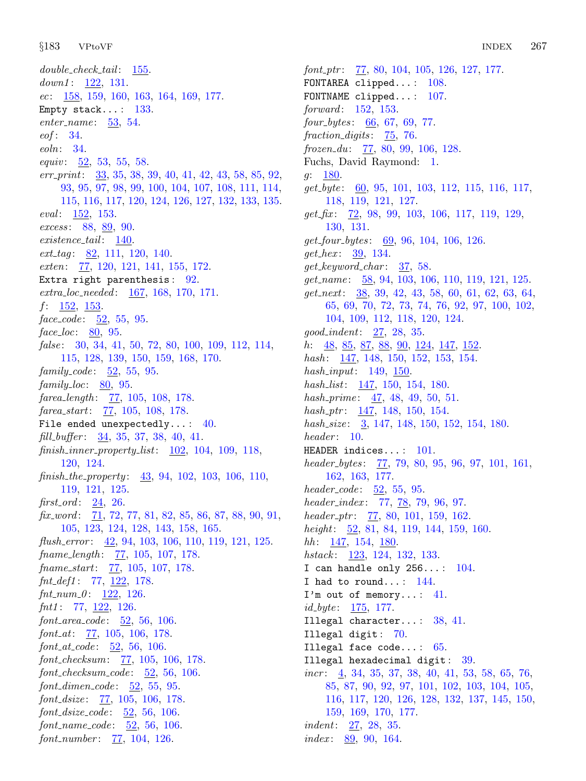$double\_check\_tail: 155.$  $double\_check\_tail: 155.$  $down1: 122, 131.$  $down1: 122, 131.$  $down1: 122, 131.$  $down1: 122, 131.$ ec: [158](#page-56-0), [159](#page-56-0), [160,](#page-57-0) [163,](#page-57-0) [164](#page-57-0), [169](#page-59-0), [177.](#page-61-0) Empty stack...:  $133$ .  $enter_name: 53, 54.$  $enter_name: 53, 54.$  $enter_name: 53, 54.$  $enter_name: 53, 54.$  $enter_name: 53, 54.$  $eof: 34.$  $eof: 34.$ eoln: [34](#page-13-0). equiv:  $\frac{52}{53}$ , [53,](#page-21-0) [55](#page-23-0), [58.](#page-25-0)  $err\_print: \quad 33, 35, 38, 39, 40, 41, 42, 43, 58, 85, 92,$  $err\_print: \quad 33, 35, 38, 39, 40, 41, 42, 43, 58, 85, 92,$  $err\_print: \quad 33, 35, 38, 39, 40, 41, 42, 43, 58, 85, 92,$  $err\_print: \quad 33, 35, 38, 39, 40, 41, 42, 43, 58, 85, 92,$  $err\_print: \quad 33, 35, 38, 39, 40, 41, 42, 43, 58, 85, 92,$  $err\_print: \quad 33, 35, 38, 39, 40, 41, 42, 43, 58, 85, 92,$  $err\_print: \quad 33, 35, 38, 39, 40, 41, 42, 43, 58, 85, 92,$  $err\_print: \quad 33, 35, 38, 39, 40, 41, 42, 43, 58, 85, 92,$  $err\_print: \quad 33, 35, 38, 39, 40, 41, 42, 43, 58, 85, 92,$  $err\_print: \quad 33, 35, 38, 39, 40, 41, 42, 43, 58, 85, 92,$  $err\_print: \quad 33, 35, 38, 39, 40, 41, 42, 43, 58, 85, 92,$  $err\_print: \quad 33, 35, 38, 39, 40, 41, 42, 43, 58, 85, 92,$  $err\_print: \quad 33, 35, 38, 39, 40, 41, 42, 43, 58, 85, 92,$  $err\_print: \quad 33, 35, 38, 39, 40, 41, 42, 43, 58, 85, 92,$  $err\_print: \quad 33, 35, 38, 39, 40, 41, 42, 43, 58, 85, 92,$  $err\_print: \quad 33, 35, 38, 39, 40, 41, 42, 43, 58, 85, 92,$  $err\_print: \quad 33, 35, 38, 39, 40, 41, 42, 43, 58, 85, 92,$  $err\_print: \quad 33, 35, 38, 39, 40, 41, 42, 43, 58, 85, 92,$  $err\_print: \quad 33, 35, 38, 39, 40, 41, 42, 43, 58, 85, 92,$  $err\_print: \quad 33, 35, 38, 39, 40, 41, 42, 43, 58, 85, 92,$  $err\_print: \quad 33, 35, 38, 39, 40, 41, 42, 43, 58, 85, 92,$  $err\_print: \quad 33, 35, 38, 39, 40, 41, 42, 43, 58, 85, 92,$  $err\_print: \quad 33, 35, 38, 39, 40, 41, 42, 43, 58, 85, 92,$ [93,](#page-36-0) [95,](#page-37-0) [97](#page-38-0), [98](#page-38-0), [99](#page-38-0), [100](#page-38-0), [104](#page-40-0), [107,](#page-41-0) [108,](#page-41-0) [111,](#page-42-0) [114,](#page-42-0) [115,](#page-42-0) [116,](#page-43-0) [117](#page-43-0), [120](#page-44-0), [124,](#page-46-0) [126](#page-46-0), [127](#page-47-0), [132,](#page-48-0) [133,](#page-48-0) [135](#page-48-0). eval:  $152, 153$  $152, 153$  $152, 153$ . excess: [88](#page-34-0), [89,](#page-34-0) [90.](#page-35-0) existence\_tail: [140](#page-50-0).  $ext\_tag: 82, 111, 120, 140.$  $ext\_tag: 82, 111, 120, 140.$  $ext\_tag: 82, 111, 120, 140.$  $ext\_tag: 82, 111, 120, 140.$  $ext\_tag: 82, 111, 120, 140.$  $ext\_tag: 82, 111, 120, 140.$  $ext\_tag: 82, 111, 120, 140.$  $ext\_tag: 82, 111, 120, 140.$  $ext\_tag: 82, 111, 120, 140.$ exten: [77,](#page-31-0) [120,](#page-44-0) [121](#page-44-0), [141](#page-51-0), [155](#page-55-0), [172](#page-60-0). Extra right parenthesis: [92](#page-36-0). extra\_loc\_needed: [167,](#page-58-0) [168](#page-59-0), [170](#page-59-0), [171.](#page-60-0) f:  $152, 153$  $152, 153$ .  $face\_code: 52, 55, 95.$  $face\_code: 52, 55, 95.$  $face\_code: 52, 55, 95.$  $face\_code: 52, 55, 95.$  $face\_code: 52, 55, 95.$  $face\_code: 52, 55, 95.$  $face\_code: 52, 55, 95.$ face\_loc: [80,](#page-32-0) [95.](#page-37-0) false: [30](#page-12-0), [34,](#page-13-0) [41,](#page-17-0) [50](#page-19-0), [72](#page-29-0), [80,](#page-32-0) [100](#page-38-0), [109](#page-41-0), [112,](#page-42-0) [114,](#page-42-0) [115,](#page-42-0) [128,](#page-47-0) [139](#page-50-0), [150](#page-53-0), [159,](#page-56-0) [168,](#page-59-0) [170](#page-59-0).  $family\_code: 52, 55, 95.$  $family\_code: 52, 55, 95.$  $family\_code: 52, 55, 95.$  $family\_code: 52, 55, 95.$  $family\_code: 52, 55, 95.$  $family\_code: 52, 55, 95.$  $family\_loc: 80, 95.$  $family\_loc: 80, 95.$  $family\_loc: 80, 95.$  $family\_loc: 80, 95.$  $farea_length: 77, 105, 108, 178.$  $farea_length: 77, 105, 108, 178.$  $farea_length: 77, 105, 108, 178.$  $farea_length: 77, 105, 108, 178.$  $farea_length: 77, 105, 108, 178.$  $farea_length: 77, 105, 108, 178.$  $farea_length: 77, 105, 108, 178.$  $farea_length: 77, 105, 108, 178.$  $farea\_start: \quad 77, 105, 108, 178.$  $farea\_start: \quad 77, 105, 108, 178.$  $farea\_start: \quad 77, 105, 108, 178.$  $farea\_start: \quad 77, 105, 108, 178.$  $farea\_start: \quad 77, 105, 108, 178.$  $farea\_start: \quad 77, 105, 108, 178.$  $farea\_start: \quad 77, 105, 108, 178.$  $farea\_start: \quad 77, 105, 108, 178.$  $farea\_start: \quad 77, 105, 108, 178.$ File ended unexpectedly...:  $40$ . fill\_buffer:  $\frac{34}{5}, 35, 37, 38, 40, 41$  $\frac{34}{5}, 35, 37, 38, 40, 41$  $\frac{34}{5}, 35, 37, 38, 40, 41$  $\frac{34}{5}, 35, 37, 38, 40, 41$  $\frac{34}{5}, 35, 37, 38, 40, 41$  $\frac{34}{5}, 35, 37, 38, 40, 41$  $\frac{34}{5}, 35, 37, 38, 40, 41$  $\frac{34}{5}, 35, 37, 38, 40, 41$  $\frac{34}{5}, 35, 37, 38, 40, 41$ .  $finish\_inner\_property\_list: \quad 102, 104, 109, 118,$  $finish\_inner\_property\_list: \quad 102, 104, 109, 118,$  $finish\_inner\_property\_list: \quad 102, 104, 109, 118,$  $finish\_inner\_property\_list: \quad 102, 104, 109, 118,$  $finish\_inner\_property\_list: \quad 102, 104, 109, 118,$  $finish\_inner\_property\_list: \quad 102, 104, 109, 118,$  $finish\_inner\_property\_list: \quad 102, 104, 109, 118,$  $finish\_inner\_property\_list: \quad 102, 104, 109, 118,$ [120,](#page-44-0) [124](#page-46-0).  $finish\_the\_property: \quad 43, 94, 102, 103, 106, 110,$  $finish\_the\_property: \quad 43, 94, 102, 103, 106, 110,$  $finish\_the\_property: \quad 43, 94, 102, 103, 106, 110,$  $finish\_the\_property: \quad 43, 94, 102, 103, 106, 110,$  $finish\_the\_property: \quad 43, 94, 102, 103, 106, 110,$  $finish\_the\_property: \quad 43, 94, 102, 103, 106, 110,$  $finish\_the\_property: \quad 43, 94, 102, 103, 106, 110,$  $finish\_the\_property: \quad 43, 94, 102, 103, 106, 110,$  $finish\_the\_property: \quad 43, 94, 102, 103, 106, 110,$  $finish\_the\_property: \quad 43, 94, 102, 103, 106, 110,$  $finish\_the\_property: \quad 43, 94, 102, 103, 106, 110,$  $finish\_the\_property: \quad 43, 94, 102, 103, 106, 110,$ [119,](#page-44-0) [121,](#page-44-0) [125.](#page-46-0) first\_ord:  $24$ , [26.](#page-11-0) fix word:  $\overline{71}$ ,  $\overline{72}$ ,  $\overline{77}$ ,  $\overline{81}$  $\overline{81}$  $\overline{81}$ ,  $\overline{82}$  $\overline{82}$  $\overline{82}$ ,  $\overline{85}$  $\overline{85}$  $\overline{85}$ ,  $\overline{86}$ ,  $\overline{87}$ ,  $\overline{88}$ ,  $\overline{90}$ ,  $\overline{91}$  $\overline{91}$  $\overline{91}$ , [105,](#page-40-0) [123,](#page-45-0) [124](#page-46-0), [128](#page-47-0), [143,](#page-51-0) [158,](#page-56-0) [165](#page-58-0).  $fllush_error: \quad 42, 94, 103, 106, 110, 119, 121, 125.$  $fllush_error: \quad 42, 94, 103, 106, 110, 119, 121, 125.$  $fllush_error: \quad 42, 94, 103, 106, 110, 119, 121, 125.$  $fllush_error: \quad 42, 94, 103, 106, 110, 119, 121, 125.$  $fllush_error: \quad 42, 94, 103, 106, 110, 119, 121, 125.$  $fllush_error: \quad 42, 94, 103, 106, 110, 119, 121, 125.$  $fllush_error: \quad 42, 94, 103, 106, 110, 119, 121, 125.$  $fllush_error: \quad 42, 94, 103, 106, 110, 119, 121, 125.$  $fllush_error: \quad 42, 94, 103, 106, 110, 119, 121, 125.$  $fllush_error: \quad 42, 94, 103, 106, 110, 119, 121, 125.$  $fllush_error: \quad 42, 94, 103, 106, 110, 119, 121, 125.$  $fllush_error: \quad 42, 94, 103, 106, 110, 119, 121, 125.$  $fllush_error: \quad 42, 94, 103, 106, 110, 119, 121, 125.$  $fllush_error: \quad 42, 94, 103, 106, 110, 119, 121, 125.$  $fllush_error: \quad 42, 94, 103, 106, 110, 119, 121, 125.$  $fllush_error: \quad 42, 94, 103, 106, 110, 119, 121, 125.$  $fllush_error: \quad 42, 94, 103, 106, 110, 119, 121, 125.$  $fname_length: 77, 105, 107, 178.$  $fname_length: 77, 105, 107, 178.$  $fname_length: 77, 105, 107, 178.$  $fname_length: 77, 105, 107, 178.$  $fname_length: 77, 105, 107, 178.$  $fname_length: 77, 105, 107, 178.$  $fname_length: 77, 105, 107, 178.$  $fname_length: 77, 105, 107, 178.$  $fname\_start: 77, 105, 107, 178.$  $fname\_start: 77, 105, 107, 178.$  $fname\_start: 77, 105, 107, 178.$  $fname\_start: 77, 105, 107, 178.$  $fname\_start: 77, 105, 107, 178.$  $fname\_start: 77, 105, 107, 178.$  $fname\_start: 77, 105, 107, 178.$  $fname\_start: 77, 105, 107, 178.$  $fnt\_def1$ : [77](#page-31-0), [122,](#page-45-0) [178](#page-61-0).  $fnt_number.}$  [122](#page-45-0), [126.](#page-46-0)  $fnt1: 77, 122, 126.$  $fnt1: 77, 122, 126.$  $fnt1: 77, 122, 126.$  $fnt1: 77, 122, 126.$  $fnt1: 77, 122, 126.$  $fnt1: 77, 122, 126.$  $fnt1: 77, 122, 126.$  $font\_area\_code: 52, 56, 106.$  $font\_area\_code: 52, 56, 106.$  $font\_area\_code: 52, 56, 106.$  $font\_area\_code: 52, 56, 106.$  $font\_area\_code: 52, 56, 106.$  $font\_area\_code: 52, 56, 106.$  $font\_area\_code: 52, 56, 106.$  $font\_at: 77, 105, 106, 178.$  $font\_at: 77, 105, 106, 178.$  $font\_at: 77, 105, 106, 178.$  $font\_at: 77, 105, 106, 178.$  $font\_at: 77, 105, 106, 178.$  $font\_at: 77, 105, 106, 178.$  $font\_at: 77, 105, 106, 178.$  $font\_at: 77, 105, 106, 178.$  $font\_at: 77, 105, 106, 178.$  $font\_at\_code: 52, 56, 106.$  $font\_at\_code: 52, 56, 106.$  $font\_at\_code: 52, 56, 106.$  $font\_at\_code: 52, 56, 106.$  $font\_at\_code: 52, 56, 106.$  $font\_at\_code: 52, 56, 106.$ font\_checksum: [77](#page-31-0), [105](#page-40-0), [106](#page-40-0), [178](#page-61-0).  $font\_checksum\_code$ : [52](#page-20-0), [56](#page-24-0), [106](#page-40-0).  $font\_dimensioned: 52, 55, 95.$  $font\_dimensioned: 52, 55, 95.$  $font\_dimensioned: 52, 55, 95.$  $font\_dimensioned: 52, 55, 95.$  $font\_dimensioned: 52, 55, 95.$  $font\_dimensioned: 52, 55, 95.$ font dsize : [77,](#page-31-0) [105,](#page-40-0) [106,](#page-40-0) [178](#page-61-0).  $font\_disize\_code: 52, 56, 106.$  $font\_disize\_code: 52, 56, 106.$  $font\_disize\_code: 52, 56, 106.$  $font\_disize\_code: 52, 56, 106.$  $font\_disize\_code: 52, 56, 106.$  $font\_disize\_code: 52, 56, 106.$  $font\_disize\_code: 52, 56, 106.$  $font_name\_code: 52, 56, 106.$  $font_name\_code: 52, 56, 106.$  $font_name\_code: 52, 56, 106.$  $font_name\_code: 52, 56, 106.$  $font_name\_code: 52, 56, 106.$  $font_name\_code: 52, 56, 106.$  $font_number: 77, 104, 126.$  $font_number: 77, 104, 126.$  $font_number: 77, 104, 126.$  $font_number: 77, 104, 126.$  $font_number: 77, 104, 126.$  $font_number: 77, 104, 126.$ 

 $font\_ptr: 77, 80, 104, 105, 126, 127, 177.$  $font\_ptr: 77, 80, 104, 105, 126, 127, 177.$  $font\_ptr: 77, 80, 104, 105, 126, 127, 177.$  $font\_ptr: 77, 80, 104, 105, 126, 127, 177.$  $font\_ptr: 77, 80, 104, 105, 126, 127, 177.$  $font\_ptr: 77, 80, 104, 105, 126, 127, 177.$  $font\_ptr: 77, 80, 104, 105, 126, 127, 177.$  $font\_ptr: 77, 80, 104, 105, 126, 127, 177.$  $font\_ptr: 77, 80, 104, 105, 126, 127, 177.$  $font\_ptr: 77, 80, 104, 105, 126, 127, 177.$  $font\_ptr: 77, 80, 104, 105, 126, 127, 177.$  $font\_ptr: 77, 80, 104, 105, 126, 127, 177.$  $font\_ptr: 77, 80, 104, 105, 126, 127, 177.$  $font\_ptr: 77, 80, 104, 105, 126, 127, 177.$ FONTAREA clipped...: [108](#page-41-0). FONTNAME clipped...: [107](#page-41-0).  $forward: 152, 153.$  $forward: 152, 153.$  $forward: 152, 153.$  $forward: 152, 153.$  $four\_bytes: 66, 67, 69, 77.$  $four\_bytes: 66, 67, 69, 77.$  $four\_bytes: 66, 67, 69, 77.$  $four\_bytes: 66, 67, 69, 77.$  $four\_bytes: 66, 67, 69, 77.$  $four\_bytes: 66, 67, 69, 77.$  $four\_bytes: 66, 67, 69, 77.$  $four\_bytes: 66, 67, 69, 77.$  $fraction\_digits: 75, 76.$  $fraction\_digits: 75, 76.$  $fraction\_digits: 75, 76.$  $fraction\_digits: 75, 76.$  $frozen\_du$ :  $77, 80, 99, 106, 128$  $77, 80, 99, 106, 128$  $77, 80, 99, 106, 128$  $77, 80, 99, 106, 128$  $77, 80, 99, 106, 128$  $77, 80, 99, 106, 128$  $77, 80, 99, 106, 128$  $77, 80, 99, 106, 128$  $77, 80, 99, 106, 128$ . Fuchs, David Raymond: [1.](#page-1-0) g: [180.](#page-63-0) get byte : [60](#page-26-0), [95,](#page-37-0) [101,](#page-39-0) [103,](#page-39-0) [112](#page-42-0), [115](#page-42-0), [116](#page-43-0), [117,](#page-43-0) [118,](#page-43-0) [119](#page-44-0), [121,](#page-44-0) [127.](#page-47-0)  $get\_fix$ :  $\frac{72}{2}$ , [98,](#page-38-0) [99](#page-38-0), [103](#page-39-0), [106,](#page-40-0) [117,](#page-43-0) [119](#page-44-0), [129](#page-47-0), [130,](#page-47-0) [131.](#page-48-0)  $get\_four\_bytes: \quad 69, 96, 104, 106, 126.$  $get\_four\_bytes: \quad 69, 96, 104, 106, 126.$  $get\_four\_bytes: \quad 69, 96, 104, 106, 126.$  $get\_four\_bytes: \quad 69, 96, 104, 106, 126.$  $get\_four\_bytes: \quad 69, 96, 104, 106, 126.$  $get\_four\_bytes: \quad 69, 96, 104, 106, 126.$  $get\_four\_bytes: \quad 69, 96, 104, 106, 126.$  $get\_four\_bytes: \quad 69, 96, 104, 106, 126.$  $get\_four\_bytes: \quad 69, 96, 104, 106, 126.$  $get\_four\_bytes: \quad 69, 96, 104, 106, 126.$  $get\_hex: 39, 134.$  $get\_hex: 39, 134.$  $get\_hex: 39, 134.$  $get\_hex: 39, 134.$  $get\_keyword\_char: 37, 58.$  $get\_keyword\_char: 37, 58.$  $get\_keyword\_char: 37, 58.$  $get\_keyword\_char: 37, 58.$  $get_name: 58, 94, 103, 106, 110, 119, 121, 125.$  $get_name: 58, 94, 103, 106, 110, 119, 121, 125.$  $get_name: 58, 94, 103, 106, 110, 119, 121, 125.$  $get_name: 58, 94, 103, 106, 110, 119, 121, 125.$  $get_name: 58, 94, 103, 106, 110, 119, 121, 125.$  $get_name: 58, 94, 103, 106, 110, 119, 121, 125.$  $get_name: 58, 94, 103, 106, 110, 119, 121, 125.$  $get_name: 58, 94, 103, 106, 110, 119, 121, 125.$  $get_name: 58, 94, 103, 106, 110, 119, 121, 125.$  $get_name: 58, 94, 103, 106, 110, 119, 121, 125.$  $get_name: 58, 94, 103, 106, 110, 119, 121, 125.$  $get_name: 58, 94, 103, 106, 110, 119, 121, 125.$  $get_name: 58, 94, 103, 106, 110, 119, 121, 125.$  $get_name: 58, 94, 103, 106, 110, 119, 121, 125.$  $get_name: 58, 94, 103, 106, 110, 119, 121, 125.$  $get_name: 58, 94, 103, 106, 110, 119, 121, 125.$  $get_name: 58, 94, 103, 106, 110, 119, 121, 125.$  $get\_next:$  [38](#page-15-0), [39](#page-16-0), [42](#page-17-0), [43](#page-17-0), [58](#page-25-0), [60](#page-26-0), [61,](#page-26-0) [62,](#page-26-0) [63,](#page-27-0) [64,](#page-27-0) [65,](#page-27-0) [69,](#page-28-0) [70,](#page-28-0) [72,](#page-29-0) [73,](#page-29-0) [74,](#page-29-0) [76,](#page-30-0) [92,](#page-36-0) [97,](#page-38-0) [100,](#page-38-0) [102,](#page-39-0) [104,](#page-40-0) [109,](#page-41-0) [112,](#page-42-0) [118,](#page-43-0) [120,](#page-44-0) [124.](#page-46-0)  $good\_indent: 27, 28, 35.$  $good\_indent: 27, 28, 35.$  $good\_indent: 27, 28, 35.$  $good\_indent: 27, 28, 35.$  $good\_indent: 27, 28, 35.$  $good\_indent: 27, 28, 35.$ h: [48](#page-18-0), [85](#page-33-0), [87](#page-34-0), [88,](#page-34-0) [90,](#page-35-0) [124,](#page-46-0) [147](#page-52-0), [152](#page-54-0). hash:  $\frac{147}{148}$  $\frac{147}{148}$  $\frac{147}{148}$  $\frac{147}{148}$  $\frac{147}{148}$ , 148, [150,](#page-53-0) [152,](#page-54-0) [153,](#page-54-0) [154.](#page-54-0) hash\_input:  $149, 150$  $149, 150$  $149, 150$ . hash\_list:  $\frac{147}{150}$  $\frac{147}{150}$  $\frac{147}{150}$  $\frac{147}{150}$  $\frac{147}{150}$ , [154](#page-54-0), [180.](#page-63-0) hash prime:  $\frac{47}{48}$  $\frac{47}{48}$  $\frac{47}{48}$  $\frac{47}{48}$  $\frac{47}{48}$ , 48, [49](#page-18-0), [50](#page-19-0), [51](#page-19-0). hash\_ptr:  $\frac{147}{148}$  $\frac{147}{148}$  $\frac{147}{148}$ , 148, [150](#page-53-0), [154](#page-54-0). hash\_size:  $\frac{3}{147}$  $\frac{3}{147}$  $\frac{3}{147}$ , [148,](#page-52-0) [150](#page-53-0), [152,](#page-54-0) [154](#page-54-0), [180.](#page-63-0) header: [10](#page-6-0). HEADER indices...: [101.](#page-39-0) header\_bytes: [77](#page-31-0), [79](#page-31-0), [80,](#page-32-0) [95,](#page-37-0) [96,](#page-37-0) [97](#page-38-0), [101](#page-39-0), [161](#page-57-0), [162,](#page-57-0) [163,](#page-57-0) [177.](#page-61-0) *header\_code*:  $52, 55, 95$  $52, 55, 95$  $52, 55, 95$  $52, 55, 95$  $52, 55, 95$ . header\_index: [77](#page-31-0), [78](#page-31-0), [79](#page-31-0), [96](#page-37-0), [97](#page-38-0). header\_ptr:  $\overline{77}$ , [80,](#page-32-0) [101,](#page-39-0) [159](#page-56-0), [162](#page-57-0). height:  $52, 81, 84, 119, 144, 159, 160.$  $52, 81, 84, 119, 144, 159, 160.$  $52, 81, 84, 119, 144, 159, 160.$  $52, 81, 84, 119, 144, 159, 160.$  $52, 81, 84, 119, 144, 159, 160.$  $52, 81, 84, 119, 144, 159, 160.$  $52, 81, 84, 119, 144, 159, 160.$  $52, 81, 84, 119, 144, 159, 160.$  $52, 81, 84, 119, 144, 159, 160.$  $52, 81, 84, 119, 144, 159, 160.$  $52, 81, 84, 119, 144, 159, 160.$  $52, 81, 84, 119, 144, 159, 160.$  $52, 81, 84, 119, 144, 159, 160.$  $52, 81, 84, 119, 144, 159, 160.$  $hh: 147, 154, 180.$  $hh: 147, 154, 180.$  $hh: 147, 154, 180.$  $hh: 147, 154, 180.$  $hh: 147, 154, 180.$  $hh: 147, 154, 180.$ hstack: [123,](#page-45-0) [124](#page-46-0), [132,](#page-48-0) [133.](#page-48-0) I can handle only  $256...: 104$  $256...: 104$ . I had to round...: [144.](#page-51-0) I'm out of memory...:  $41$ .  $id\_byte: 175, 177.$  $id\_byte: 175, 177.$  $id\_byte: 175, 177.$  $id\_byte: 175, 177.$ Illegal character... : [38](#page-15-0), [41](#page-17-0). Illegal digit : [70.](#page-28-0) Illegal face  $code...: 65$  $code...: 65$ . Illegal hexadecimal digit : [39.](#page-16-0) *incr*:  $\frac{4}{10}$ , 3[4,](#page-1-0) [35,](#page-14-0) [37](#page-15-0), [38](#page-15-0), [40](#page-16-0), [41,](#page-17-0) [53,](#page-21-0) [58,](#page-25-0) [65,](#page-27-0) [76](#page-30-0), [85,](#page-33-0) [87,](#page-34-0) [90](#page-35-0), [92](#page-36-0), [97](#page-38-0), [101](#page-39-0), [102](#page-39-0), [103](#page-39-0), [104,](#page-40-0) [105,](#page-40-0) [116,](#page-43-0) [117,](#page-43-0) [120,](#page-44-0) [126,](#page-46-0) [128,](#page-47-0) [132,](#page-48-0) [137](#page-49-0), [145](#page-51-0), [150](#page-53-0), [159,](#page-56-0) [169](#page-59-0), [170,](#page-59-0) [177.](#page-61-0) indent: [27](#page-12-0), [28](#page-12-0), [35.](#page-14-0) index:  $89, 90, 164$  $89, 90, 164$  $89, 90, 164$  $89, 90, 164$ .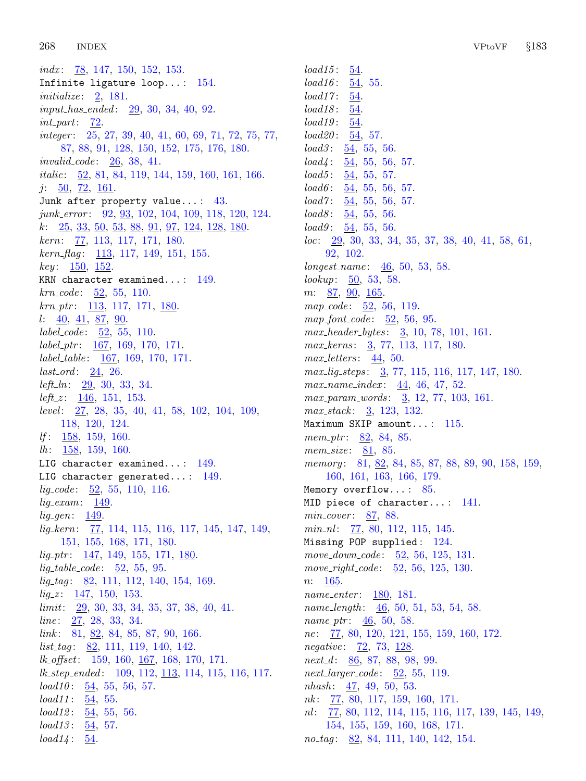$indx$ :  $78$ , [147,](#page-52-0) [150](#page-53-0), [152](#page-54-0), [153.](#page-54-0) Infinite ligature loop... : [154.](#page-54-0) initialize:  $2, 181$  $2, 181$  $2, 181$ . input has ended : [29,](#page-12-0) [30,](#page-12-0) [34](#page-13-0), [40](#page-16-0), [92](#page-36-0).  $int_{\mathcal{D}}$  art: [72.](#page-29-0) integer : [25,](#page-11-0) [27](#page-12-0), [39](#page-16-0), [40,](#page-16-0) [41](#page-17-0), [60,](#page-26-0) [69,](#page-28-0) [71](#page-29-0), [72,](#page-29-0) [75](#page-29-0), [77](#page-31-0), [87,](#page-34-0) [88](#page-34-0), [91,](#page-36-0) [128](#page-47-0), [150,](#page-53-0) [152](#page-54-0), [175](#page-61-0), [176,](#page-61-0) [180](#page-63-0). *invalid\_code* :  $26, 38, 41$  $26, 38, 41$  $26, 38, 41$  $26, 38, 41$ . italic: [52](#page-20-0), [81,](#page-32-0) [84,](#page-33-0) [119](#page-44-0), [144](#page-51-0), [159,](#page-56-0) [160,](#page-57-0) [161](#page-57-0), [166](#page-58-0).  $j: 50, 72, 161.$  $j: 50, 72, 161.$  $j: 50, 72, 161.$  $j: 50, 72, 161.$  $j: 50, 72, 161.$  $j: 50, 72, 161.$  $j: 50, 72, 161.$ Junk after property value...:  $43$ . junk\_error: [92](#page-36-0), [93](#page-36-0), [102,](#page-39-0) [104,](#page-40-0) [109,](#page-41-0) [118](#page-43-0), [120](#page-44-0), [124](#page-46-0).  $k: \quad \underline{25}, \underline{33}, \underline{50}, \underline{53}, \underline{88}, \underline{91}, \underline{97}, \underline{124}, \underline{128}, \underline{180}.$  $k: \quad \underline{25}, \underline{33}, \underline{50}, \underline{53}, \underline{88}, \underline{91}, \underline{97}, \underline{124}, \underline{128}, \underline{180}.$  $k: \quad \underline{25}, \underline{33}, \underline{50}, \underline{53}, \underline{88}, \underline{91}, \underline{97}, \underline{124}, \underline{128}, \underline{180}.$  $k: \quad \underline{25}, \underline{33}, \underline{50}, \underline{53}, \underline{88}, \underline{91}, \underline{97}, \underline{124}, \underline{128}, \underline{180}.$  $k: \quad \underline{25}, \underline{33}, \underline{50}, \underline{53}, \underline{88}, \underline{91}, \underline{97}, \underline{124}, \underline{128}, \underline{180}.$  $k: \quad \underline{25}, \underline{33}, \underline{50}, \underline{53}, \underline{88}, \underline{91}, \underline{97}, \underline{124}, \underline{128}, \underline{180}.$  $k: \quad \underline{25}, \underline{33}, \underline{50}, \underline{53}, \underline{88}, \underline{91}, \underline{97}, \underline{124}, \underline{128}, \underline{180}.$  $k: \quad \underline{25}, \underline{33}, \underline{50}, \underline{53}, \underline{88}, \underline{91}, \underline{97}, \underline{124}, \underline{128}, \underline{180}.$  $k: \quad \underline{25}, \underline{33}, \underline{50}, \underline{53}, \underline{88}, \underline{91}, \underline{97}, \underline{124}, \underline{128}, \underline{180}.$  $k: \quad \underline{25}, \underline{33}, \underline{50}, \underline{53}, \underline{88}, \underline{91}, \underline{97}, \underline{124}, \underline{128}, \underline{180}.$  $k: \quad \underline{25}, \underline{33}, \underline{50}, \underline{53}, \underline{88}, \underline{91}, \underline{97}, \underline{124}, \underline{128}, \underline{180}.$ kern: <u>[77,](#page-31-0)</u> [113](#page-42-0), [117](#page-43-0), [171,](#page-60-0) [180.](#page-63-0)  $\textit{kern\_flag}: \quad \underline{113}, \, 117, \, 149, \, 151, \, 155.$  $\textit{kern\_flag}: \quad \underline{113}, \, 117, \, 149, \, 151, \, 155.$  $\textit{kern\_flag}: \quad \underline{113}, \, 117, \, 149, \, 151, \, 155.$  $\textit{kern\_flag}: \quad \underline{113}, \, 117, \, 149, \, 151, \, 155.$  $\textit{kern\_flag}: \quad \underline{113}, \, 117, \, 149, \, 151, \, 155.$  $\textit{kern\_flag}: \quad \underline{113}, \, 117, \, 149, \, 151, \, 155.$  $\textit{kern\_flag}: \quad \underline{113}, \, 117, \, 149, \, 151, \, 155.$  $\textit{kern\_flag}: \quad \underline{113}, \, 117, \, 149, \, 151, \, 155.$  $\textit{kern\_flag}: \quad \underline{113}, \, 117, \, 149, \, 151, \, 155.$  $\textit{kern\_flag}: \quad \underline{113}, \, 117, \, 149, \, 151, \, 155.$  $key: \frac{150}{152}.$  $key: \frac{150}{152}.$  $key: \frac{150}{152}.$  $key: \frac{150}{152}.$  $key: \frac{150}{152}.$ KRN character examined...:  $149$ .  $krn \; code: \; 52, 55, 110.$  $krn \; code: \; 52, 55, 110.$  $krn \; code: \; 52, 55, 110.$  $krn \; code: \; 52, 55, 110.$  $krn \; code: \; 52, 55, 110.$  $krn \; code: \; 52, 55, 110.$  $krn\_ptr$ :  $113, 117, 171, 180$  $113, 117, 171, 180$  $113, 117, 171, 180$  $113, 117, 171, 180$  $113, 117, 171, 180$  $113, 117, 171, 180$ .  $l: \quad 40, \, 41, \, 87, \, 90.$  $l: \quad 40, \, 41, \, 87, \, 90.$  $l: \quad 40, \, 41, \, 87, \, 90.$  $l: \quad 40, \, 41, \, 87, \, 90.$  $l: \quad 40, \, 41, \, 87, \, 90.$  $l: \quad 40, \, 41, \, 87, \, 90.$  $l: \quad 40, \, 41, \, 87, \, 90.$  $l: \quad 40, \, 41, \, 87, \, 90.$  $label\_code:1.52, 55, 110.$  $label\_code:1.52, 55, 110.$  $label\_code:1.52, 55, 110.$  $label\_code:1.52, 55, 110.$  $label\_code:1.52, 55, 110.$  $label\_code:1.52, 55, 110.$  $label\_ptr:167, 169, 170, 171.$  $label\_ptr:167, 169, 170, 171.$  $label\_ptr:167, 169, 170, 171.$  $label\_ptr:167, 169, 170, 171.$  $label\_ptr:167, 169, 170, 171.$  $label\_ptr:167, 169, 170, 171.$  $label\_ptr:167, 169, 170, 171.$  $label\_ptr:167, 169, 170, 171.$  $label\_table:1}$  [abel\_table:  $\frac{167}{169}$ , [170,](#page-59-0) [171.](#page-60-0)  $last\_ord: 24, 26.$  $last\_ord: 24, 26.$  $last\_ord: 24, 26.$  $last\_ord: 24, 26.$ *left\_ln*:  $29, 30, 33, 34.$  $29, 30, 33, 34.$  $29, 30, 33, 34.$  $29, 30, 33, 34.$  $29, 30, 33, 34.$  $29, 30, 33, 34.$  $29, 30, 33, 34.$  $29, 30, 33, 34.$ left\_z:  $\frac{146}{151}$  $\frac{146}{151}$  $\frac{146}{151}$ , [153.](#page-54-0) *level*:  $\overline{27}$  $\overline{27}$  $\overline{27}$ , [28,](#page-12-0) [35,](#page-14-0) [40](#page-16-0), [41](#page-17-0), [58](#page-25-0), [102,](#page-39-0) [104,](#page-40-0) [109](#page-41-0), [118,](#page-43-0) [120,](#page-44-0) [124.](#page-46-0)  $lf: 158, 159, 160.$  $lf: 158, 159, 160.$  $lf: 158, 159, 160.$  $lf: 158, 159, 160.$  $lf: 158, 159, 160.$  $lf: 158, 159, 160.$  $lh: 158, 159, 160.$  $lh: 158, 159, 160.$  $lh: 158, 159, 160.$  $lh: 158, 159, 160.$  $lh: 158, 159, 160.$  $lh: 158, 159, 160.$  $lh: 158, 159, 160.$ LIG character examined... : [149.](#page-52-0) LIG character generated...: [149.](#page-52-0)  $lig\_code: 52, 55, 110, 116.$  $lig\_code: 52, 55, 110, 116.$  $lig\_code: 52, 55, 110, 116.$  $lig\_code: 52, 55, 110, 116.$  $lig\_code: 52, 55, 110, 116.$  $lig\_code: 52, 55, 110, 116.$  $lig\_code: 52, 55, 110, 116.$  $lig\_code: 52, 55, 110, 116.$  $lig\_code: 52, 55, 110, 116.$  $lig\_exam: 149$  $lig\_exam: 149$ .  $lig\_gen: 149.$  $lig\_gen: 149.$  $lig\_kern: 77, 114, 115, 116, 117, 145, 147, 149,$  $lig\_kern: 77, 114, 115, 116, 117, 145, 147, 149,$  $lig\_kern: 77, 114, 115, 116, 117, 145, 147, 149,$  $lig\_kern: 77, 114, 115, 116, 117, 145, 147, 149,$  $lig\_kern: 77, 114, 115, 116, 117, 145, 147, 149,$  $lig\_kern: 77, 114, 115, 116, 117, 145, 147, 149,$  $lig\_kern: 77, 114, 115, 116, 117, 145, 147, 149,$  $lig\_kern: 77, 114, 115, 116, 117, 145, 147, 149,$  $lig\_kern: 77, 114, 115, 116, 117, 145, 147, 149,$  $lig\_kern: 77, 114, 115, 116, 117, 145, 147, 149,$  $lig\_kern: 77, 114, 115, 116, 117, 145, 147, 149,$  $lig\_kern: 77, 114, 115, 116, 117, 145, 147, 149,$  $lig\_kern: 77, 114, 115, 116, 117, 145, 147, 149,$  $lig\_kern: 77, 114, 115, 116, 117, 145, 147, 149,$  $lig\_kern: 77, 114, 115, 116, 117, 145, 147, 149,$  $lig\_kern: 77, 114, 115, 116, 117, 145, 147, 149,$  $lig\_kern: 77, 114, 115, 116, 117, 145, 147, 149,$ [151,](#page-53-0) [155](#page-55-0), [168](#page-59-0), [171,](#page-60-0) [180](#page-63-0).  $lig\_ptr$ : [147,](#page-52-0) [149,](#page-52-0) [155,](#page-55-0) [171,](#page-60-0) [180.](#page-63-0)  $lig\_table\_code: 52, 55, 95.$  $lig\_table\_code: 52, 55, 95.$  $lig\_table\_code: 52, 55, 95.$  $lig\_table\_code: 52, 55, 95.$  $lig\_table\_code: 52, 55, 95.$  $lig\_table\_code: 52, 55, 95.$  $lig\_tag$ : [82,](#page-32-0) [111,](#page-42-0) [112,](#page-42-0) [140](#page-50-0), [154](#page-54-0), [169](#page-59-0).  $lig\_z$ : [147](#page-52-0), [150](#page-53-0), [153.](#page-54-0)  $limit: \quad 29, 30, 33, 34, 35, 37, 38, 40, 41.$  $limit: \quad 29, 30, 33, 34, 35, 37, 38, 40, 41.$  $limit: \quad 29, 30, 33, 34, 35, 37, 38, 40, 41.$  $limit: \quad 29, 30, 33, 34, 35, 37, 38, 40, 41.$  $limit: \quad 29, 30, 33, 34, 35, 37, 38, 40, 41.$  $limit: \quad 29, 30, 33, 34, 35, 37, 38, 40, 41.$  $limit: \quad 29, 30, 33, 34, 35, 37, 38, 40, 41.$  $limit: \quad 29, 30, 33, 34, 35, 37, 38, 40, 41.$  $limit: \quad 29, 30, 33, 34, 35, 37, 38, 40, 41.$  $limit: \quad 29, 30, 33, 34, 35, 37, 38, 40, 41.$  $limit: \quad 29, 30, 33, 34, 35, 37, 38, 40, 41.$  $limit: \quad 29, 30, 33, 34, 35, 37, 38, 40, 41.$  $limit: \quad 29, 30, 33, 34, 35, 37, 38, 40, 41.$  $limit: \quad 29, 30, 33, 34, 35, 37, 38, 40, 41.$  $limit: \quad 29, 30, 33, 34, 35, 37, 38, 40, 41.$  $limit: \quad 29, 30, 33, 34, 35, 37, 38, 40, 41.$  $limit: \quad 29, 30, 33, 34, 35, 37, 38, 40, 41.$  $limit: \quad 29, 30, 33, 34, 35, 37, 38, 40, 41.$  $limit: \quad 29, 30, 33, 34, 35, 37, 38, 40, 41.$  $line: 27, 28, 33, 34.$  $line: 27, 28, 33, 34.$  $line: 27, 28, 33, 34.$  $line: 27, 28, 33, 34.$  $line: 27, 28, 33, 34.$  $line: 27, 28, 33, 34.$  $line: 27, 28, 33, 34.$  $line: 27, 28, 33, 34.$  $link: 81, 82, 84, 85, 87, 90, 166.$  $link: 81, 82, 84, 85, 87, 90, 166.$  $link: 81, 82, 84, 85, 87, 90, 166.$  $link: 81, 82, 84, 85, 87, 90, 166.$  $link: 81, 82, 84, 85, 87, 90, 166.$  $link: 81, 82, 84, 85, 87, 90, 166.$  $link: 81, 82, 84, 85, 87, 90, 166.$  $link: 81, 82, 84, 85, 87, 90, 166.$  $link: 81, 82, 84, 85, 87, 90, 166.$  $link: 81, 82, 84, 85, 87, 90, 166.$  $link: 81, 82, 84, 85, 87, 90, 166.$  $link: 81, 82, 84, 85, 87, 90, 166.$  $link: 81, 82, 84, 85, 87, 90, 166.$  $link: 81, 82, 84, 85, 87, 90, 166.$  $link: 81, 82, 84, 85, 87, 90, 166.$  $list\_tag$ : [82,](#page-32-0) [111,](#page-42-0) [119,](#page-44-0) [140,](#page-50-0) [142.](#page-51-0) lk offset: [159](#page-56-0), [160,](#page-57-0) [167](#page-58-0), [168](#page-59-0), [170,](#page-59-0) [171](#page-60-0). lk step ended : [109](#page-41-0), [112](#page-42-0), [113](#page-42-0), [114,](#page-42-0) [115,](#page-42-0) [116,](#page-43-0) [117](#page-43-0).  $load10: 54, 55, 56, 57.$  $load10: 54, 55, 56, 57.$  $load10: 54, 55, 56, 57.$  $load10: 54, 55, 56, 57.$  $load10: 54, 55, 56, 57.$  $load10: 54, 55, 56, 57.$  $load10: 54, 55, 56, 57.$  $load10: 54, 55, 56, 57.$  $load11: 54, 55.$  $load11: 54, 55.$  $load11: 54, 55.$  $load11: 54, 55.$  $load11: 54, 55.$  $load12: \underline{54}, 55, 56.$  $load12: \underline{54}, 55, 56.$  $load12: \underline{54}, 55, 56.$  $load12: \underline{54}, 55, 56.$  $load12: \underline{54}, 55, 56.$  $load12: \underline{54}, 55, 56.$  $load13: 54, 57.$  $load13: 54, 57.$  $load13: 54, 57.$  $load13: 54, 57.$  $load13: 54, 57.$  $load14: 54.$  $load14: 54.$  $load14: 54.$ 

 $load15: 54.$  $load15: 54.$  $load15: 54.$  $load16: 54, 55.$  $load16: 54, 55.$  $load16: 54, 55.$  $load16: 54, 55.$  $load16: 54, 55.$ load17: [54](#page-22-0). load18: [54](#page-22-0).  $load19: 54.$  $load19: 54.$  $load19: 54.$  $load20: 54, 57.$  $load20: 54, 57.$  $load20: 54, 57.$  $load20: 54, 57.$  $load20: 54, 57.$  $load3: 54, 55, 56.$  $load3: 54, 55, 56.$  $load3: 54, 55, 56.$  $load3: 54, 55, 56.$  $load3: 54, 55, 56.$  $load3: 54, 55, 56.$  $load4: 54, 55, 56, 57.$  $load4: 54, 55, 56, 57.$  $load4: 54, 55, 56, 57.$  $load4: 54, 55, 56, 57.$  $load4: 54, 55, 56, 57.$  $load4: 54, 55, 56, 57.$  $load4: 54, 55, 56, 57.$  $load4: 54, 55, 56, 57.$  $load5: 54, 55, 57.$  $load5: 54, 55, 57.$  $load5: 54, 55, 57.$  $load5: 54, 55, 57.$  $load5: 54, 55, 57.$  $load5: 54, 55, 57.$  $load6: 54, 55, 56, 57.$  $load6: 54, 55, 56, 57.$  $load6: 54, 55, 56, 57.$  $load6: 54, 55, 56, 57.$  $load6: 54, 55, 56, 57.$  $load6: 54, 55, 56, 57.$  $load6: 54, 55, 56, 57.$  $load6: 54, 55, 56, 57.$  $load7: 54, 55, 56, 57.$  $load7: 54, 55, 56, 57.$  $load7: 54, 55, 56, 57.$  $load7: 54, 55, 56, 57.$  $load7: 54, 55, 56, 57.$  $load7: 54, 55, 56, 57.$  $load7: 54, 55, 56, 57.$  $load7: 54, 55, 56, 57.$  $load8: 54, 55, 56.$  $load8: 54, 55, 56.$  $load8: 54, 55, 56.$  $load8: 54, 55, 56.$  $load8: 54, 55, 56.$  $load8: 54, 55, 56.$  $load9: \underline{54}, 55, 56.$  $load9: \underline{54}, 55, 56.$  $load9: \underline{54}, 55, 56.$  $load9: \underline{54}, 55, 56.$  $loc: \underline{29}$  $loc: \underline{29}$  $loc: \underline{29}$ , [30,](#page-12-0) [33,](#page-13-0) [34](#page-13-0), [35](#page-14-0), [37](#page-15-0), [38,](#page-15-0) [40,](#page-16-0) [41](#page-17-0), [58](#page-25-0), [61](#page-26-0), [92,](#page-36-0) [102](#page-39-0).  $longest_name: \underline{46}, 50, 53, 58.$  $longest_name: \underline{46}, 50, 53, 58.$  $longest_name: \underline{46}, 50, 53, 58.$  $longest_name: \underline{46}, 50, 53, 58.$  $longest_name: \underline{46}, 50, 53, 58.$  $longest_name: \underline{46}, 50, 53, 58.$  $longest_name: \underline{46}, 50, 53, 58.$ *lookup*:  $50, 53, 58$  $50, 53, 58$  $50, 53, 58$  $50, 53, 58$ .  $m: 87, 90, 165$  $m: 87, 90, 165$  $m: 87, 90, 165$  $m: 87, 90, 165$  $m: 87, 90, 165$  $m: 87, 90, 165$ .  $map\_code: 52, 56, 119.$  $map\_code: 52, 56, 119.$  $map\_code: 52, 56, 119.$  $map\_code: 52, 56, 119.$  $map\_code: 52, 56, 119.$  $map\_code: 52, 56, 119.$  $map\_code: 52, 56, 119.$  $mapfont\_code: 52, 56, 95.$  $mapfont\_code: 52, 56, 95.$  $mapfont\_code: 52, 56, 95.$  $mapfont\_code: 52, 56, 95.$  $mapfont\_code: 52, 56, 95.$  $mapfont\_code: 52, 56, 95.$  $max\_header\_bytes: \frac{3}{2}, 10, 78, 101, 161.$  $max\_header\_bytes: \frac{3}{2}, 10, 78, 101, 161.$  $max\_header\_bytes: \frac{3}{2}, 10, 78, 101, 161.$  $max\_header\_bytes: \frac{3}{2}, 10, 78, 101, 161.$  $max\_header\_bytes: \frac{3}{2}, 10, 78, 101, 161.$  $max\_header\_bytes: \frac{3}{2}, 10, 78, 101, 161.$  $max\_header\_bytes: \frac{3}{2}, 10, 78, 101, 161.$  $max\_header\_bytes: \frac{3}{2}, 10, 78, 101, 161.$  $max\_terms: \frac{3}{2}, 77, 113, 117, 180.$  $max\_terms: \frac{3}{2}, 77, 113, 117, 180.$  $max\_terms: \frac{3}{2}, 77, 113, 117, 180.$  $max\_terms: \frac{3}{2}, 77, 113, 117, 180.$  $max\_terms: \frac{3}{2}, 77, 113, 117, 180.$  $max\_terms: \frac{3}{2}, 77, 113, 117, 180.$  $max\_letters: \underline{44}, 50.$  $max\_letters: \underline{44}, 50.$  $max\_letters: \underline{44}, 50.$  $max\_letters: \underline{44}, 50.$  $max\_lig\_steps: \quad \underline{3}, 77, 115, 116, 117, 147, 180.$  $max\_lig\_steps: \quad \underline{3}, 77, 115, 116, 117, 147, 180.$  $max\_lig\_steps: \quad \underline{3}, 77, 115, 116, 117, 147, 180.$  $max\_lig\_steps: \quad \underline{3}, 77, 115, 116, 117, 147, 180.$  $max\_lig\_steps: \quad \underline{3}, 77, 115, 116, 117, 147, 180.$  $max\_lig\_steps: \quad \underline{3}, 77, 115, 116, 117, 147, 180.$  $max\_lig\_steps: \quad \underline{3}, 77, 115, 116, 117, 147, 180.$  $max\_lig\_steps: \quad \underline{3}, 77, 115, 116, 117, 147, 180.$  $max\_lig\_steps: \quad \underline{3}, 77, 115, 116, 117, 147, 180.$  $max\_lig\_steps: \quad \underline{3}, 77, 115, 116, 117, 147, 180.$  $max\_lig\_steps: \quad \underline{3}, 77, 115, 116, 117, 147, 180.$  $max\_lig\_steps: \quad \underline{3}, 77, 115, 116, 117, 147, 180.$  $max\_lig\_steps: \quad \underline{3}, 77, 115, 116, 117, 147, 180.$  $max_name\_index: \underline{44}, 46, 47, 52.$  $max_name\_index: \underline{44}, 46, 47, 52.$  $max_name\_index: \underline{44}, 46, 47, 52.$  $max_name\_index: \underline{44}, 46, 47, 52.$  $max_name\_index: \underline{44}, 46, 47, 52.$  $max_name\_index: \underline{44}, 46, 47, 52.$ max\_param\_words: [3](#page-1-0), [12](#page-7-0), [77,](#page-31-0) [103](#page-39-0), [161](#page-57-0).  $max\_stack: \frac{3}{2}, 123, 132.$  $max\_stack: \frac{3}{2}, 123, 132.$  $max\_stack: \frac{3}{2}, 123, 132.$  $max\_stack: \frac{3}{2}, 123, 132.$  $max\_stack: \frac{3}{2}, 123, 132.$  $max\_stack: \frac{3}{2}, 123, 132.$  $max\_stack: \frac{3}{2}, 123, 132.$ Maximum SKIP amount...: [115.](#page-42-0) mem ptr:  $82, 84, 85$  $82, 84, 85$  $82, 84, 85$  $82, 84, 85$ . mem\_size:  $81, 85$  $81, 85$  $81, 85$ . memory: [81](#page-32-0), [82](#page-32-0), [84,](#page-33-0) [85](#page-33-0), [87,](#page-34-0) [88](#page-34-0), [89,](#page-34-0) [90,](#page-35-0) [158](#page-56-0), [159,](#page-56-0) [160,](#page-57-0) [161](#page-57-0), [163](#page-57-0), [166,](#page-58-0) [179](#page-62-0). Memory overflow...: [85.](#page-33-0) MID piece of character... : [141](#page-51-0). min cover:  $87, 88$  $87, 88$  $87, 88$ .  $min\_nl$ :  $77, 80, 112, 115, 145$  $77, 80, 112, 115, 145$  $77, 80, 112, 115, 145$  $77, 80, 112, 115, 145$  $77, 80, 112, 115, 145$  $77, 80, 112, 115, 145$  $77, 80, 112, 115, 145$  $77, 80, 112, 115, 145$  $77, 80, 112, 115, 145$ . Missing POP supplied : [124](#page-46-0). move\_down\_code: [52](#page-20-0), [56](#page-24-0), [125](#page-46-0), [131](#page-48-0). move\_right\_code:  $\underline{52}$  $\underline{52}$  $\underline{52}$ , [56](#page-24-0), [125](#page-46-0), [130](#page-47-0).  $n: \frac{165}{165}.$ name\_enter: [180,](#page-63-0) [181](#page-63-0). name\_length: [46,](#page-18-0) [50,](#page-19-0) [51](#page-19-0), [53](#page-21-0), [54](#page-22-0), [58.](#page-25-0) name ptr:  $46, 50, 58$  $46, 50, 58$  $46, 50, 58$  $46, 50, 58$  $46, 50, 58$ . ne: [77](#page-31-0), [80,](#page-32-0) [120](#page-44-0), [121,](#page-44-0) [155](#page-55-0), [159,](#page-56-0) [160,](#page-57-0) [172](#page-60-0). negative: [72,](#page-29-0) [73](#page-29-0), [128](#page-47-0).  $next_d$ : [86](#page-34-0), [87](#page-34-0), [88,](#page-34-0) [98](#page-38-0), [99.](#page-38-0) next larger code:  $52, 55, 119$  $52, 55, 119$  $52, 55, 119$  $52, 55, 119$ .  $nhash: \underline{47}, 49, 50, 53.$  $nhash: \underline{47}, 49, 50, 53.$  $nhash: \underline{47}, 49, 50, 53.$  $nhash: \underline{47}, 49, 50, 53.$  $nhash: \underline{47}, 49, 50, 53.$  $nhash: \underline{47}, 49, 50, 53.$  $nk: 77, 80, 117, 159, 160, 171.$  $nk: 77, 80, 117, 159, 160, 171.$  $nk: 77, 80, 117, 159, 160, 171.$  $nk: 77, 80, 117, 159, 160, 171.$  $nk: 77, 80, 117, 159, 160, 171.$  $nk: 77, 80, 117, 159, 160, 171.$  $nk: 77, 80, 117, 159, 160, 171.$  $nk: 77, 80, 117, 159, 160, 171.$  $nk: 77, 80, 117, 159, 160, 171.$  $nk: 77, 80, 117, 159, 160, 171.$  $nk: 77, 80, 117, 159, 160, 171.$  $nk: 77, 80, 117, 159, 160, 171.$ nl: [77](#page-31-0), [80,](#page-32-0) [112,](#page-42-0) [114](#page-42-0), [115](#page-42-0), [116,](#page-43-0) [117,](#page-43-0) [139](#page-50-0), [145](#page-51-0), [149,](#page-52-0) [154,](#page-54-0) [155,](#page-55-0) [159,](#page-56-0) [160,](#page-57-0) [168,](#page-59-0) [171.](#page-60-0) no\_tag:  $82, 84, 111, 140, 142, 154.$  $82, 84, 111, 140, 142, 154.$  $82, 84, 111, 140, 142, 154.$  $82, 84, 111, 140, 142, 154.$  $82, 84, 111, 140, 142, 154.$  $82, 84, 111, 140, 142, 154.$  $82, 84, 111, 140, 142, 154.$  $82, 84, 111, 140, 142, 154.$  $82, 84, 111, 140, 142, 154.$  $82, 84, 111, 140, 142, 154.$  $82, 84, 111, 140, 142, 154.$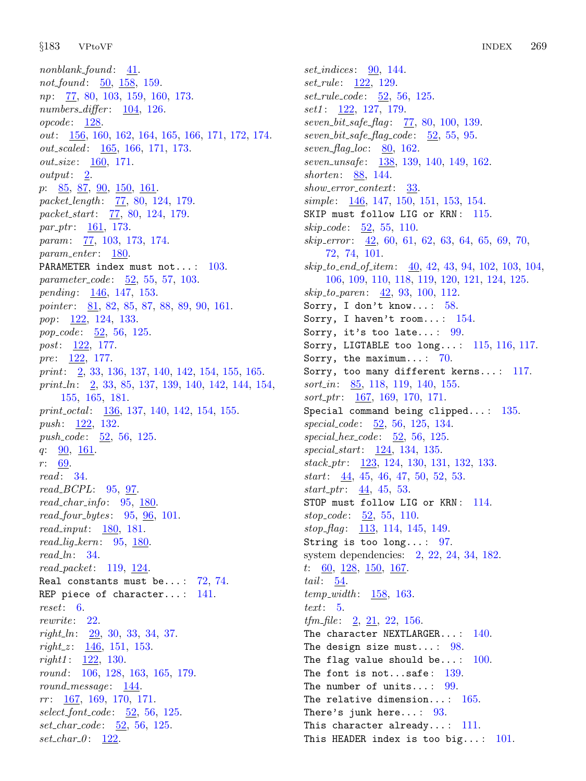$nonblank\_found: 41.$  $nonblank\_found: 41.$ not\_found:  $\frac{50}{0.158}$  $\frac{50}{0.158}$  $\frac{50}{0.158}$ , [159](#page-56-0). np: [77,](#page-31-0) [80,](#page-32-0) [103,](#page-39-0) [159,](#page-56-0) [160,](#page-57-0) [173.](#page-60-0) numbers\_differ: [104,](#page-40-0) [126](#page-46-0).  $\it opcode: 128$ . out:  $\frac{156}{160}$  $\frac{156}{160}$  $\frac{156}{160}$ , 160, [162](#page-57-0), [164](#page-57-0), [165](#page-58-0), [166,](#page-58-0) [171,](#page-60-0) [172,](#page-60-0) [174](#page-60-0).  $out\_scaled$ :  $\underline{165}$ , [166,](#page-58-0) [171,](#page-60-0) [173.](#page-60-0) out\_size: [160](#page-57-0), [171.](#page-60-0)  $output: \quad 2.$  $output: \quad 2.$  $p: \underline{85}, \underline{87}, \underline{90}, \underline{150}, \underline{161}.$  $p: \underline{85}, \underline{87}, \underline{90}, \underline{150}, \underline{161}.$  $p: \underline{85}, \underline{87}, \underline{90}, \underline{150}, \underline{161}.$  $p: \underline{85}, \underline{87}, \underline{90}, \underline{150}, \underline{161}.$  $p: \underline{85}, \underline{87}, \underline{90}, \underline{150}, \underline{161}.$ packet\_length: [77](#page-31-0), [80](#page-32-0), [124](#page-46-0), [179](#page-62-0). packet start: [77,](#page-31-0) [80,](#page-32-0) [124,](#page-46-0) [179.](#page-62-0) par ptr:  $\frac{161}{173}$  $\frac{161}{173}$  $\frac{161}{173}$  $\frac{161}{173}$  $\frac{161}{173}$ . param: [77,](#page-31-0) [103,](#page-39-0) [173](#page-60-0), [174.](#page-60-0)  $param\_enter: 180.$  $param\_enter: 180.$ PARAMETER index must not...: [103.](#page-39-0) parameter\_code: [52](#page-20-0), [55](#page-23-0), [57](#page-25-0), [103](#page-39-0). pending:  $146, 147, 153$  $146, 147, 153$  $146, 147, 153$  $146, 147, 153$  $146, 147, 153$ . pointer: [81,](#page-32-0) [82](#page-32-0), [85,](#page-33-0) [87,](#page-34-0) [88](#page-34-0), [89,](#page-34-0) [90,](#page-35-0) [161](#page-57-0). pop: [122,](#page-45-0) [124](#page-46-0), [133](#page-48-0).  $pop\_code: 52, 56, 125.$  $pop\_code: 52, 56, 125.$  $pop\_code: 52, 56, 125.$  $pop\_code: 52, 56, 125.$  $pop\_code: 52, 56, 125.$  $pop\_code: 52, 56, 125.$ post: [122](#page-45-0), [177](#page-61-0). pre:  $122, 177$  $122, 177$  $122, 177$ . print: [2](#page-1-0), [33,](#page-13-0) [136,](#page-49-0) [137](#page-49-0), [140](#page-50-0), [142,](#page-51-0) [154,](#page-54-0) [155](#page-55-0), [165](#page-58-0). print<sub>-</sub>ln: [2](#page-1-0), [33,](#page-13-0) [85](#page-33-0), [137,](#page-49-0) [139](#page-50-0), [140,](#page-50-0) [142,](#page-51-0) [144](#page-51-0), [154,](#page-54-0) [155,](#page-55-0) [165,](#page-58-0) [181.](#page-63-0) print\_octal: [136](#page-49-0), [137,](#page-49-0) [140](#page-50-0), [142,](#page-51-0) [154](#page-54-0), [155.](#page-55-0) push:  $122, 132$  $122, 132$ .  $push\_code: 52, 56, 125.$  $push\_code: 52, 56, 125.$  $push\_code: 52, 56, 125.$  $push\_code: 52, 56, 125.$  $push\_code: 52, 56, 125.$  $push\_code: 52, 56, 125.$ q:  $\frac{90}{161}$  $\frac{90}{161}$  $\frac{90}{161}$ . r: [69](#page-28-0). read: [34](#page-13-0).  $read\_BCPL: 95, 97.$  $read\_BCPL: 95, 97.$  $read\_BCPL: 95, 97.$  $read\_BCPL: 95, 97.$  $read\_char\_info: 95, 180.$  $read\_char\_info: 95, 180.$  $read\_char\_info: 95, 180.$  $read\_char\_info: 95, 180.$  $read\_char\_info: 95, 180.$ read four bytes:  $95, 96, 101$  $95, 96, 101$  $95, 96, 101$  $95, 96, 101$ . read input: [180](#page-63-0), [181.](#page-63-0)  $read\_lig\_kern: 95, 180.$  $read\_lig\_kern: 95, 180.$  $read\_lig\_kern: 95, 180.$  $read\_lig\_kern: 95, 180.$ read ln: [34.](#page-13-0) read packet: [119](#page-44-0), [124](#page-46-0). Real constants must be...:  $72, 74$  $72, 74$  $72, 74$ . REP piece of character...: [141.](#page-51-0) reset: [6](#page-2-0). rewrite: [22.](#page-10-0) right ln: [29](#page-12-0), [30](#page-12-0), [33,](#page-13-0) [34,](#page-13-0) [37](#page-15-0).  $right z: 146, 151, 153.$  $right z: 146, 151, 153.$  $right z: 146, 151, 153.$  $right z: 146, 151, 153.$  $right z: 146, 151, 153.$  $right z: 146, 151, 153.$ right1 : [122,](#page-45-0) [130.](#page-47-0) round: [106](#page-40-0), [128](#page-47-0), [163](#page-57-0), [165](#page-58-0), [179](#page-62-0). round message: [144.](#page-51-0)  $rr: 167, 169, 170, 171.$  $rr: 167, 169, 170, 171.$  $rr: 167, 169, 170, 171.$  $rr: 167, 169, 170, 171.$  $rr: 167, 169, 170, 171.$  $rr: 167, 169, 170, 171.$  $rr: 167, 169, 170, 171.$  $rr: 167, 169, 170, 171.$  $rr: 167, 169, 170, 171.$  $select\_font\_code: \underline{52}, 56, 125.$  $select\_font\_code: \underline{52}, 56, 125.$  $select\_font\_code: \underline{52}, 56, 125.$  $select\_font\_code: \underline{52}, 56, 125.$  $select\_font\_code: \underline{52}, 56, 125.$ set char code : [52,](#page-20-0) [56,](#page-24-0) [125](#page-46-0).  $set\_char_0: 122.$  $set\_char_0: 122.$ 

set\_indices:  $90, 144$  $90, 144$ . set\_rule: [122](#page-45-0), [129](#page-47-0). set\_rule\_code: [52](#page-20-0), [56,](#page-24-0) [125.](#page-46-0)  $set1: 122, 127, 179.$  $set1: 122, 127, 179.$  $set1: 122, 127, 179.$  $set1: 122, 127, 179.$  $set1: 122, 127, 179.$  $set1: 122, 127, 179.$  $seven\_bit\_safe\_flag: 77, 80, 100, 139.$  $seven\_bit\_safe\_flag: 77, 80, 100, 139.$  $seven\_bit\_safe\_flag: 77, 80, 100, 139.$  $seven\_bit\_safe\_flag: 77, 80, 100, 139.$  $seven\_bit\_safe\_flag: 77, 80, 100, 139.$  $seven\_bit\_safe\_flag: 77, 80, 100, 139.$  $seven\_bit\_safe\_flag: 77, 80, 100, 139.$  $seven\_bit\_safe\_flag: 77, 80, 100, 139.$  $seven\_bit\_safe\_flag: 77, 80, 100, 139.$  $seven\_bit\_safe\_flag\_code: 52, 55, 95.$  $seven\_bit\_safe\_flag\_code: 52, 55, 95.$  $seven\_bit\_safe\_flag\_code: 52, 55, 95.$  $seven\_bit\_safe\_flag\_code: 52, 55, 95.$  $seven\_bit\_safe\_flag\_code: 52, 55, 95.$  $seven\_bit\_safe\_flag\_code: 52, 55, 95.$  $seven\_bit\_safe\_flag\_code: 52, 55, 95.$ seven  $flag\_loc: 80, 162.$  $flag\_loc: 80, 162.$  $flag\_loc: 80, 162.$  $flag\_loc: 80, 162.$  $flag\_loc: 80, 162.$ seven\_unsafe: [138,](#page-50-0) [139](#page-50-0), [140](#page-50-0), [149,](#page-52-0) [162.](#page-57-0) shorten: [88,](#page-34-0) [144.](#page-51-0) show\_error\_context: [33.](#page-13-0) simple: [146](#page-52-0), [147](#page-52-0), [150,](#page-53-0) [151,](#page-53-0) [153](#page-54-0), [154](#page-54-0). SKIP must follow LIG or KRN: [115.](#page-42-0)  $skip\_code: 52, 55, 110.$  $skip\_code: 52, 55, 110.$  $skip\_code: 52, 55, 110.$  $skip\_code: 52, 55, 110.$  $skip\_code: 52, 55, 110.$  $skip\_code: 52, 55, 110.$  $skip_error: 42, 60, 61, 62, 63, 64, 65, 69, 70,$  $skip_error: 42, 60, 61, 62, 63, 64, 65, 69, 70,$  $skip_error: 42, 60, 61, 62, 63, 64, 65, 69, 70,$  $skip_error: 42, 60, 61, 62, 63, 64, 65, 69, 70,$  $skip_error: 42, 60, 61, 62, 63, 64, 65, 69, 70,$  $skip_error: 42, 60, 61, 62, 63, 64, 65, 69, 70,$  $skip_error: 42, 60, 61, 62, 63, 64, 65, 69, 70,$  $skip_error: 42, 60, 61, 62, 63, 64, 65, 69, 70,$  $skip_error: 42, 60, 61, 62, 63, 64, 65, 69, 70,$  $skip_error: 42, 60, 61, 62, 63, 64, 65, 69, 70,$  $skip_error: 42, 60, 61, 62, 63, 64, 65, 69, 70,$  $skip_error: 42, 60, 61, 62, 63, 64, 65, 69, 70,$  $skip_error: 42, 60, 61, 62, 63, 64, 65, 69, 70,$  $skip_error: 42, 60, 61, 62, 63, 64, 65, 69, 70,$  $skip_error: 42, 60, 61, 62, 63, 64, 65, 69, 70,$  $skip_error: 42, 60, 61, 62, 63, 64, 65, 69, 70,$  $skip_error: 42, 60, 61, 62, 63, 64, 65, 69, 70,$  $skip_error: 42, 60, 61, 62, 63, 64, 65, 69, 70,$  $skip_error: 42, 60, 61, 62, 63, 64, 65, 69, 70,$ [72,](#page-29-0) [74,](#page-29-0) [101.](#page-39-0)  $skip_to\_end\_of\_item: \underline{40}, 42, 43, 94, 102, 103, 104,$  $skip_to\_end\_of\_item: \underline{40}, 42, 43, 94, 102, 103, 104,$  $skip_to\_end\_of\_item: \underline{40}, 42, 43, 94, 102, 103, 104,$  $skip_to\_end\_of\_item: \underline{40}, 42, 43, 94, 102, 103, 104,$  $skip_to\_end\_of\_item: \underline{40}, 42, 43, 94, 102, 103, 104,$  $skip_to\_end\_of\_item: \underline{40}, 42, 43, 94, 102, 103, 104,$  $skip_to\_end\_of\_item: \underline{40}, 42, 43, 94, 102, 103, 104,$  $skip_to\_end\_of\_item: \underline{40}, 42, 43, 94, 102, 103, 104,$  $skip_to\_end\_of\_item: \underline{40}, 42, 43, 94, 102, 103, 104,$  $skip_to\_end\_of\_item: \underline{40}, 42, 43, 94, 102, 103, 104,$  $skip_to\_end\_of\_item: \underline{40}, 42, 43, 94, 102, 103, 104,$  $skip_to\_end\_of\_item: \underline{40}, 42, 43, 94, 102, 103, 104,$  $skip_to\_end\_of\_item: \underline{40}, 42, 43, 94, 102, 103, 104,$  $skip_to\_end\_of\_item: \underline{40}, 42, 43, 94, 102, 103, 104,$ [106,](#page-40-0) [109](#page-41-0), [110](#page-41-0), [118,](#page-43-0) [119,](#page-44-0) [120](#page-44-0), [121](#page-44-0), [124,](#page-46-0) [125.](#page-46-0)  $skip_to_1$ *paren*:  $42, 93, 100, 112$  $42, 93, 100, 112$  $42, 93, 100, 112$  $42, 93, 100, 112$  $42, 93, 100, 112$  $42, 93, 100, 112$  $42, 93, 100, 112$ . Sorry, I don't know... : [58.](#page-25-0) Sorry, I haven't room...: [154](#page-54-0). Sorry, it's too late...: [99](#page-38-0). Sorry, LIGTABLE too long... : [115,](#page-42-0) [116](#page-43-0), [117](#page-43-0). Sorry, the maximum...:  $70$ . Sorry, too many different kerns...: [117.](#page-43-0) sort\_in:  $85, 118, 119, 140, 155$  $85, 118, 119, 140, 155$  $85, 118, 119, 140, 155$  $85, 118, 119, 140, 155$  $85, 118, 119, 140, 155$  $85, 118, 119, 140, 155$  $85, 118, 119, 140, 155$  $85, 118, 119, 140, 155$  $85, 118, 119, 140, 155$ .  $sort\_ptr$ : [167](#page-58-0), [169](#page-59-0), [170,](#page-59-0) [171.](#page-60-0) Special command being clipped...:  $135$ . special code:  $52, 56, 125, 134$  $52, 56, 125, 134$  $52, 56, 125, 134$  $52, 56, 125, 134$  $52, 56, 125, 134$  $52, 56, 125, 134$  $52, 56, 125, 134$ .  $special\_hex\_code$ :  $\underline{52}$ , [56](#page-24-0), [125](#page-46-0). special start: [124,](#page-46-0) [134](#page-48-0), [135](#page-48-0). stack\_ptr: [123](#page-45-0), [124,](#page-46-0) [130](#page-47-0), [131](#page-48-0), [132,](#page-48-0) [133](#page-48-0). start:  $\frac{44}{5}$  $\frac{44}{5}$  $\frac{44}{5}$ , [45](#page-18-0), [46](#page-18-0), [47](#page-18-0), [50](#page-19-0), [52](#page-20-0), [53](#page-21-0).  $start\_ptr: 44, 45, 53.$  $start\_ptr: 44, 45, 53.$  $start\_ptr: 44, 45, 53.$  $start\_ptr: 44, 45, 53.$  $start\_ptr: 44, 45, 53.$  $start\_ptr: 44, 45, 53.$ STOP must follow LIG or KRN: [114.](#page-42-0)  $stop\_code: 52, 55, 110.$  $stop\_code: 52, 55, 110.$  $stop\_code: 52, 55, 110.$  $stop\_code: 52, 55, 110.$  $stop\_code: 52, 55, 110.$  $stop\_code: 52, 55, 110.$ stop flag:  $\frac{113}{114}$ , [145](#page-51-0), [149](#page-52-0). String is too long... : [97.](#page-38-0) system dependencies: [2,](#page-1-0) [22,](#page-10-0) [24](#page-11-0), [34,](#page-13-0) [182](#page-64-0). t: [60](#page-26-0), [128,](#page-47-0) [150,](#page-53-0) [167](#page-58-0). tail: [54](#page-22-0). *temp\_width*:  $158, 163$  $158, 163$  $158, 163$ . text: [5.](#page-2-0)  $tfm_{\text{m}}$  file:  $2, 21, 22, 156$  $2, 21, 22, 156$  $2, 21, 22, 156$  $2, 21, 22, 156$  $2, 21, 22, 156$  $2, 21, 22, 156$  $2, 21, 22, 156$ . The character NEXTLARGER...: [140.](#page-50-0) The design size must...:  $98$ . The flag value should be...:  $100$ . The font is not...safe:  $139$ . The number of units...: [99.](#page-38-0) The relative dimension...:  $165$ . There's junk here...:  $93$ . This character already...: [111](#page-42-0). This HEADER index is too big...:  $101$ .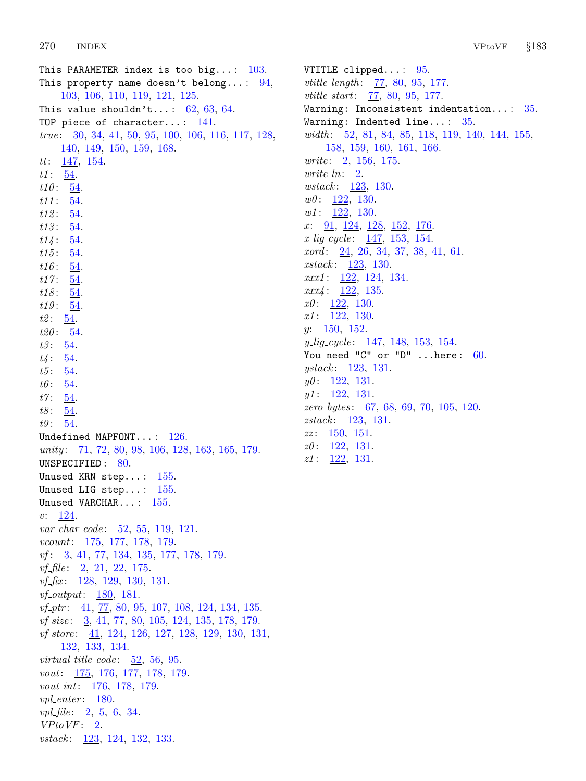This PARAMETER index is too big...:  $103$ . This property name doesn't belong...:  $94$ , [103,](#page-39-0) [106,](#page-40-0) [110,](#page-41-0) [119,](#page-44-0) [121,](#page-44-0) [125.](#page-46-0) This value shouldn't...:  $62, 63, 64$  $62, 63, 64$  $62, 63, 64$  $62, 63, 64$  $62, 63, 64$ . TOP piece of character...: [141.](#page-51-0) true : [30](#page-12-0), [34,](#page-13-0) [41](#page-17-0), [50](#page-19-0), [95,](#page-37-0) [100](#page-38-0), [106,](#page-40-0) [116](#page-43-0), [117,](#page-43-0) [128](#page-47-0), [140,](#page-50-0) [149](#page-52-0), [150](#page-53-0), [159,](#page-56-0) [168](#page-59-0). tt:  $\frac{147}{154}$ .  $t1: \frac{54}{5}.$  $t10: \frac{54}{5}.$  $t10: \frac{54}{5}.$  $t10: \frac{54}{5}.$  $t11: 54.$  $t11: 54.$  $t11: 54.$  $t12: \frac{54}{5}$  $t12: \frac{54}{5}$  $t12: \frac{54}{5}$  $t13: 54.$  $t13: 54.$  $t13: 54.$  $t14: 54.$  $t14: 54.$  $t14: 54.$  $t15: 54.$  $t15: 54.$  $t15: 54.$  $t16: 54.$  $t16: 54.$  $t16: 54.$  $t17: 54.$  $t17: 54.$  $t17: 54.$  $t18: 54.$  $t18: 54.$  $t18: 54.$  $t19: 54.$  $t19: 54.$  $t19: 54.$  $t2: \frac{54}{5}.$  $t20: 54.$  $t20: 54.$  $t20: 54.$  $t3: 54.$  $t3: 54.$  $t4: 54.$  $t4: 54.$  $t5: 54.$  $t5: 54.$  $t6: 54.$  $t6: 54.$  $t7: 54.$  $t7: 54.$  $t8: \frac{54}{.}$  $t9:54.$  $t9:54.$ Undefined MAPFONT...: [126](#page-46-0). unity: [71](#page-29-0), [72,](#page-29-0) [80,](#page-32-0) [98](#page-38-0), [106](#page-40-0), [128,](#page-47-0) [163](#page-57-0), [165](#page-58-0), [179.](#page-62-0) UNSPECIFIED : [80](#page-32-0). Unused KRN step...:  $155$ . Unused LIG step...:  $155$ . Unused VARCHAR...: [155.](#page-55-0)  $v: \quad \underline{124}.$ var\_char\_code: [52](#page-20-0), [55,](#page-23-0) [119,](#page-44-0) [121.](#page-44-0) vcount: [175](#page-61-0), [177](#page-61-0), [178,](#page-61-0) [179](#page-62-0). vf : [3,](#page-1-0) [41,](#page-17-0) [77](#page-31-0), [134](#page-48-0), [135,](#page-48-0) [177,](#page-61-0) [178](#page-61-0), [179.](#page-62-0) *vf*  $file: \underline{2}, \underline{21}, \underline{22}, \underline{175}.$  $file: \underline{2}, \underline{21}, \underline{22}, \underline{175}.$  $file: \underline{2}, \underline{21}, \underline{22}, \underline{175}.$  $file: \underline{2}, \underline{21}, \underline{22}, \underline{175}.$  $file: \underline{2}, \underline{21}, \underline{22}, \underline{175}.$  $\textit{vf\_fix}:$  [128,](#page-47-0) [129](#page-47-0), [130,](#page-47-0) [131](#page-48-0).  $v_{\textit{f}-output}: 180, 181.$  $v_{\textit{f}-output}: 180, 181.$  $v_{\textit{f}-output}: 180, 181.$  $v_{\textit{f}-output}: 180, 181.$ *vf\_ptr*: [41](#page-17-0), [77](#page-31-0), [80,](#page-32-0) [95](#page-37-0), [107](#page-41-0), [108,](#page-41-0) [124,](#page-46-0) [134](#page-48-0), [135](#page-48-0). vf size : [3](#page-1-0), [41](#page-17-0), [77,](#page-31-0) [80,](#page-32-0) [105](#page-40-0), [124,](#page-46-0) [135,](#page-48-0) [178](#page-61-0), [179](#page-62-0). *vf\_store*: [41](#page-17-0), [124,](#page-46-0) [126,](#page-46-0) [127,](#page-47-0) [128,](#page-47-0) [129,](#page-47-0) [130,](#page-47-0) [131,](#page-48-0) [132,](#page-48-0) [133,](#page-48-0) [134.](#page-48-0) virtual\_title\_code:  $52, 56, 95$  $52, 56, 95$  $52, 56, 95$  $52, 56, 95$  $52, 56, 95$ . vout: [175](#page-61-0), [176,](#page-61-0) [177,](#page-61-0) [178,](#page-61-0) [179](#page-62-0). vout int: [176](#page-61-0), [178,](#page-61-0) [179](#page-62-0).  $vpl\_enter: 180$  $vpl\_enter: 180$ . *vpl\_file*:  $\underline{2}, \underline{5}, 6, 34.$  $\underline{2}, \underline{5}, 6, 34.$  $\underline{2}, \underline{5}, 6, 34.$  $\underline{2}, \underline{5}, 6, 34.$  $\underline{2}, \underline{5}, 6, 34.$  $\underline{2}, \underline{5}, 6, 34.$  $VPtoVF: \underline{2}$  $VPtoVF: \underline{2}$  $VPtoVF: \underline{2}$ . vstack: <u>[123](#page-45-0)</u>, [124,](#page-46-0) [132](#page-48-0), [133](#page-48-0).

VTITLE clipped... : [95.](#page-37-0) *vtitle length*:  $77, 80, 95, 177$  $77, 80, 95, 177$  $77, 80, 95, 177$  $77, 80, 95, 177$  $77, 80, 95, 177$  $77, 80, 95, 177$  $77, 80, 95, 177$ . vtitle start: [77](#page-31-0), [80](#page-32-0), [95,](#page-37-0) [177](#page-61-0). Warning: Inconsistent indentation...: [35](#page-14-0). Warning: Indented line...: [35.](#page-14-0) width: [52](#page-20-0), [81](#page-32-0), [84](#page-33-0), [85](#page-33-0), [118](#page-43-0), [119,](#page-44-0) [140,](#page-50-0) [144,](#page-51-0) [155,](#page-55-0) [158,](#page-56-0) [159](#page-56-0), [160](#page-57-0), [161,](#page-57-0) [166](#page-58-0). write: [2,](#page-1-0) [156](#page-56-0), [175](#page-61-0).  $write\_ln: 2$ . *wstack*:  $123, 130$  $123, 130$  $123, 130$ .  $w0: 122, 130.$  $w0: 122, 130.$  $w0: 122, 130.$  $w0: 122, 130.$  $w0: 122, 130.$  $w1: 122, 130.$  $w1: 122, 130.$  $w1: 122, 130.$  $w1: 122, 130.$  $w1: 122, 130.$ x: [91](#page-36-0), [124,](#page-46-0) [128](#page-47-0), [152](#page-54-0), [176.](#page-61-0)  $x_{\text{-}}\text{lig}_{\text{-}}\text{cycle}: 147, 153, 154.$  $x_{\text{-}}\text{lig}_{\text{-}}\text{cycle}: 147, 153, 154.$  $x_{\text{-}}\text{lig}_{\text{-}}\text{cycle}: 147, 153, 154.$  $x_{\text{-}}\text{lig}_{\text{-}}\text{cycle}: 147, 153, 154.$  $x_{\text{-}}\text{lig}_{\text{-}}\text{cycle}: 147, 153, 154.$  $x_{\text{-}}\text{lig}_{\text{-}}\text{cycle}: 147, 153, 154.$ xord : [24,](#page-11-0) [26,](#page-11-0) [34,](#page-13-0) [37,](#page-15-0) [38,](#page-15-0) [41,](#page-17-0) [61.](#page-26-0)  $xstack: 123, 130.$  $xstack: 123, 130.$  $xstack: 123, 130.$  $xstack: 123, 130.$  $xstack: 123, 130.$  $xxx1: \quad \underline{122}, \, 124, \, 134.$  $xxx1: \quad \underline{122}, \, 124, \, 134.$  $xxx1: \quad \underline{122}, \, 124, \, 134.$  $xxx1: \quad \underline{122}, \, 124, \, 134.$  $xxx1: \quad \underline{122}, \, 124, \, 134.$  $xxx1: \quad \underline{122}, \, 124, \, 134.$  $xxx4: 122, 135.$  $xxx4: 122, 135.$  $xxx4: 122, 135.$  $xxx4: 122, 135.$  $xxx4: 122, 135.$  $x0: \frac{122}{130}$  $x0: \frac{122}{130}$  $x0: \frac{122}{130}$  $x0: \frac{122}{130}$  $x0: \frac{122}{130}$  $x1: \frac{122}{130}.$  $x1: \frac{122}{130}.$  $x1: \frac{122}{130}.$  $x1: \frac{122}{130}.$  $x1: \frac{122}{130}.$  $y: \quad 150, \; 152.$  $y: \quad 150, \; 152.$  $y: \quad 150, \; 152.$  $y: \quad 150, \; 152.$  $y: \quad 150, \; 152.$  $y_{\text{-}}\text{lig}_{\text{-}}\text{cycle}: \quad \underline{147}, \; 148, \; 153, \; 154.$  $y_{\text{-}}\text{lig}_{\text{-}}\text{cycle}: \quad \underline{147}, \; 148, \; 153, \; 154.$  $y_{\text{-}}\text{lig}_{\text{-}}\text{cycle}: \quad \underline{147}, \; 148, \; 153, \; 154.$  $y_{\text{-}}\text{lig}_{\text{-}}\text{cycle}: \quad \underline{147}, \; 148, \; 153, \; 154.$  $y_{\text{-}}\text{lig}_{\text{-}}\text{cycle}: \quad \underline{147}, \; 148, \; 153, \; 154.$  $y_{\text{-}}\text{lig}_{\text{-}}\text{cycle}: \quad \underline{147}, \; 148, \; 153, \; 154.$  $y_{\text{-}}\text{lig}_{\text{-}}\text{cycle}: \quad \underline{147}, \; 148, \; 153, \; 154.$  $y_{\text{-}}\text{lig}_{\text{-}}\text{cycle}: \quad \underline{147}, \; 148, \; 153, \; 154.$ You need "C" or "D" ...here:  $60$ . *ystack*:  $123, 131$  $123, 131$ .  $y0: \frac{122}{131}.$  $y0: \frac{122}{131}.$  $y0: \frac{122}{131}.$  $y1: \underline{122}$  $y1: \underline{122}$  $y1: \underline{122}$ , [131.](#page-48-0) zero\_bytes:  $\underline{67}$  $\underline{67}$  $\underline{67}$ , [68](#page-28-0), [69](#page-28-0), [70,](#page-28-0) [105,](#page-40-0) [120.](#page-44-0) zstack: [123,](#page-45-0) [131.](#page-48-0)  $zz: 150, 151.$  $zz: 150, 151.$  $zz: 150, 151.$  $zz: 150, 151.$  $z0: 122, 131.$  $z0: 122, 131.$  $z0: 122, 131.$  $z0: 122, 131.$  $z1: \quad 122, \quad 131.$  $z1: \quad 122, \quad 131.$  $z1: \quad 122, \quad 131.$  $z1: \quad 122, \quad 131.$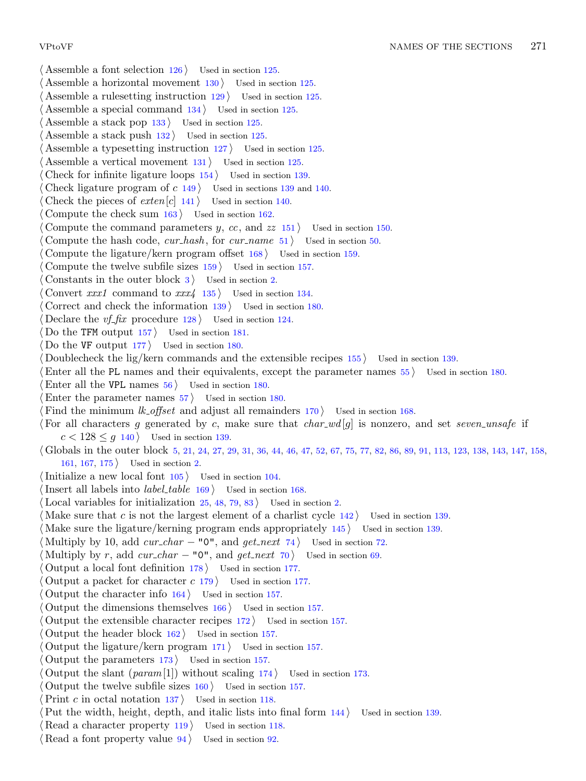$\langle$  Assemble a font selection [126](#page-46-0) is Used in section [125.](#page-46-0) Assemble a horizontal movement Used in section [125](#page-46-0). Assemble a rules etting instruction Used in section [125](#page-46-0). Assemble a special command Used in section [125](#page-46-0). Assemble a stack pop Used in section [125.](#page-46-0) Assemble a stack push Used in section [125.](#page-46-0) Assemble a typesetting instruction Used in section [125.](#page-46-0) Assemble a vertical movement Used in section [125.](#page-46-0) Check for infinite ligature loops Used in section [139.](#page-50-0) Check ligature program of  $c$  [149](#page-52-0) iused in sections [139](#page-50-0) and [140](#page-50-0). Check the pieces of  $exten[c]$  [141](#page-51-0)) Used in section [140.](#page-50-0) Compute the check sum Used in section [162.](#page-57-0) Compute the command parameters y, cc, and  $zz$  [151](#page-53-0)) Used in section [150.](#page-53-0) Compute the hash code,  $cur\_hash$ , for  $cur\_name$  [51](#page-19-0)) Used in section [50.](#page-19-0) Compute the ligature/kern program offset Used in section [159](#page-56-0). Compute the twelve subfile sizes Used in section [157](#page-56-0). Constants in the outer block Used in section [2.](#page-1-0) Convert  $xxx1$  command to  $xxx4$  [135](#page-48-0)) Used in section [134](#page-48-0). Correct and check the information ised in section [180.](#page-63-0) Declare the *vf\_fix* procedure Used in section [124](#page-46-0). Do the TFM output Used in section [181](#page-63-0). Do the VF output Used in section [180.](#page-63-0) Doublecheck the lig/kern commands and the extensible recipes Used in section [139](#page-50-0). Enter all the PL names and their equivalents, except the parameter names Used in section [180.](#page-63-0) Enter all the VPL names Used in section [180](#page-63-0). Enter the parameter names Used in section [180](#page-63-0). Find the minimum *lk offset* and adjust all remainders Used in section [168](#page-59-0). For all characters g generated by c, make sure that  $char_wulq]$  is nonzero, and set seven unsafe if  $c < 128 \leq g$  [140](#page-50-0)) Used in section [139](#page-50-0). h Globals in the outer block [5,](#page-2-0) [21](#page-10-0), [24,](#page-11-0) [27](#page-12-0), [29,](#page-12-0) [31,](#page-12-0) [36](#page-15-0), [44,](#page-18-0) [46](#page-18-0), [47,](#page-18-0) [52,](#page-20-0) [67](#page-28-0), [75,](#page-29-0) [77](#page-31-0), [82,](#page-32-0) [86](#page-34-0), [89](#page-34-0), [91,](#page-36-0) [113,](#page-42-0) [123](#page-45-0), [138](#page-50-0), [143,](#page-51-0) [147,](#page-52-0) [158,](#page-56-0) [161,](#page-57-0) [167,](#page-58-0) [175](#page-61-0) Used in section [2](#page-1-0). Initialize a new local font Used in section [104](#page-40-0). Insert all labels into *label\_table* Used in section [168](#page-59-0). Local variables for initialization  $25, 48, 79, 83$  $25, 48, 79, 83$  $25, 48, 79, 83$  $25, 48, 79, 83$  $25, 48, 79, 83$  $25, 48, 79, 83$  $25, 48, 79, 83$  Used in section [2](#page-1-0). Make sure that c is not the largest element of a charlist cycle Used in section [139](#page-50-0). Make sure the ligature/kerning program ends appropriately Used in section [139.](#page-50-0) Multiply by 10, add  $cur\_char - "0",$  and  $get\_next$  [74](#page-29-0)) Used in section [72.](#page-29-0) Multiply by r, add cur\_char – "0", and get\_next } Used in section [69.](#page-28-0) Output a local font definition Used in section [177](#page-61-0). Output a packet for character  $c$  [179](#page-62-0) ised in section [177.](#page-61-0) Output the character info Used in section [157](#page-56-0). Output the dimensions themselves Used in section [157](#page-56-0). Output the extensible character recipes Used in section [157.](#page-56-0) Output the header block Used in section [157](#page-56-0). Output the ligature/kern program Used in section [157](#page-56-0). Output the parameters Used in section [157.](#page-56-0) Output the slant (param[1]) without scaling Used in section [173](#page-60-0). Output the twelve subfile sizes Used in section [157](#page-56-0). Print c in octal notation [137](#page-49-0) i Used in section [118](#page-43-0). Put the width, height, depth, and italic lists into final form Used in section [139.](#page-50-0) Read a character property Used in section [118.](#page-43-0) Read a font property value Used in section [92.](#page-36-0)